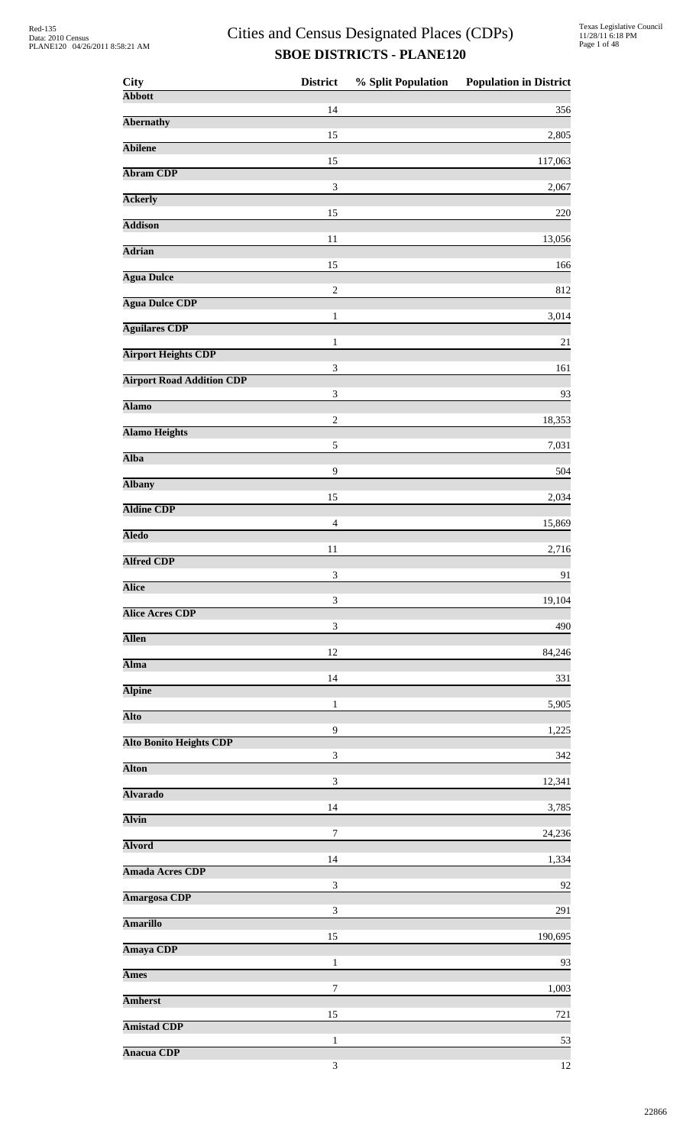| <b>City</b>                      | <b>District</b>             | % Split Population | <b>Population in District</b> |
|----------------------------------|-----------------------------|--------------------|-------------------------------|
| <b>Abbott</b>                    | 14                          |                    | 356                           |
| <b>Abernathy</b>                 | 15                          |                    | 2,805                         |
| <b>Abilene</b>                   | 15                          |                    | 117,063                       |
| <b>Abram CDP</b>                 | $\mathfrak{Z}$              |                    | 2,067                         |
| <b>Ackerly</b>                   |                             |                    |                               |
| <b>Addison</b>                   | 15                          |                    | 220                           |
| <b>Adrian</b>                    | 11                          |                    | 13,056                        |
| <b>Agua Dulce</b>                | 15                          |                    | 166                           |
| <b>Agua Dulce CDP</b>            | $\sqrt{2}$                  |                    | 812                           |
| <b>Aguilares CDP</b>             | $\mathbf{1}$                |                    | 3,014                         |
| <b>Airport Heights CDP</b>       | $\mathbf{1}$                |                    | 21                            |
| <b>Airport Road Addition CDP</b> | $\mathfrak 3$               |                    | 161                           |
| <b>Alamo</b>                     | $\ensuremath{\mathfrak{Z}}$ |                    | 93                            |
| <b>Alamo Heights</b>             | $\sqrt{2}$                  |                    | 18,353                        |
| <b>Alba</b>                      | $\sqrt{5}$                  |                    | 7,031                         |
| <b>Albany</b>                    | 9                           |                    | 504                           |
| <b>Aldine CDP</b>                | 15                          |                    | 2,034                         |
|                                  | $\overline{4}$              |                    | 15,869                        |
| <b>Aledo</b>                     | 11                          |                    | 2,716                         |
| <b>Alfred CDP</b>                | $\ensuremath{\mathfrak{Z}}$ |                    | 91                            |
| <b>Alice</b>                     | 3                           |                    | 19,104                        |
| <b>Alice Acres CDP</b>           | $\ensuremath{\mathfrak{Z}}$ |                    | 490                           |
| <b>Allen</b>                     | 12                          |                    | 84,246                        |
| <b>Alma</b>                      | 14                          |                    | 331                           |
| <b>Alpine</b>                    | 1                           |                    | 5,905                         |
| <b>Alto</b>                      | 9                           |                    | 1,225                         |
| <b>Alto Bonito Heights CDP</b>   | $\ensuremath{\mathfrak{Z}}$ |                    |                               |
| <b>Alton</b>                     |                             |                    | 342                           |
| <b>Alvarado</b>                  | $\mathfrak{Z}$              |                    | 12,341                        |
| <b>Alvin</b>                     | 14                          |                    | 3,785                         |
| <b>Alvord</b>                    | $\tau$                      |                    | 24,236                        |
| <b>Amada Acres CDP</b>           | 14                          |                    | 1,334                         |
| <b>Amargosa CDP</b>              | $\mathfrak{Z}$              |                    | 92                            |
| <b>Amarillo</b>                  | $\sqrt{3}$                  |                    | 291                           |
| Amaya CDP                        | 15                          |                    | 190,695                       |
| <b>Ames</b>                      | 1                           |                    | 93                            |
| <b>Amherst</b>                   | 7                           |                    | 1,003                         |
| <b>Amistad CDP</b>               | 15                          |                    | 721                           |
|                                  | $\mathbf{1}$                |                    | 53                            |
| <b>Anacua CDP</b>                | $\mathfrak{Z}$              |                    | 12                            |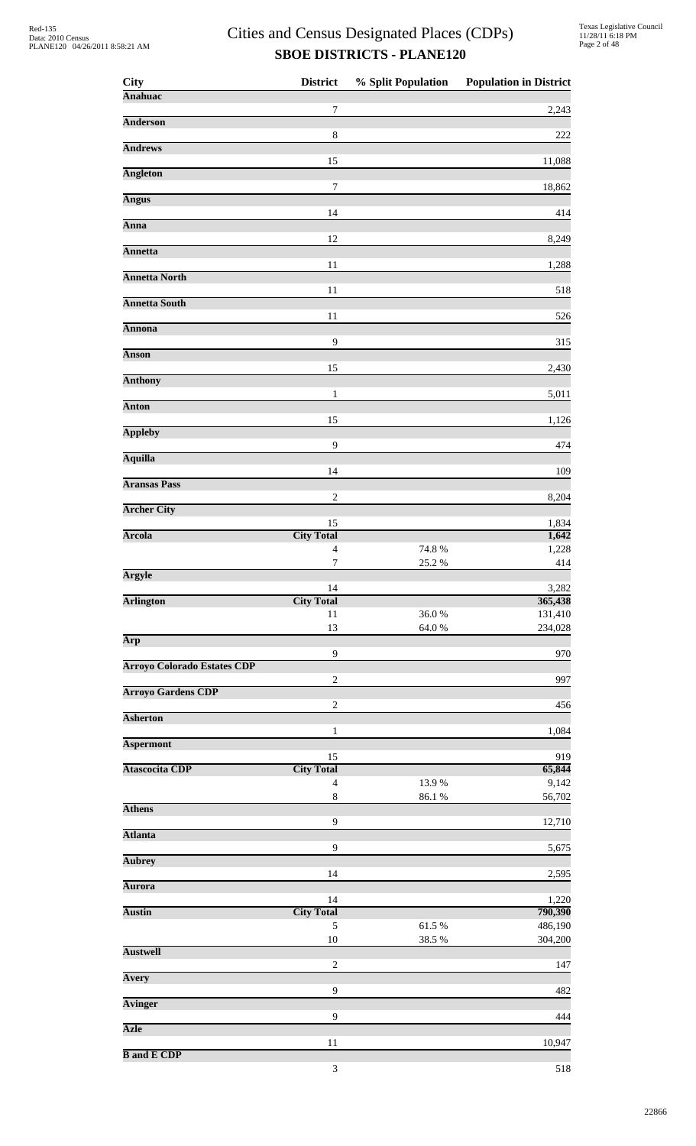| <b>City</b>                        | <b>District</b>               | % Split Population | <b>Population in District</b> |
|------------------------------------|-------------------------------|--------------------|-------------------------------|
| <b>Anahuac</b>                     | 7                             |                    | 2,243                         |
| <b>Anderson</b>                    |                               |                    |                               |
| <b>Andrews</b>                     | 8                             |                    | 222                           |
|                                    | 15                            |                    | 11,088                        |
| <b>Angleton</b>                    | $\boldsymbol{7}$              |                    |                               |
| <b>Angus</b>                       |                               |                    | 18,862                        |
| Anna                               | 14                            |                    | 414                           |
|                                    | 12                            |                    | 8,249                         |
| <b>Annetta</b>                     | 11                            |                    | 1,288                         |
| <b>Annetta North</b>               |                               |                    |                               |
| <b>Annetta South</b>               | 11                            |                    | 518                           |
|                                    | 11                            |                    | 526                           |
| <b>Annona</b>                      | 9                             |                    | 315                           |
| <b>Anson</b>                       |                               |                    |                               |
| <b>Anthony</b>                     | 15                            |                    | 2,430                         |
| <b>Anton</b>                       | 1                             |                    | 5,011                         |
|                                    | 15                            |                    | 1,126                         |
| <b>Appleby</b>                     | 9                             |                    | 474                           |
| <b>Aquilla</b>                     |                               |                    |                               |
| <b>Aransas Pass</b>                | 14                            |                    | 109                           |
|                                    | $\sqrt{2}$                    |                    | 8,204                         |
| <b>Archer City</b>                 | 15                            |                    | 1,834                         |
| <b>Arcola</b>                      | <b>City Total</b>             |                    | 1,642                         |
|                                    | $\overline{4}$<br>$\tau$      | 74.8%<br>25.2 %    | 1,228<br>414                  |
| <b>Argyle</b>                      |                               |                    |                               |
| <b>Arlington</b>                   | 14<br><b>City Total</b>       |                    | 3,282<br>365,438              |
|                                    | 11                            | 36.0%              | 131,410                       |
| Arp                                | 13                            | $64.0\ \%$         | 234,028                       |
|                                    | 9                             |                    | 970                           |
| <b>Arroyo Colorado Estates CDP</b> | $\boldsymbol{2}$              |                    | 997                           |
| <b>Arroyo Gardens CDP</b>          |                               |                    |                               |
| <b>Asherton</b>                    | $\sqrt{2}$                    |                    | 456                           |
|                                    | $\mathbf{1}$                  |                    | 1,084                         |
| <b>Aspermont</b>                   | 15                            |                    | 919                           |
| <b>Atascocita CDP</b>              | <b>City Total</b>             |                    | 65,844                        |
|                                    | $\overline{4}$<br>$\,$ 8 $\,$ | 13.9%<br>86.1 %    | 9,142<br>56,702               |
| <b>Athens</b>                      |                               |                    |                               |
| <b>Atlanta</b>                     | $\overline{9}$                |                    | 12,710                        |
|                                    | 9                             |                    | 5,675                         |
| <b>Aubrey</b>                      | 14                            |                    | 2,595                         |
| <b>Aurora</b>                      | 14                            |                    |                               |
| <b>Austin</b>                      | <b>City Total</b>             |                    | 1,220<br>790,390              |
|                                    | 5                             | 61.5%              | 486,190                       |
| <b>Austwell</b>                    | $10\,$                        | 38.5 %             | 304,200                       |
|                                    | $\overline{c}$                |                    | 147                           |
| Avery                              | 9                             |                    | 482                           |
| <b>Avinger</b>                     |                               |                    |                               |
| <b>Azle</b>                        | $\overline{9}$                |                    | 444                           |
|                                    | 11                            |                    | 10,947                        |
| <b>B</b> and <b>E</b> CDP          |                               |                    |                               |

 $3 \t\t 518$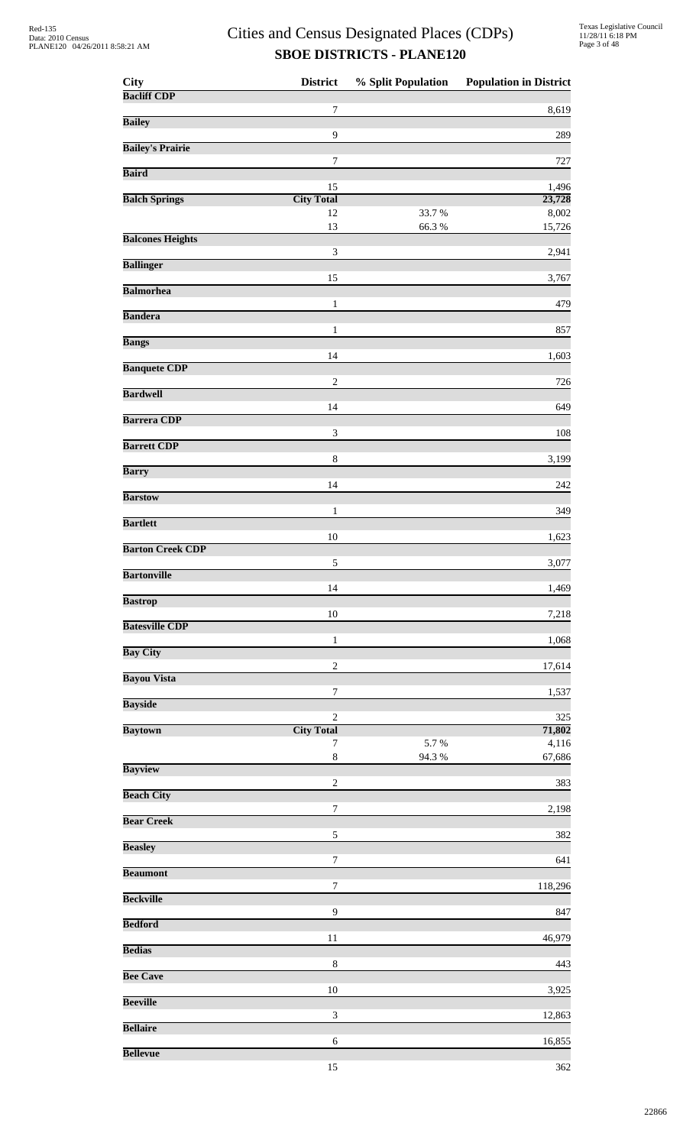| <b>City</b>             | <b>District</b>             | % Split Population | <b>Population in District</b> |
|-------------------------|-----------------------------|--------------------|-------------------------------|
| <b>Bacliff CDP</b>      | $\tau$                      |                    |                               |
| <b>Bailey</b>           |                             |                    | 8,619                         |
|                         | $\overline{9}$              |                    | 289                           |
| <b>Bailey's Prairie</b> | $\tau$                      |                    | 727                           |
| <b>Baird</b>            |                             |                    |                               |
| <b>Balch Springs</b>    | 15<br><b>City Total</b>     |                    | 1,496<br>23,728               |
|                         | 12                          | 33.7%              | 8,002                         |
| <b>Balcones Heights</b> | 13                          | 66.3%              | 15,726                        |
|                         | $\mathfrak{Z}$              |                    | 2,941                         |
| <b>Ballinger</b>        | 15                          |                    | 3,767                         |
| <b>Balmorhea</b>        |                             |                    |                               |
| <b>Bandera</b>          | $\mathbf{1}$                |                    | 479                           |
|                         | $\mathbf{1}$                |                    | 857                           |
| <b>Bangs</b>            | 14                          |                    | 1,603                         |
| <b>Banquete CDP</b>     |                             |                    |                               |
| <b>Bardwell</b>         | $\mathbf{2}$                |                    | 726                           |
| <b>Barrera CDP</b>      | 14                          |                    | 649                           |
|                         | $\ensuremath{\mathfrak{Z}}$ |                    | 108                           |
| <b>Barrett CDP</b>      |                             |                    |                               |
| <b>Barry</b>            | $\,$ 8 $\,$                 |                    | 3,199                         |
| <b>Barstow</b>          | 14                          |                    | 242                           |
|                         | 1                           |                    | 349                           |
| <b>Bartlett</b>         |                             |                    |                               |
| <b>Barton Creek CDP</b> | 10                          |                    | 1,623                         |
| <b>Bartonville</b>      | 5                           |                    | 3,077                         |
|                         | 14                          |                    | 1,469                         |
| <b>Bastrop</b>          | $10\,$                      |                    | 7,218                         |
| <b>Batesville CDP</b>   |                             |                    |                               |
| <b>Bay City</b>         | $\,1$                       |                    | 1,068                         |
|                         | $\sqrt{2}$                  |                    | 17,614                        |
| <b>Bayou Vista</b>      | $\boldsymbol{7}$            |                    | 1,537                         |
| <b>Bayside</b>          |                             |                    |                               |
| <b>Baytown</b>          | 2<br><b>City Total</b>      |                    | 325<br>71,802                 |
|                         | 7                           | 5.7%               | 4,116                         |
| <b>Bayview</b>          | $\,8\,$                     | 94.3 %             | 67,686                        |
|                         | $\sqrt{2}$                  |                    | 383                           |
| <b>Beach City</b>       | $\boldsymbol{7}$            |                    | 2,198                         |
| <b>Bear Creek</b>       |                             |                    |                               |
| <b>Beasley</b>          | $\sqrt{5}$                  |                    | 382                           |
|                         | $\tau$                      |                    | 641                           |
| <b>Beaumont</b>         | $\tau$                      |                    | 118,296                       |
| <b>Beckville</b>        |                             |                    |                               |
| <b>Bedford</b>          | $\boldsymbol{9}$            |                    | 847                           |
|                         | 11                          |                    | 46,979                        |
| <b>Bedias</b>           | $\,8\,$                     |                    | 443                           |
| <b>Bee Cave</b>         |                             |                    |                               |
| <b>Beeville</b>         | 10                          |                    | 3,925                         |
|                         | $\ensuremath{\mathfrak{Z}}$ |                    | 12,863                        |
| <b>Bellaire</b>         | $\sqrt{6}$                  |                    | 16,855                        |
| <b>Bellevue</b>         |                             |                    |                               |
|                         | 15                          |                    | 362                           |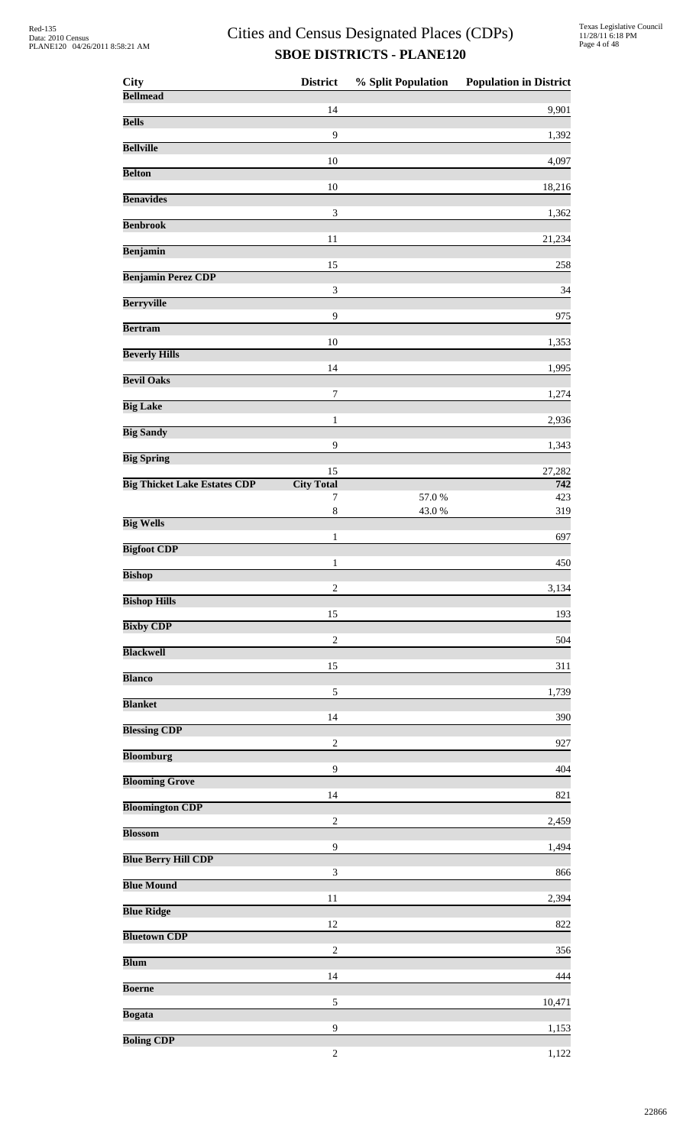| <b>City</b>                         | <b>District</b>         | % Split Population | <b>Population in District</b> |
|-------------------------------------|-------------------------|--------------------|-------------------------------|
| <b>Bellmead</b>                     | 14                      |                    | 9,901                         |
| <b>Bells</b>                        | 9                       |                    |                               |
| <b>Bellville</b>                    |                         |                    | 1,392                         |
| <b>Belton</b>                       | $10\,$                  |                    | 4,097                         |
| <b>Benavides</b>                    | 10                      |                    | 18,216                        |
| <b>Benbrook</b>                     | $\sqrt{3}$              |                    | 1,362                         |
| Benjamin                            | 11                      |                    | 21,234                        |
| <b>Benjamin Perez CDP</b>           | 15                      |                    | 258                           |
|                                     | 3                       |                    | 34                            |
| <b>Berryville</b>                   | $\overline{9}$          |                    | 975                           |
| <b>Bertram</b>                      | 10                      |                    | 1,353                         |
| <b>Beverly Hills</b>                | 14                      |                    | 1,995                         |
| <b>Bevil Oaks</b>                   | $\boldsymbol{7}$        |                    | 1,274                         |
| <b>Big Lake</b>                     |                         |                    |                               |
| <b>Big Sandy</b>                    | $\mathbf{1}$            |                    | 2,936                         |
| <b>Big Spring</b>                   | 9                       |                    | 1,343                         |
| <b>Big Thicket Lake Estates CDP</b> | 15<br><b>City Total</b> |                    | 27,282<br>742                 |
|                                     | 7<br>$\,8\,$            | 57.0%<br>43.0%     | 423<br>319                    |
| <b>Big Wells</b>                    | 1                       |                    | 697                           |
| <b>Bigfoot CDP</b>                  |                         |                    |                               |
| <b>Bishop</b>                       | $\mathbf{1}$            |                    | 450                           |
| <b>Bishop Hills</b>                 | $\overline{2}$          |                    | 3,134                         |
| <b>Bixby CDP</b>                    | 15                      |                    | 193                           |
| <b>Blackwell</b>                    | $\boldsymbol{2}$        |                    | 504                           |
| <b>Blanco</b>                       | 15                      |                    | 311                           |
|                                     | 5                       |                    | 1,739                         |
| <b>Blanket</b>                      | 14                      |                    | 390                           |
| <b>Blessing CDP</b>                 | $\overline{c}$          |                    | 927                           |
| <b>Bloomburg</b>                    | 9                       |                    | 404                           |
| <b>Blooming Grove</b>               | 14                      |                    | 821                           |
| <b>Bloomington CDP</b>              |                         |                    |                               |
| <b>Blossom</b>                      | $\boldsymbol{2}$        |                    | 2,459                         |
| <b>Blue Berry Hill CDP</b>          | 9                       |                    | 1,494                         |
| <b>Blue Mound</b>                   | 3                       |                    | 866                           |
| <b>Blue Ridge</b>                   | 11                      |                    | 2,394                         |
| <b>Bluetown CDP</b>                 | 12                      |                    | 822                           |
|                                     | $\boldsymbol{2}$        |                    | 356                           |
| <b>Blum</b>                         | 14                      |                    | 444                           |
| <b>Boerne</b>                       | 5                       |                    | 10,471                        |
| <b>Bogata</b>                       | 9                       |                    | 1,153                         |
| <b>Boling CDP</b>                   | $\boldsymbol{2}$        |                    | 1,122                         |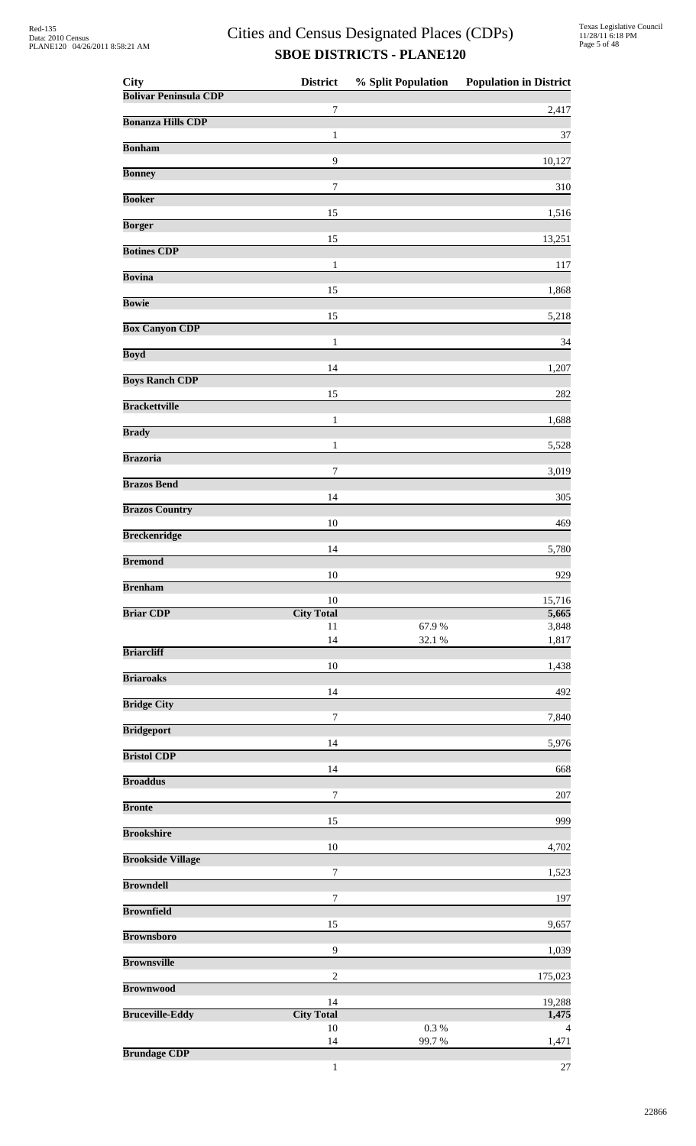| City                         | <b>District</b>         | % Split Population | <b>Population in District</b> |
|------------------------------|-------------------------|--------------------|-------------------------------|
| <b>Bolivar Peninsula CDP</b> | 7                       |                    | 2,417                         |
| <b>Bonanza Hills CDP</b>     |                         |                    |                               |
| <b>Bonham</b>                | 1                       |                    | 37                            |
| <b>Bonney</b>                | 9                       |                    | 10,127                        |
|                              | $\tau$                  |                    | 310                           |
| <b>Booker</b>                | 15                      |                    | 1,516                         |
| <b>Borger</b>                | 15                      |                    | 13,251                        |
| <b>Botines CDP</b>           |                         |                    |                               |
| <b>Bovina</b>                | $\mathbf{1}$            |                    | 117                           |
| <b>Bowie</b>                 | 15                      |                    | 1,868                         |
| <b>Box Canyon CDP</b>        | 15                      |                    | 5,218                         |
|                              | $\mathbf{1}$            |                    | 34                            |
| <b>Boyd</b>                  | 14                      |                    | 1,207                         |
| <b>Boys Ranch CDP</b>        | 15                      |                    | 282                           |
| <b>Brackettville</b>         |                         |                    |                               |
| <b>Brady</b>                 | $\mathbf{1}$            |                    | 1,688                         |
| <b>Brazoria</b>              | 1                       |                    | 5,528                         |
|                              | 7                       |                    | 3,019                         |
| <b>Brazos Bend</b>           | 14                      |                    | 305                           |
| <b>Brazos Country</b>        | 10                      |                    | 469                           |
| <b>Breckenridge</b>          |                         |                    |                               |
| <b>Bremond</b>               | 14                      |                    | 5,780                         |
| <b>Brenham</b>               | 10                      |                    | 929                           |
|                              | 10                      |                    | 15,716                        |
| <b>Briar CDP</b>             | <b>City Total</b><br>11 | 67.9%              | 5,665<br>3,848                |
| <b>Briarcliff</b>            | 14                      | 32.1 %             | 1,817                         |
|                              | 10                      |                    | 1,438                         |
| <b>Briaroaks</b>             | 14                      |                    | 492                           |
| <b>Bridge City</b>           | 7                       |                    | 7,840                         |
| <b>Bridgeport</b>            |                         |                    |                               |
| <b>Bristol CDP</b>           | 14                      |                    | 5,976                         |
| <b>Broaddus</b>              | 14                      |                    | 668                           |
|                              | $\boldsymbol{7}$        |                    | 207                           |
| <b>Bronte</b>                | 15                      |                    | 999                           |
| <b>Brookshire</b>            | $10\,$                  |                    | 4,702                         |
| <b>Brookside Village</b>     |                         |                    |                               |
| <b>Browndell</b>             | 7                       |                    | 1,523                         |
| <b>Brownfield</b>            | $\boldsymbol{7}$        |                    | 197                           |
| <b>Brownsboro</b>            | 15                      |                    | 9,657                         |
|                              | 9                       |                    | 1,039                         |
| <b>Brownsville</b>           | $\overline{c}$          |                    | 175,023                       |
| <b>Brownwood</b>             |                         |                    |                               |
| <b>Bruceville-Eddy</b>       | 14<br><b>City Total</b> |                    | 19,288<br>1,475               |
|                              | 10<br>14                | 0.3 %<br>99.7%     | $\overline{4}$<br>1,471       |
| <b>Brundage CDP</b>          |                         |                    |                               |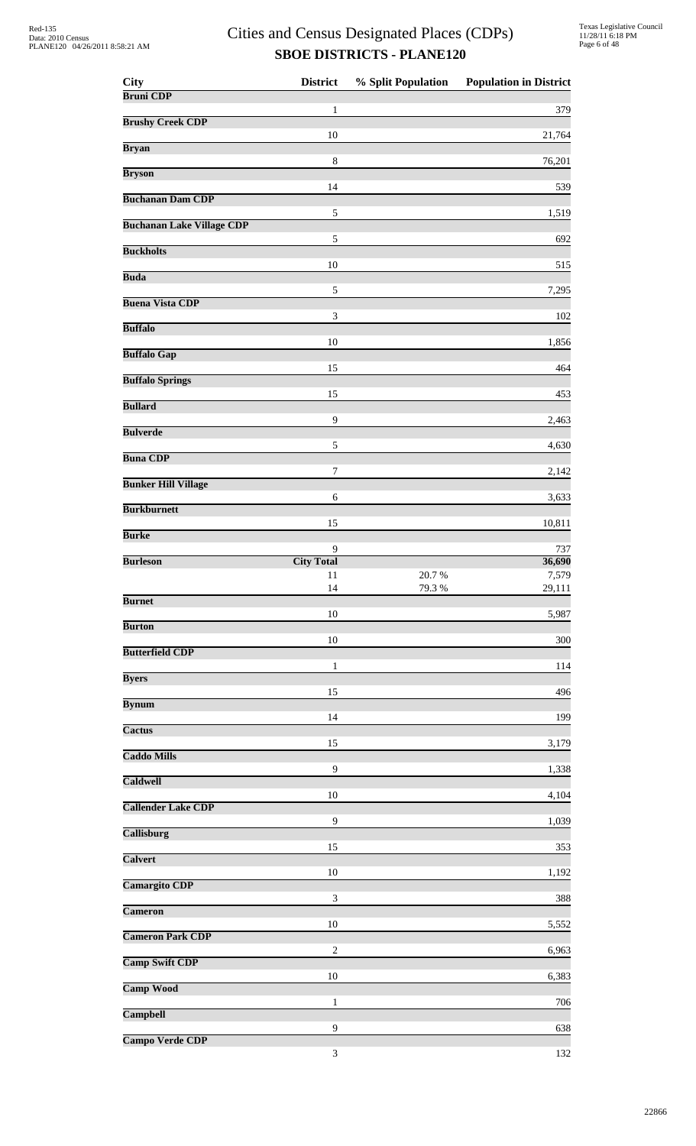| <b>City</b>                      | <b>District</b>             | % Split Population | <b>Population in District</b> |
|----------------------------------|-----------------------------|--------------------|-------------------------------|
| <b>Bruni CDP</b>                 | 1                           |                    | 379                           |
| <b>Brushy Creek CDP</b>          |                             |                    |                               |
| <b>Bryan</b>                     | 10                          |                    | 21,764                        |
| <b>Bryson</b>                    | 8                           |                    | 76,201                        |
| <b>Buchanan Dam CDP</b>          | 14                          |                    | 539                           |
| <b>Buchanan Lake Village CDP</b> | $\sqrt{5}$                  |                    | 1,519                         |
|                                  | 5                           |                    | 692                           |
| <b>Buckholts</b>                 | 10                          |                    | 515                           |
| <b>Buda</b>                      | 5                           |                    | 7,295                         |
| <b>Buena Vista CDP</b>           | 3                           |                    | 102                           |
| <b>Buffalo</b>                   |                             |                    |                               |
| <b>Buffalo Gap</b>               | 10                          |                    | 1,856                         |
| <b>Buffalo Springs</b>           | 15                          |                    | 464                           |
| <b>Bullard</b>                   | 15                          |                    | 453                           |
| <b>Bulverde</b>                  | 9                           |                    | 2,463                         |
|                                  | 5                           |                    | 4,630                         |
| <b>Buna CDP</b>                  | $\boldsymbol{7}$            |                    | 2,142                         |
| <b>Bunker Hill Village</b>       | 6                           |                    | 3,633                         |
| <b>Burkburnett</b>               | 15                          |                    | 10,811                        |
| <b>Burke</b>                     |                             |                    |                               |
| <b>Burleson</b>                  | 9<br><b>City Total</b>      |                    | 737<br>36,690                 |
|                                  | 11<br>14                    | 20.7%<br>79.3 %    | 7,579<br>29,111               |
| <b>Burnet</b>                    | $10\,$                      |                    | 5,987                         |
| <b>Burton</b>                    |                             |                    |                               |
| <b>Butterfield CDP</b>           | 10                          |                    | 300                           |
| <b>Byers</b>                     | $\mathbf{1}$                |                    | 114                           |
| <b>Bynum</b>                     | 15                          |                    | 496                           |
| Cactus                           | 14                          |                    | 199                           |
|                                  | 15                          |                    | 3,179                         |
| <b>Caddo Mills</b>               | $\overline{9}$              |                    | 1,338                         |
| Caldwell                         | 10                          |                    | 4,104                         |
| <b>Callender Lake CDP</b>        | 9                           |                    | 1,039                         |
| <b>Callisburg</b>                |                             |                    |                               |
| <b>Calvert</b>                   | 15                          |                    | 353                           |
| <b>Camargito CDP</b>             | 10                          |                    | 1,192                         |
| Cameron                          | $\ensuremath{\mathfrak{Z}}$ |                    | 388                           |
| <b>Cameron Park CDP</b>          | 10                          |                    | 5,552                         |
|                                  | $\sqrt{2}$                  |                    | 6,963                         |
| <b>Camp Swift CDP</b>            | 10                          |                    | 6,383                         |
| <b>Camp Wood</b>                 | 1                           |                    | 706                           |
| Campbell                         | 9                           |                    | 638                           |
| <b>Campo Verde CDP</b>           | $\ensuremath{\mathfrak{Z}}$ |                    | 132                           |
|                                  |                             |                    |                               |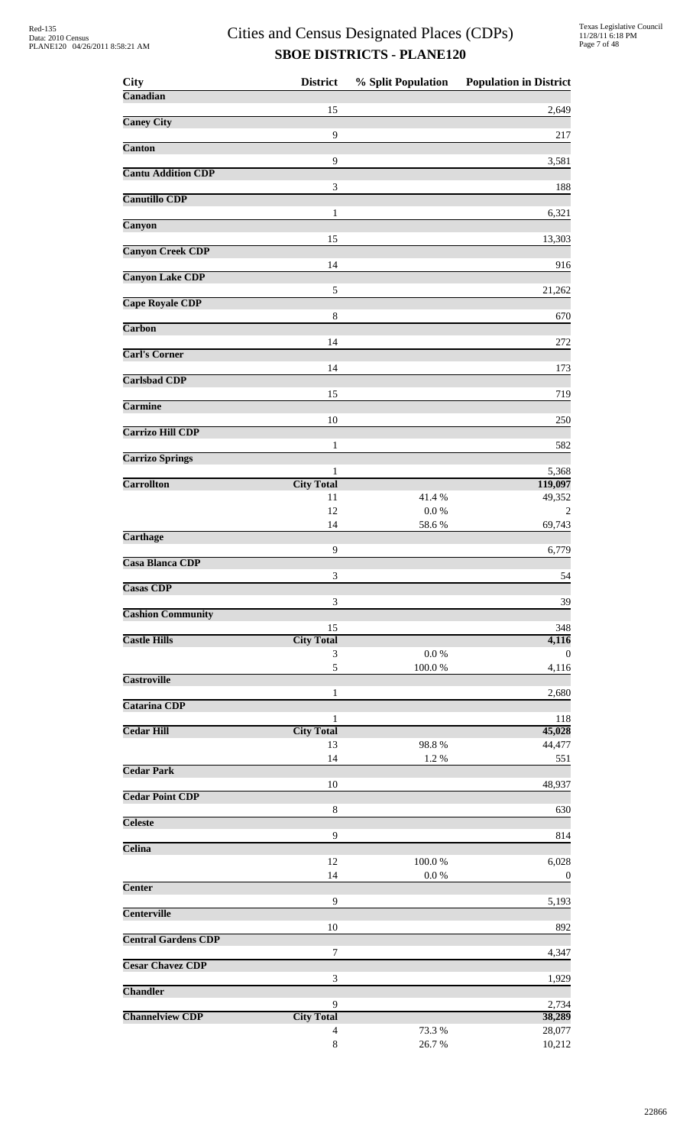| <b>City</b>                | <b>District</b>        | % Split Population  | <b>Population in District</b> |
|----------------------------|------------------------|---------------------|-------------------------------|
| Canadian                   |                        |                     |                               |
| <b>Caney City</b>          | 15                     |                     | 2,649                         |
|                            | 9                      |                     | 217                           |
| <b>Canton</b>              |                        |                     |                               |
|                            | 9                      |                     | 3,581                         |
| <b>Cantu Addition CDP</b>  | 3                      |                     | 188                           |
| <b>Canutillo CDP</b>       |                        |                     |                               |
|                            | 1                      |                     | 6,321                         |
| Canyon                     | 15                     |                     | 13,303                        |
| <b>Canyon Creek CDP</b>    |                        |                     |                               |
|                            | 14                     |                     | 916                           |
| <b>Canyon Lake CDP</b>     |                        |                     |                               |
| <b>Cape Royale CDP</b>     | 5                      |                     | 21,262                        |
|                            | $\,8\,$                |                     | 670                           |
| Carbon                     |                        |                     |                               |
| <b>Carl's Corner</b>       | 14                     |                     | 272                           |
|                            | 14                     |                     | 173                           |
| <b>Carlsbad CDP</b>        |                        |                     |                               |
|                            | 15                     |                     | 719                           |
| <b>Carmine</b>             | 10                     |                     | 250                           |
| <b>Carrizo Hill CDP</b>    |                        |                     |                               |
|                            | 1                      |                     | 582                           |
| <b>Carrizo Springs</b>     |                        |                     |                               |
| <b>Carrollton</b>          | 1<br><b>City Total</b> |                     | 5,368<br>119,097              |
|                            | 11                     | 41.4%               | 49,352                        |
|                            | 12                     | $0.0\ \%$           | $\overline{2}$                |
|                            | 14                     | 58.6%               | 69,743                        |
| <b>Carthage</b>            | 9                      |                     | 6,779                         |
| <b>Casa Blanca CDP</b>     |                        |                     |                               |
|                            | 3                      |                     | 54                            |
| <b>Casas CDP</b>           |                        |                     |                               |
| <b>Cashion Community</b>   | 3                      |                     | 39                            |
|                            | 15                     |                     | 348                           |
| <b>Castle Hills</b>        | <b>City Total</b>      |                     | 4,116                         |
|                            | 3<br>5                 | $0.0\ \%$<br>100.0% | $\theta$<br>4,116             |
| <b>Castroville</b>         |                        |                     |                               |
|                            | 1                      |                     | 2,680                         |
| <b>Catarina CDP</b>        |                        |                     |                               |
| <b>Cedar Hill</b>          | 1<br><b>City Total</b> |                     | 118<br>45,028                 |
|                            | 13                     | 98.8%               | 44,477                        |
|                            | 14                     | 1.2%                | 551                           |
| <b>Cedar Park</b>          |                        |                     |                               |
| <b>Cedar Point CDP</b>     | 10                     |                     | 48,937                        |
|                            | $\,8\,$                |                     | 630                           |
| <b>Celeste</b>             |                        |                     |                               |
| Celina                     | 9                      |                     | 814                           |
|                            | 12                     | 100.0%              | 6,028                         |
|                            | 14                     | 0.0 %               | $\mathbf 0$                   |
| <b>Center</b>              |                        |                     |                               |
| <b>Centerville</b>         | 9                      |                     | 5,193                         |
|                            | 10                     |                     | 892                           |
| <b>Central Gardens CDP</b> |                        |                     |                               |
|                            | 7                      |                     | 4,347                         |
| <b>Cesar Chavez CDP</b>    |                        |                     |                               |
| <b>Chandler</b>            | 3                      |                     | 1,929                         |
|                            | 9                      |                     | 2,734                         |
| <b>Channelview CDP</b>     | <b>City Total</b>      |                     | 38,289                        |
|                            | $\overline{4}$         | 73.3 %              | 28,077                        |
|                            | $8\,$                  | 26.7%               | 10,212                        |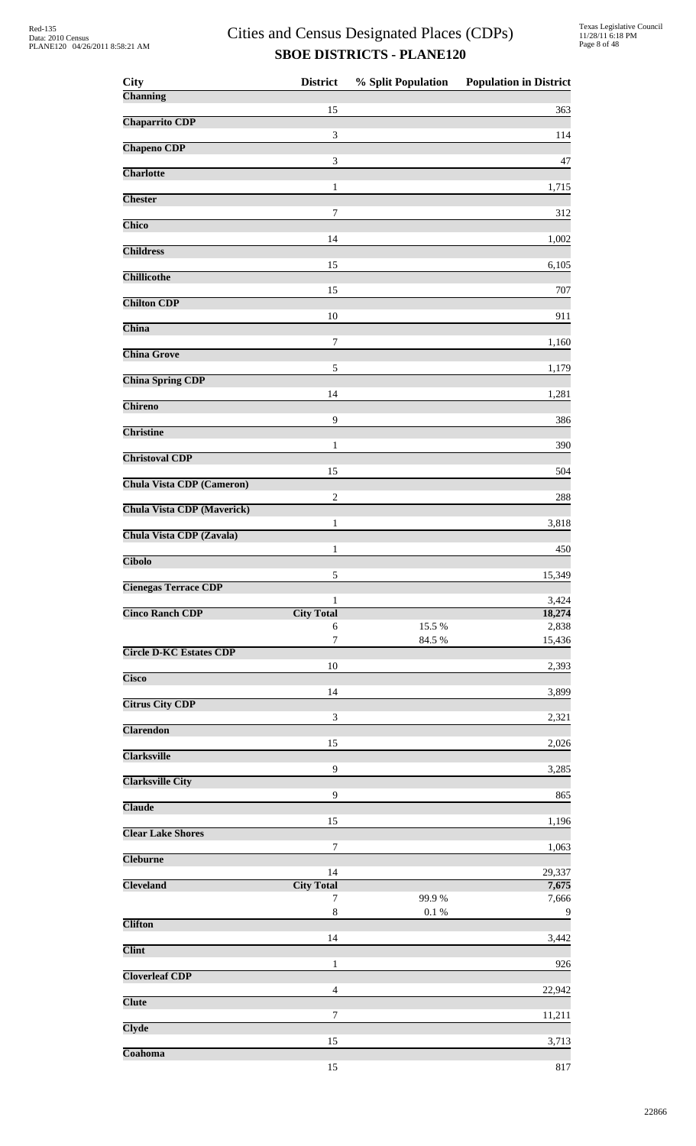| <b>City</b>                       | <b>District</b>             | % Split Population | <b>Population in District</b> |
|-----------------------------------|-----------------------------|--------------------|-------------------------------|
| Channing                          |                             |                    |                               |
| <b>Chaparrito CDP</b>             | 15                          |                    | 363                           |
|                                   | $\ensuremath{\mathfrak{Z}}$ |                    | 114                           |
| <b>Chapeno CDP</b>                | 3                           |                    | 47                            |
| <b>Charlotte</b>                  |                             |                    |                               |
| <b>Chester</b>                    | 1                           |                    | 1,715                         |
|                                   | 7                           |                    | 312                           |
| Chico                             | 14                          |                    | 1,002                         |
| <b>Childress</b>                  |                             |                    |                               |
| <b>Chillicothe</b>                | 15                          |                    | 6,105                         |
| <b>Chilton CDP</b>                | 15                          |                    | 707                           |
|                                   | 10                          |                    | 911                           |
| China                             | $\boldsymbol{7}$            |                    | 1,160                         |
| <b>China Grove</b>                |                             |                    |                               |
| <b>China Spring CDP</b>           | 5                           |                    | 1,179                         |
|                                   | 14                          |                    | 1,281                         |
| Chireno                           | 9                           |                    | 386                           |
| <b>Christine</b>                  |                             |                    |                               |
| <b>Christoval CDP</b>             | 1                           |                    | 390                           |
|                                   | 15                          |                    | 504                           |
| <b>Chula Vista CDP (Cameron)</b>  | $\boldsymbol{2}$            |                    | 288                           |
| <b>Chula Vista CDP</b> (Maverick) |                             |                    |                               |
| Chula Vista CDP (Zavala)          | 1                           |                    | 3,818                         |
| <b>Cibolo</b>                     | 1                           |                    | 450                           |
|                                   | 5                           |                    | 15,349                        |
| <b>Cienegas Terrace CDP</b>       | 1                           |                    | 3,424                         |
| <b>Cinco Ranch CDP</b>            | <b>City Total</b>           |                    | 18,274                        |
|                                   | 6                           | 15.5 %             | 2,838                         |
| <b>Circle D-KC Estates CDP</b>    | $\boldsymbol{7}$            | 84.5 %             | 15,436                        |
| <b>Cisco</b>                      | 10                          |                    | 2,393                         |
|                                   | 14                          |                    | 3,899                         |
| <b>Citrus City CDP</b>            | 3                           |                    | 2,321                         |
| <b>Clarendon</b>                  |                             |                    |                               |
| <b>Clarksville</b>                | 15                          |                    | 2,026                         |
|                                   | $\overline{9}$              |                    | 3,285                         |
| <b>Clarksville City</b>           | $\overline{9}$              |                    | 865                           |
| <b>Claude</b>                     |                             |                    |                               |
| <b>Clear Lake Shores</b>          | 15                          |                    | 1,196                         |
| <b>Cleburne</b>                   | $\boldsymbol{7}$            |                    | 1,063                         |
|                                   | 14                          |                    | 29,337                        |
| <b>Cleveland</b>                  | <b>City Total</b><br>7      | 99.9%              | 7,675<br>7,666                |
|                                   | $\,$ 8 $\,$                 | $0.1\ \%$          | $\overline{9}$                |
| <b>Clifton</b>                    | 14                          |                    | 3,442                         |
| <b>Clint</b>                      |                             |                    |                               |
| <b>Cloverleaf CDP</b>             | 1                           |                    | 926                           |
|                                   | $\overline{4}$              |                    | 22,942                        |
| <b>Clute</b>                      | 7                           |                    | 11,211                        |
| <b>Clyde</b>                      |                             |                    |                               |
| Coahoma                           | 15                          |                    | 3,713                         |
|                                   | 15                          |                    | 817                           |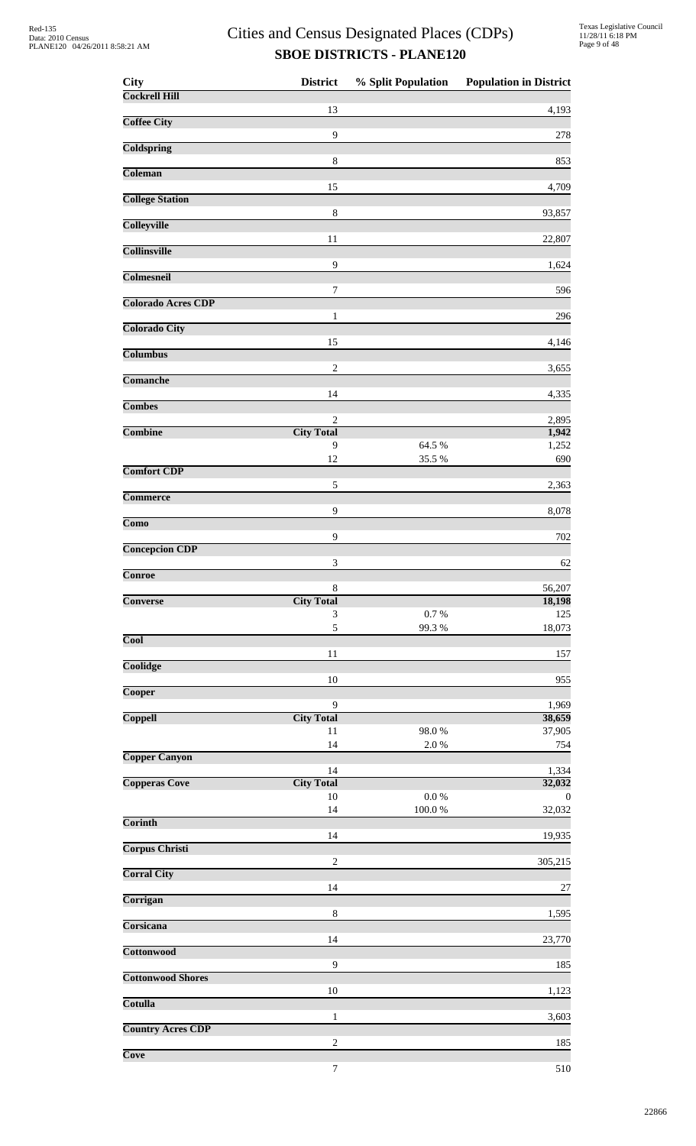| <b>City</b>                | <b>District</b>                   | % Split Population | <b>Population in District</b> |
|----------------------------|-----------------------------------|--------------------|-------------------------------|
| <b>Cockrell Hill</b>       | 13                                |                    | 4,193                         |
| <b>Coffee City</b>         |                                   |                    |                               |
| <b>Coldspring</b>          | $\overline{9}$                    |                    | 278                           |
| Coleman                    | $\,8\,$                           |                    | 853                           |
| <b>College Station</b>     | 15                                |                    | 4,709                         |
| <b>Colleyville</b>         | $\,8\,$                           |                    | 93,857                        |
| <b>Collinsville</b>        | 11                                |                    | 22,807                        |
| Colmesneil                 | $\overline{9}$                    |                    | 1,624                         |
|                            | 7                                 |                    | 596                           |
| <b>Colorado Acres CDP</b>  | 1                                 |                    | 296                           |
| <b>Colorado City</b>       | 15                                |                    | 4,146                         |
| <b>Columbus</b>            | $\overline{c}$                    |                    | 3,655                         |
| <b>Comanche</b>            |                                   |                    |                               |
| <b>Combes</b>              | 14                                |                    | 4,335                         |
| <b>Combine</b>             | $\mathbf{2}$<br><b>City Total</b> |                    | 2,895<br>1,942                |
|                            | 9                                 | 64.5 %             | 1,252                         |
| <b>Comfort CDP</b>         | 12                                | 35.5 %             | 690                           |
|                            | 5                                 |                    | 2,363                         |
| <b>Commerce</b>            | 9                                 |                    | 8,078                         |
| $\overline{\mathrm{Como}}$ | $\mathbf{9}$                      |                    | 702                           |
| <b>Concepcion CDP</b>      |                                   |                    |                               |
| Conroe                     | $\ensuremath{\mathfrak{Z}}$       |                    | 62                            |
|                            | $\,8\,$                           |                    | 56,207                        |
| <b>Converse</b>            | <b>City Total</b><br>3            | 0.7 %              | 18,198<br>125                 |
| <b>Cool</b>                | 5                                 | 99.3%              | 18,073                        |
|                            | 11                                |                    | 157                           |
| Coolidge                   | $10\,$                            |                    | 955                           |
| Cooper                     |                                   |                    |                               |
| Coppell                    | 9<br><b>City Total</b>            |                    | 1,969<br>38,659               |
|                            | 11                                | 98.0%              | 37,905                        |
| <b>Copper Canyon</b>       | 14                                | 2.0%               | 754                           |
| <b>Copperas Cove</b>       | 14<br><b>City Total</b>           |                    | 1,334<br>32,032               |
|                            | $10\,$                            | $0.0\ \%$          | $\theta$                      |
| <b>Corinth</b>             | 14                                | 100.0%             | 32,032                        |
|                            | 14                                |                    | 19,935                        |
| <b>Corpus Christi</b>      | $\sqrt{2}$                        |                    | 305,215                       |
| <b>Corral City</b>         | 14                                |                    | 27                            |
| Corrigan                   |                                   |                    |                               |
| Corsicana                  | $\,8\,$                           |                    | 1,595                         |
| <b>Cottonwood</b>          | 14                                |                    | 23,770                        |
|                            | $\mathbf{9}$                      |                    | 185                           |
| <b>Cottonwood Shores</b>   | 10                                |                    | 1,123                         |
| Cotulla                    | $\mathbf{1}$                      |                    | 3,603                         |
| <b>Country Acres CDP</b>   |                                   |                    |                               |
| Cove                       | $\overline{c}$                    |                    | 185                           |

7 510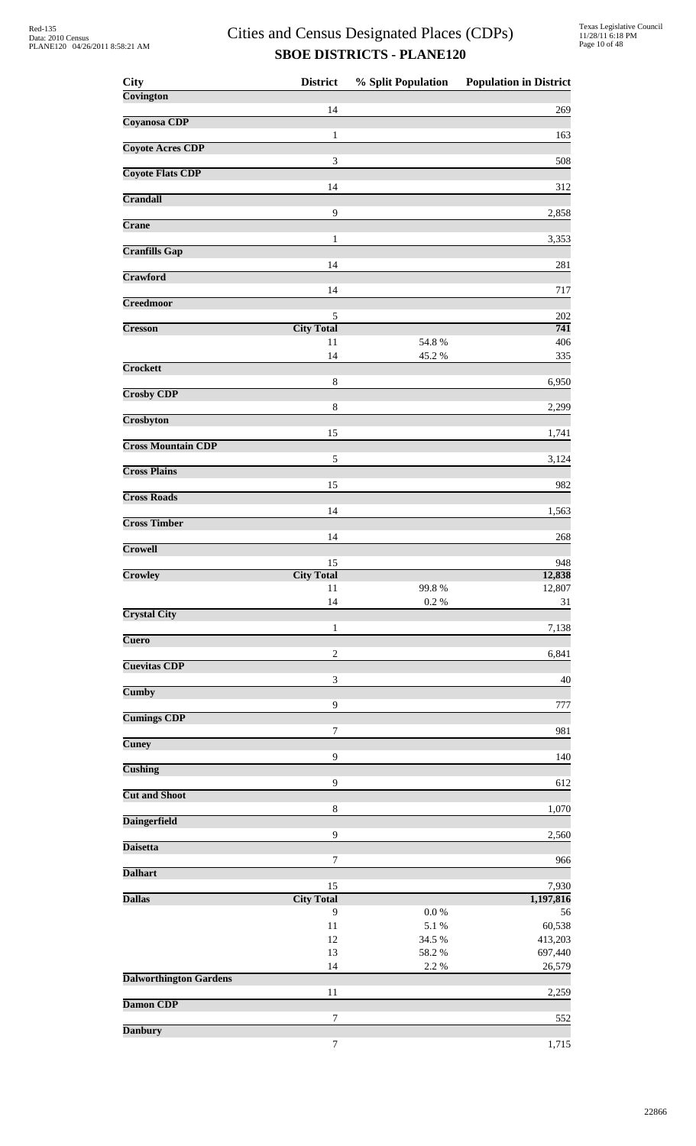| <b>City</b>                   | <b>District</b>             | % Split Population | <b>Population in District</b> |
|-------------------------------|-----------------------------|--------------------|-------------------------------|
| Covington                     | 14                          |                    |                               |
| Coyanosa CDP                  |                             |                    | 269                           |
|                               | $\mathbf{1}$                |                    | 163                           |
| <b>Coyote Acres CDP</b>       | $\ensuremath{\mathfrak{Z}}$ |                    | 508                           |
| <b>Coyote Flats CDP</b>       |                             |                    |                               |
| Crandall                      | 14                          |                    | 312                           |
|                               | 9                           |                    | 2,858                         |
| Crane                         | 1                           |                    | 3,353                         |
| <b>Cranfills Gap</b>          |                             |                    |                               |
| Crawford                      | 14                          |                    | 281                           |
|                               | 14                          |                    | 717                           |
| <b>Creedmoor</b>              | 5                           |                    |                               |
| <b>Cresson</b>                | <b>City Total</b>           |                    | 202<br>741                    |
|                               | 11                          | 54.8%              | 406                           |
| Crockett                      | 14                          | 45.2 %             | 335                           |
|                               | 8                           |                    | 6,950                         |
| <b>Crosby CDP</b>             | $\,$ 8 $\,$                 |                    | 2,299                         |
| Crosbyton                     |                             |                    |                               |
| <b>Cross Mountain CDP</b>     | 15                          |                    | 1,741                         |
|                               | 5                           |                    | 3,124                         |
| <b>Cross Plains</b>           | 15                          |                    | 982                           |
| <b>Cross Roads</b>            |                             |                    |                               |
| <b>Cross Timber</b>           | 14                          |                    | 1,563                         |
|                               | 14                          |                    | 268                           |
| Crowell                       |                             |                    |                               |
| Crowley                       | 15<br><b>City Total</b>     |                    | 948<br>12,838                 |
|                               | 11                          | 99.8%              | 12,807                        |
| <b>Crystal City</b>           | 14                          | 0.2 %              | 31                            |
|                               | $\mathbf{1}$                |                    | 7,138                         |
| <b>Cuero</b>                  | $\mathbf{2}$                |                    | 6,841                         |
| <b>Cuevitas CDP</b>           |                             |                    |                               |
| <b>Cumby</b>                  | $\mathfrak{Z}$              |                    | 40                            |
|                               | 9                           |                    | 777                           |
| <b>Cumings CDP</b>            | $\tau$                      |                    | 981                           |
| <b>Cuney</b>                  |                             |                    |                               |
| <b>Cushing</b>                | 9                           |                    | 140                           |
|                               | 9                           |                    | 612                           |
| <b>Cut and Shoot</b>          | $\,$ 8 $\,$                 |                    | 1,070                         |
| <b>Daingerfield</b>           |                             |                    |                               |
| <b>Daisetta</b>               | 9                           |                    | 2,560                         |
|                               | $\boldsymbol{7}$            |                    | 966                           |
| <b>Dalhart</b>                | 15                          |                    | 7,930                         |
| <b>Dallas</b>                 | <b>City Total</b>           |                    | 1,197,816                     |
|                               | 9                           | $0.0\ \%$          | 56                            |
|                               | $11\,$<br>12                | 5.1 %<br>34.5 %    | 60,538<br>413,203             |
|                               | 13                          | 58.2 %             | 697,440                       |
| <b>Dalworthington Gardens</b> | 14                          | 2.2 %              | 26,579                        |
|                               | 11                          |                    | 2,259                         |
| <b>Damon CDP</b>              | 7                           |                    | 552                           |
| <b>Danbury</b>                |                             |                    |                               |
|                               | 7                           |                    | 1,715                         |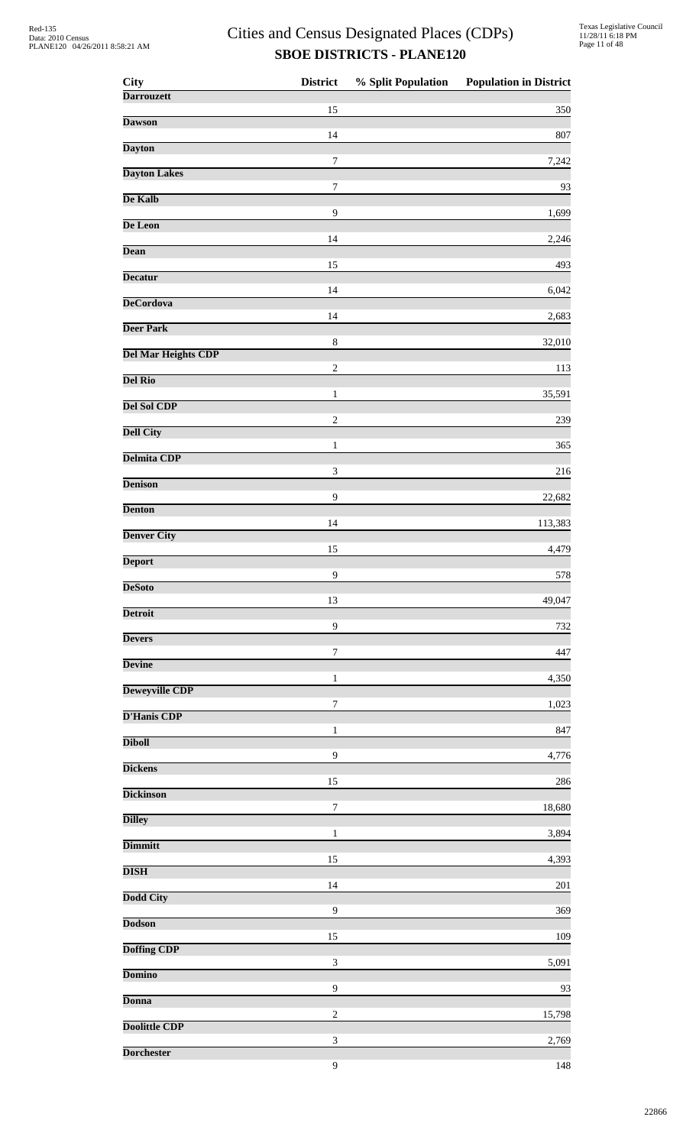| <b>City</b>                | <b>District</b>  | % Split Population | <b>Population in District</b> |
|----------------------------|------------------|--------------------|-------------------------------|
| <b>Darrouzett</b>          | 15               |                    | 350                           |
| <b>Dawson</b>              | 14               |                    |                               |
| <b>Dayton</b>              |                  |                    | 807                           |
| <b>Dayton Lakes</b>        | $\boldsymbol{7}$ |                    | 7,242                         |
| De Kalb                    | $\boldsymbol{7}$ |                    | 93                            |
| De Leon                    | 9                |                    | 1,699                         |
| <b>Dean</b>                | 14               |                    | 2,246                         |
| <b>Decatur</b>             | 15               |                    | 493                           |
| <b>DeCordova</b>           | 14               |                    | 6,042                         |
|                            | 14               |                    | 2,683                         |
| <b>Deer Park</b>           | $\,$ 8 $\,$      |                    | 32,010                        |
| <b>Del Mar Heights CDP</b> | $\overline{2}$   |                    | 113                           |
| <b>Del Rio</b>             | $\mathbf{1}$     |                    | 35,591                        |
| Del Sol CDP                | $\sqrt{2}$       |                    | 239                           |
| <b>Dell City</b>           |                  |                    |                               |
| <b>Delmita CDP</b>         | $\mathbf{1}$     |                    | 365                           |
| <b>Denison</b>             | $\mathfrak{Z}$   |                    | 216                           |
| <b>Denton</b>              | 9                |                    | 22,682                        |
| <b>Denver City</b>         | 14               |                    | 113,383                       |
| <b>Deport</b>              | 15               |                    | 4,479                         |
|                            | 9                |                    | 578                           |
| <b>DeSoto</b>              | 13               |                    | 49,047                        |
| <b>Detroit</b>             | 9                |                    | 732                           |
| <b>Devers</b>              | $\boldsymbol{7}$ |                    | 447                           |
| <b>Devine</b>              | $\mathbf{1}$     |                    | 4,350                         |
| <b>Deweyville CDP</b>      | 7                |                    | 1,023                         |
| <b>D'Hanis CDP</b>         |                  |                    |                               |
| <b>Diboll</b>              | $\mathbf{1}$     |                    | 847                           |
| <b>Dickens</b>             | 9                |                    | 4,776                         |
| <b>Dickinson</b>           | 15               |                    | 286                           |
| <b>Dilley</b>              | $\tau$           |                    | 18,680                        |
| <b>Dimmitt</b>             | $\mathbf{1}$     |                    | 3,894                         |
| <b>DISH</b>                | 15               |                    | 4,393                         |
|                            | 14               |                    | 201                           |
| <b>Dodd City</b>           | 9                |                    | 369                           |
| <b>Dodson</b>              | 15               |                    | 109                           |
| <b>Doffing CDP</b>         | $\mathfrak{Z}$   |                    | 5,091                         |
| <b>Domino</b>              | 9                |                    | 93                            |
| <b>Donna</b>               |                  |                    |                               |
| <b>Doolittle CDP</b>       | $\overline{2}$   |                    | 15,798                        |
| <b>Dorchester</b>          | $\mathfrak{Z}$   |                    | 2,769                         |
|                            | 9                |                    | 148                           |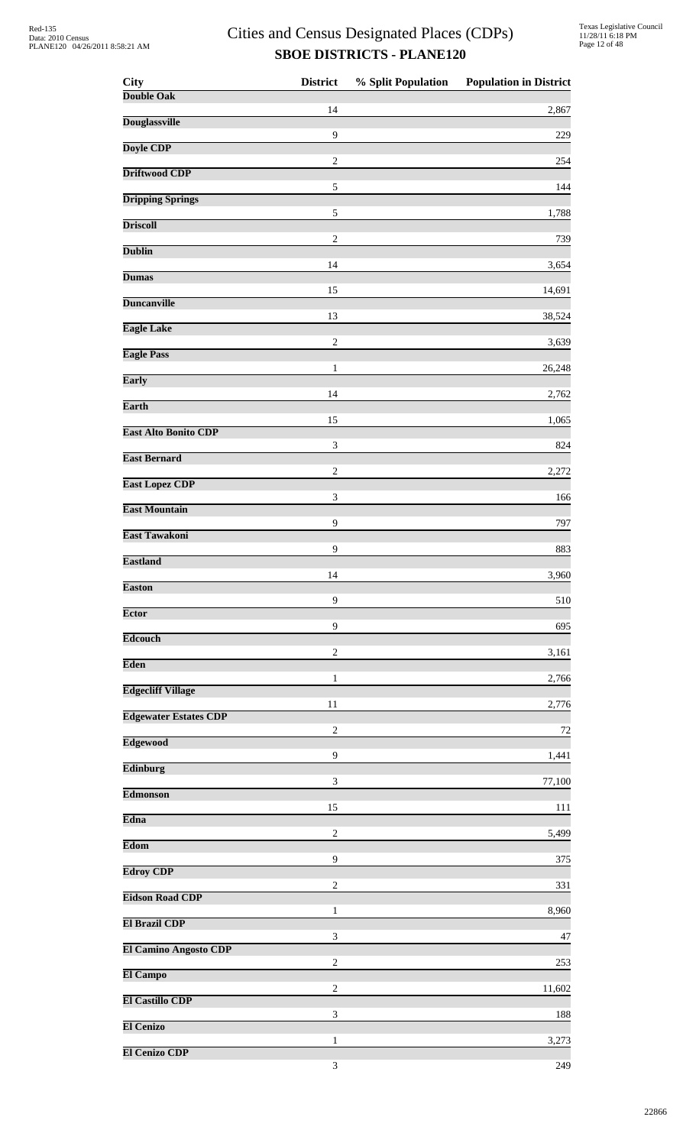| <b>City</b>                  | <b>District</b>             | % Split Population | <b>Population in District</b> |
|------------------------------|-----------------------------|--------------------|-------------------------------|
| <b>Double Oak</b>            | 14                          |                    | 2,867                         |
| <b>Douglassville</b>         |                             |                    |                               |
| Doyle CDP                    | 9                           |                    | 229                           |
| <b>Driftwood CDP</b>         | $\sqrt{2}$                  |                    | 254                           |
| <b>Dripping Springs</b>      | $\sqrt{5}$                  |                    | 144                           |
| <b>Driscoll</b>              | $\sqrt{5}$                  |                    | 1,788                         |
| <b>Dublin</b>                | $\sqrt{2}$                  |                    | 739                           |
| <b>Dumas</b>                 | 14                          |                    | 3,654                         |
|                              | 15                          |                    | 14,691                        |
| <b>Duncanville</b>           | 13                          |                    | 38,524                        |
| <b>Eagle Lake</b>            | $\sqrt{2}$                  |                    | 3,639                         |
| <b>Eagle Pass</b>            | $\mathbf{1}$                |                    | 26,248                        |
| <b>Early</b>                 | 14                          |                    | 2,762                         |
| <b>Earth</b>                 | 15                          |                    |                               |
| <b>East Alto Bonito CDP</b>  |                             |                    | 1,065                         |
| <b>East Bernard</b>          | 3                           |                    | 824                           |
| <b>East Lopez CDP</b>        | $\overline{c}$              |                    | 2,272                         |
| <b>East Mountain</b>         | $\ensuremath{\mathfrak{Z}}$ |                    | 166                           |
| <b>East Tawakoni</b>         | 9                           |                    | 797                           |
| <b>Eastland</b>              | 9                           |                    | 883                           |
| <b>Easton</b>                | 14                          |                    | 3,960                         |
|                              | 9                           |                    | 510                           |
| <b>Ector</b>                 | $\overline{9}$              |                    | 695                           |
| <b>Edcouch</b>               | $\mathbf{2}$                |                    | 3,161                         |
| <b>Eden</b>                  | 1                           |                    | 2,766                         |
| <b>Edgecliff Village</b>     | 11                          |                    | 2,776                         |
| <b>Edgewater Estates CDP</b> | $\overline{2}$              |                    | 72                            |
| <b>Edgewood</b>              |                             |                    |                               |
| Edinburg                     | 9                           |                    | 1,441                         |
| <b>Edmonson</b>              | $\mathfrak{Z}$              |                    | 77,100                        |
| <b>Edna</b>                  | 15                          |                    | 111                           |
| Edom                         | $\overline{c}$              |                    | 5,499                         |
| <b>Edroy CDP</b>             | 9                           |                    | 375                           |
| <b>Eidson Road CDP</b>       | $\overline{c}$              |                    | 331                           |
|                              | $\mathbf{1}$                |                    | 8,960                         |
| <b>El Brazil CDP</b>         | 3                           |                    | 47                            |
| <b>El Camino Angosto CDP</b> | $\overline{2}$              |                    | 253                           |
| El Campo                     | $\overline{c}$              |                    | 11,602                        |
| <b>El Castillo CDP</b>       | 3                           |                    | 188                           |
| <b>El Cenizo</b>             |                             |                    |                               |
| <b>El Cenizo CDP</b>         | $\mathbf{1}$                |                    | 3,273                         |
|                              | 3                           |                    | 249                           |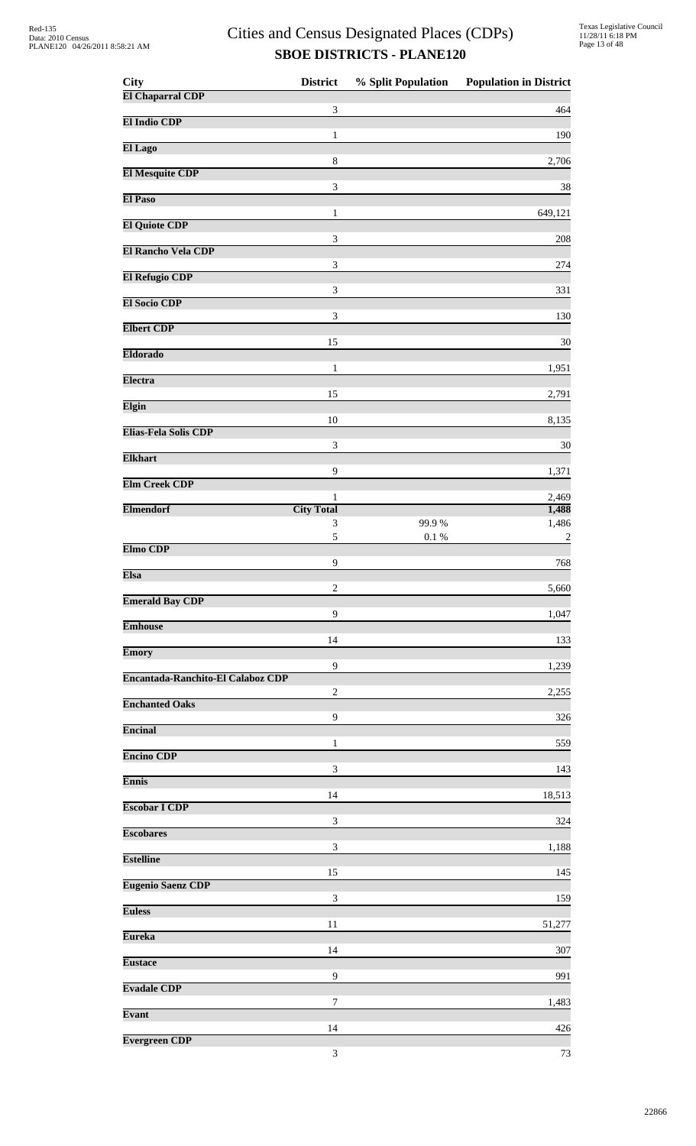| City                              | <b>District</b>             | % Split Population | <b>Population in District</b> |
|-----------------------------------|-----------------------------|--------------------|-------------------------------|
| <b>El Chaparral CDP</b>           | 3                           |                    | 464                           |
| El Indio CDP                      | 1                           |                    | 190                           |
| El Lago                           |                             |                    |                               |
| <b>El Mesquite CDP</b>            | 8                           |                    | 2,706                         |
| <b>El Paso</b>                    | 3                           |                    | 38                            |
| <b>El Quiote CDP</b>              | $\mathbf{1}$                |                    | 649,121                       |
| <b>El Rancho Vela CDP</b>         | $\mathfrak{Z}$              |                    | 208                           |
|                                   | $\ensuremath{\mathfrak{Z}}$ |                    | 274                           |
| <b>El Refugio CDP</b>             | 3                           |                    | 331                           |
| <b>El Socio CDP</b>               | 3                           |                    | 130                           |
| <b>Elbert CDP</b>                 | 15                          |                    | $30\,$                        |
| <b>Eldorado</b>                   | 1                           |                    |                               |
| <b>Electra</b>                    |                             |                    | 1,951                         |
| Elgin                             | 15                          |                    | 2,791                         |
| Elias-Fela Solis CDP              | 10                          |                    | 8,135                         |
| <b>Elkhart</b>                    | 3                           |                    | 30                            |
| <b>Elm Creek CDP</b>              | 9                           |                    | 1,371                         |
|                                   | $\mathbf{1}$                |                    | 2,469                         |
| <b>Elmendorf</b>                  | <b>City Total</b><br>3      | 99.9%              | 1,488<br>1,486                |
|                                   | 5                           | $0.1\ \%$          | $\overline{2}$                |
| Elmo CDP                          | 9                           |                    | 768                           |
| <b>Elsa</b>                       | 2                           |                    | 5,660                         |
| <b>Emerald Bay CDP</b>            | $\overline{9}$              |                    |                               |
| <b>Emhouse</b>                    |                             |                    | 1,047                         |
| <b>Emory</b>                      | 14                          |                    | 133                           |
| Encantada-Ranchito-El Calaboz CDP | $\overline{9}$              |                    | 1,239                         |
| <b>Enchanted Oaks</b>             | $\boldsymbol{2}$            |                    | 2,255                         |
|                                   | 9                           |                    | 326                           |
| <b>Encinal</b>                    | 1                           |                    | 559                           |
| <b>Encino CDP</b>                 | $\ensuremath{\mathfrak{Z}}$ |                    | 143                           |
| <b>Ennis</b>                      | 14                          |                    | 18,513                        |
| <b>Escobar I CDP</b>              |                             |                    |                               |
| <b>Escobares</b>                  | 3                           |                    | 324                           |
| <b>Estelline</b>                  | $\mathfrak{Z}$              |                    | 1,188                         |
| <b>Eugenio Saenz CDP</b>          | 15                          |                    | 145                           |
| <b>Euless</b>                     | 3                           |                    | 159                           |
|                                   | 11                          |                    | 51,277                        |
| <b>Eureka</b>                     | 14                          |                    | 307                           |
| <b>Eustace</b>                    | 9                           |                    | 991                           |
| <b>Evadale CDP</b>                | 7                           |                    | 1,483                         |
| Evant                             |                             |                    |                               |
| <b>Evergreen CDP</b>              | 14                          |                    | 426                           |
|                                   | $\ensuremath{\mathfrak{Z}}$ |                    | 73                            |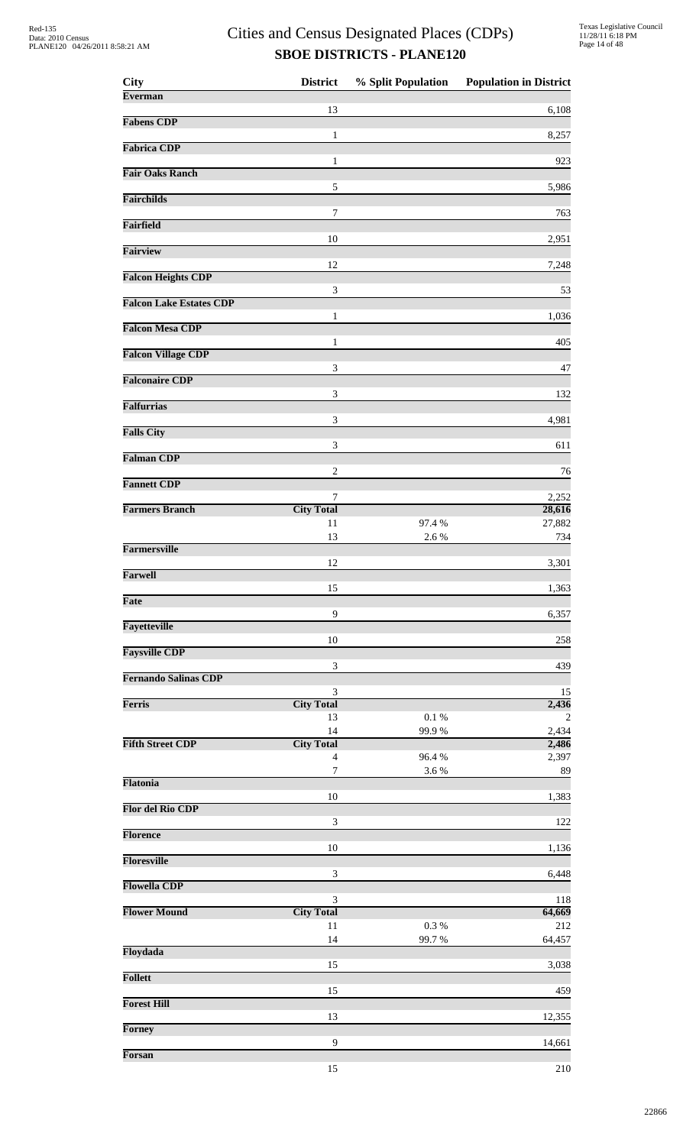| <b>City</b>                    | <b>District</b>             |                 | % Split Population Population in District |
|--------------------------------|-----------------------------|-----------------|-------------------------------------------|
| <b>Everman</b>                 |                             |                 |                                           |
| <b>Fabens CDP</b>              | 13                          |                 | 6,108                                     |
|                                | $\mathbf{1}$                |                 | 8,257                                     |
| <b>Fabrica CDP</b>             | 1                           |                 | 923                                       |
| <b>Fair Oaks Ranch</b>         |                             |                 |                                           |
| <b>Fairchilds</b>              | $\sqrt{5}$                  |                 | 5,986                                     |
|                                | 7                           |                 | 763                                       |
| <b>Fairfield</b>               |                             |                 |                                           |
| <b>Fairview</b>                | 10                          |                 | 2,951                                     |
|                                | 12                          |                 | 7,248                                     |
| <b>Falcon Heights CDP</b>      | 3                           |                 | 53                                        |
| <b>Falcon Lake Estates CDP</b> |                             |                 |                                           |
| <b>Falcon Mesa CDP</b>         | 1                           |                 | 1,036                                     |
|                                | 1                           |                 | 405                                       |
| <b>Falcon Village CDP</b>      | 3                           |                 | 47                                        |
| <b>Falconaire CDP</b>          |                             |                 |                                           |
| <b>Falfurrias</b>              | $\ensuremath{\mathfrak{Z}}$ |                 | 132                                       |
|                                | 3                           |                 | 4,981                                     |
| <b>Falls City</b>              | 3                           |                 | 611                                       |
| <b>Falman CDP</b>              |                             |                 |                                           |
| <b>Fannett CDP</b>             | $\sqrt{2}$                  |                 | 76                                        |
|                                | 7                           |                 | 2,252                                     |
| <b>Farmers Branch</b>          | <b>City Total</b>           |                 | 28,616                                    |
|                                | 11<br>13                    | 97.4 %<br>2.6 % | 27,882<br>734                             |
| <b>Farmersville</b>            |                             |                 |                                           |
| <b>Farwell</b>                 | 12                          |                 | 3,301                                     |
|                                | 15                          |                 | 1,363                                     |
| <b>Fate</b>                    | 9                           |                 | 6,357                                     |
| <b>Fayetteville</b>            |                             |                 |                                           |
| <b>Faysville CDP</b>           | 10                          |                 | 258                                       |
|                                | $\ensuremath{\mathfrak{Z}}$ |                 | 439                                       |
| <b>Fernando Salinas CDP</b>    |                             |                 |                                           |
| <b>Ferris</b>                  | 3<br><b>City Total</b>      |                 | 15<br>2,436                               |
|                                | 13                          | 0.1%            | 2                                         |
| <b>Fifth Street CDP</b>        | 14<br><b>City Total</b>     | 99.9%           | 2,434<br>2,486                            |
|                                | $\overline{4}$              | 96.4%           | 2,397                                     |
|                                | $\boldsymbol{7}$            | 3.6 %           | 89                                        |
| Flatonia                       | 10                          |                 | 1,383                                     |
| <b>Flor del Rio CDP</b>        |                             |                 |                                           |
| <b>Florence</b>                | 3                           |                 | 122                                       |
|                                | 10                          |                 | 1,136                                     |
| <b>Floresville</b>             | 3                           |                 | 6,448                                     |
| <b>Flowella CDP</b>            |                             |                 |                                           |
| <b>Flower Mound</b>            | 3<br><b>City Total</b>      |                 | 118<br>64,669                             |
|                                | 11                          | $0.3~\%$        | 212                                       |
| Floydada                       | 14                          | 99.7%           | 64,457                                    |
|                                | 15                          |                 | 3,038                                     |
| <b>Follett</b>                 |                             |                 |                                           |
| <b>Forest Hill</b>             | 15                          |                 | 459                                       |
|                                | 13                          |                 | 12,355                                    |
| <b>Forney</b>                  | 9                           |                 | 14,661                                    |
| Forsan                         |                             |                 |                                           |
|                                | 15                          |                 | 210                                       |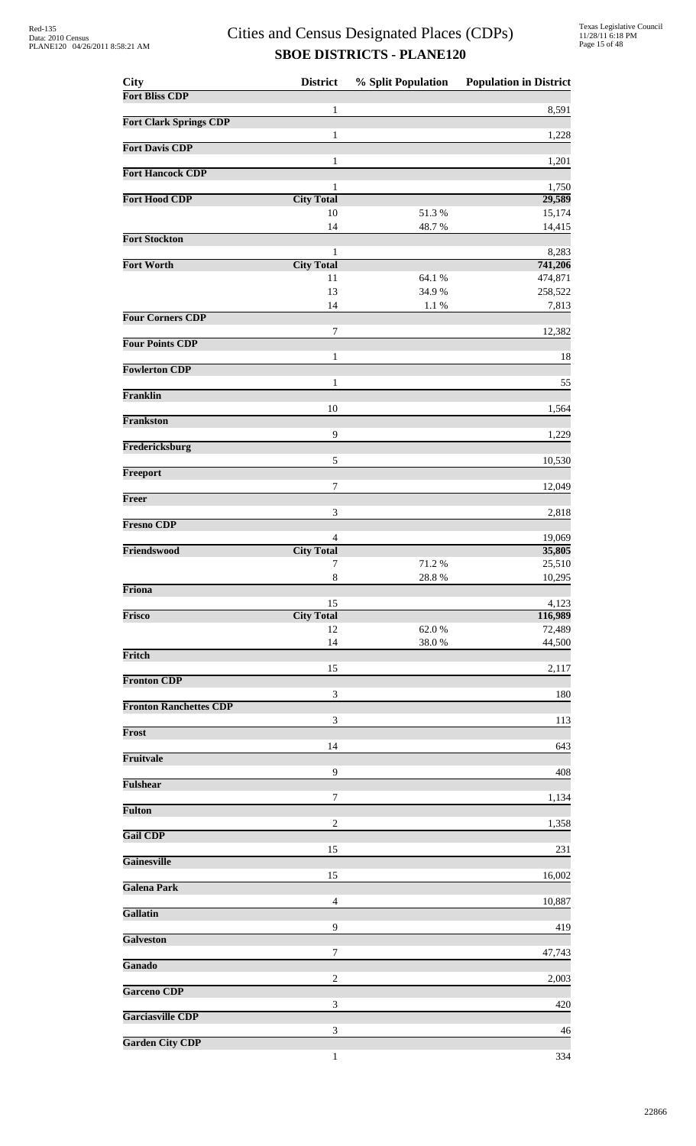| <b>City</b>                   | <b>District</b>             | % Split Population | <b>Population in District</b> |
|-------------------------------|-----------------------------|--------------------|-------------------------------|
| <b>Fort Bliss CDP</b>         | 1                           |                    | 8,591                         |
| <b>Fort Clark Springs CDP</b> |                             |                    |                               |
|                               | $\mathbf{1}$                |                    | 1,228                         |
| <b>Fort Davis CDP</b>         | $\mathbf{1}$                |                    | 1,201                         |
| <b>Fort Hancock CDP</b>       |                             |                    |                               |
| <b>Fort Hood CDP</b>          | 1<br><b>City Total</b>      |                    | 1,750<br>29,589               |
|                               | 10                          | 51.3%              | 15,174                        |
|                               | 14                          | 48.7%              | 14,415                        |
| <b>Fort Stockton</b>          | 1                           |                    | 8,283                         |
| <b>Fort Worth</b>             | <b>City Total</b>           |                    | 741,206                       |
|                               | 11<br>13                    | 64.1 %<br>34.9%    | 474,871<br>258,522            |
|                               | 14                          | $1.1~\%$           | 7,813                         |
| <b>Four Corners CDP</b>       |                             |                    |                               |
| <b>Four Points CDP</b>        | 7                           |                    | 12,382                        |
|                               | $\mathbf{1}$                |                    | 18                            |
| <b>Fowlerton CDP</b>          | 1                           |                    | 55                            |
| Franklin                      |                             |                    |                               |
| <b>Frankston</b>              | 10                          |                    | 1,564                         |
|                               | 9                           |                    | 1,229                         |
| Fredericksburg                |                             |                    |                               |
| Freeport                      | 5                           |                    | 10,530                        |
|                               | 7                           |                    | 12,049                        |
| Freer                         |                             |                    |                               |
| <b>Fresno CDP</b>             | 3                           |                    | 2,818                         |
|                               | $\overline{4}$              |                    | 19,069                        |
| Friendswood                   | <b>City Total</b><br>7      | 71.2%              | 35,805<br>25,510              |
|                               | $\,$ 8 $\,$                 | 28.8%              | 10,295                        |
| Friona                        |                             |                    | 4,123                         |
| Frisco                        | 15<br><b>City Total</b>     |                    | 116,989                       |
|                               | 12                          | 62.0%              | 72,489                        |
| Fritch                        | 14                          | 38.0%              | 44,500                        |
|                               | 15                          |                    | 2,117                         |
| <b>Fronton CDP</b>            |                             |                    |                               |
| <b>Fronton Ranchettes CDP</b> | 3                           |                    | 180                           |
|                               | $\ensuremath{\mathfrak{Z}}$ |                    | 113                           |
| Frost                         | 14                          |                    | 643                           |
| Fruitvale                     |                             |                    |                               |
| <b>Fulshear</b>               | 9                           |                    | 408                           |
|                               | 7                           |                    | 1,134                         |
| <b>Fulton</b>                 |                             |                    |                               |
| <b>Gail CDP</b>               | $\overline{c}$              |                    | 1,358                         |
|                               | 15                          |                    | 231                           |
| <b>Gainesville</b>            | 15                          |                    | 16,002                        |
| <b>Galena Park</b>            |                             |                    |                               |
| Gallatin                      | $\overline{4}$              |                    | 10,887                        |
|                               | 9                           |                    | 419                           |
| <b>Galveston</b>              |                             |                    |                               |
| Ganado                        | 7                           |                    | 47,743                        |
|                               | $\overline{c}$              |                    | 2,003                         |
| <b>Garceno CDP</b>            | 3                           |                    | 420                           |
| <b>Garciasville CDP</b>       |                             |                    |                               |
| <b>Garden City CDP</b>        | 3                           |                    | 46                            |
|                               | 1                           |                    | 334                           |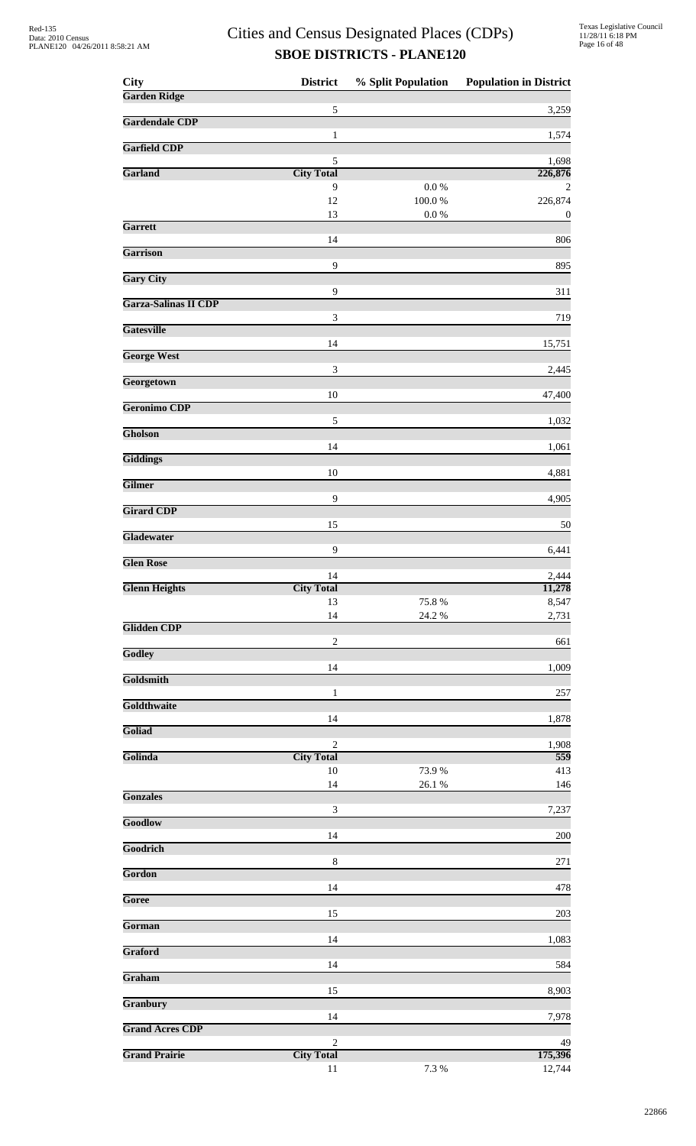| <b>City</b>            | <b>District</b>             | % Split Population      | <b>Population in District</b> |
|------------------------|-----------------------------|-------------------------|-------------------------------|
| <b>Garden Ridge</b>    |                             |                         |                               |
| <b>Gardendale CDP</b>  | $\sqrt{5}$                  |                         | 3,259                         |
|                        | $\mathbf{1}$                |                         | 1,574                         |
| <b>Garfield CDP</b>    | 5                           |                         | 1,698                         |
| Garland                | <b>City Total</b>           |                         | 226,876                       |
|                        | 9                           | 0.0 %                   | 2                             |
|                        | 12<br>13                    | $100.0~\%$<br>$0.0\ \%$ | 226,874<br>$\boldsymbol{0}$   |
| Garrett                |                             |                         |                               |
| Garrison               | 14                          |                         | 806                           |
|                        | 9                           |                         | 895                           |
| <b>Gary City</b>       | 9                           |                         | 311                           |
| Garza-Salinas II CDP   |                             |                         |                               |
| <b>Gatesville</b>      | $\ensuremath{\mathfrak{Z}}$ |                         | 719                           |
|                        | 14                          |                         | 15,751                        |
| <b>George West</b>     |                             |                         |                               |
| Georgetown             | 3                           |                         | 2,445                         |
|                        | 10                          |                         | 47,400                        |
| Geronimo CDP           | 5                           |                         | 1,032                         |
| Gholson                |                             |                         |                               |
| <b>Giddings</b>        | 14                          |                         | 1,061                         |
|                        | 10                          |                         | 4,881                         |
| <b>Gilmer</b>          |                             |                         |                               |
| <b>Girard CDP</b>      | 9                           |                         | 4,905                         |
|                        | 15                          |                         | 50                            |
| Gladewater             | 9                           |                         | 6,441                         |
| <b>Glen Rose</b>       |                             |                         |                               |
|                        | 14                          |                         | 2,444                         |
| <b>Glenn Heights</b>   | <b>City Total</b><br>13     | 75.8%                   | 11,278<br>8,547               |
|                        | 14                          | 24.2 %                  | 2,731                         |
| <b>Glidden CDP</b>     | $\sqrt{2}$                  |                         | 661                           |
| Godley                 |                             |                         |                               |
| Goldsmith              | 14                          |                         | 1,009                         |
|                        | $\mathbf{1}$                |                         | 257                           |
| Goldthwaite            |                             |                         |                               |
| Goliad                 | 14                          |                         | 1,878                         |
|                        | $\overline{2}$              |                         | 1,908                         |
| Golinda                | <b>City Total</b>           |                         | 559                           |
|                        | $10\,$<br>14                | 73.9%<br>$26.1~\%$      | 413<br>146                    |
| <b>Gonzales</b>        |                             |                         |                               |
| Goodlow                | $\sqrt{3}$                  |                         | 7,237                         |
|                        | 14                          |                         | 200                           |
| Goodrich               | 8                           |                         | 271                           |
| Gordon                 |                             |                         |                               |
| Goree                  | 14                          |                         | 478                           |
|                        | 15                          |                         | 203                           |
| Gorman                 |                             |                         |                               |
| Graford                | 14                          |                         | 1,083                         |
|                        | 14                          |                         | 584                           |
| Graham                 | 15                          |                         | 8,903                         |
| Granbury               |                             |                         |                               |
| <b>Grand Acres CDP</b> | 14                          |                         | 7,978                         |
|                        | $\overline{2}$              |                         | 49                            |
| <b>Grand Prairie</b>   | <b>City Total</b>           |                         | 175,396                       |
|                        | 11                          | 7.3 %                   | 12,744                        |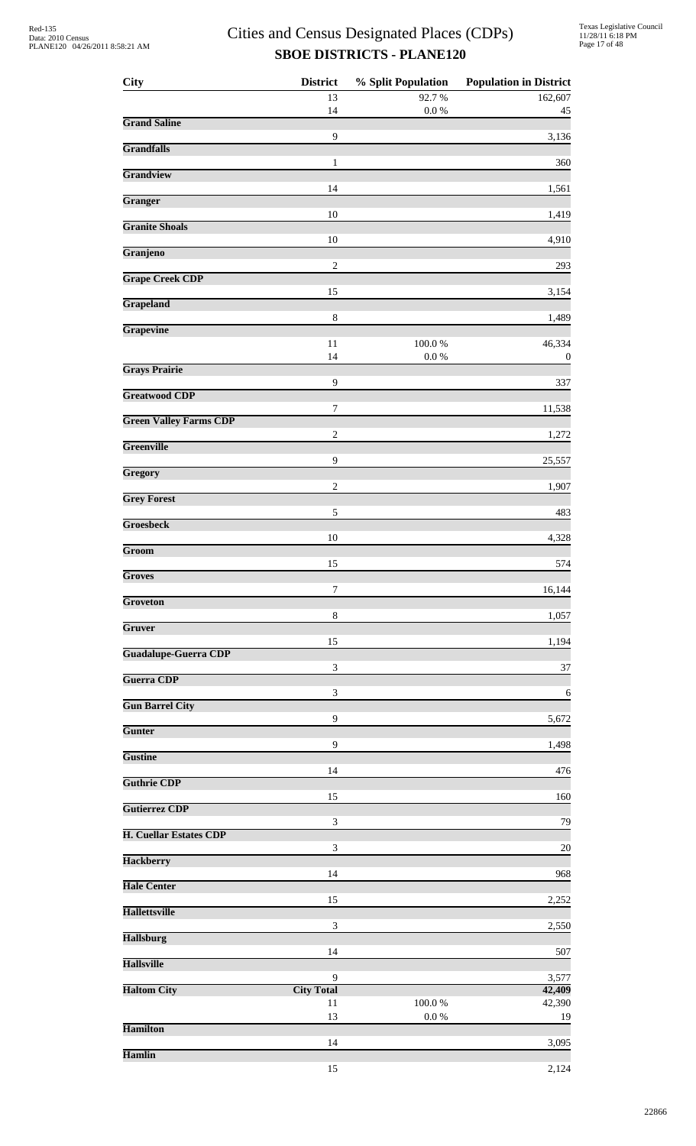| <b>City</b>                   | <b>District</b>             | % Split Population  | <b>Population in District</b> |
|-------------------------------|-----------------------------|---------------------|-------------------------------|
|                               | 13<br>14                    | 92.7%<br>$0.0\ \%$  | 162,607<br>45                 |
| <b>Grand Saline</b>           |                             |                     |                               |
| <b>Grandfalls</b>             | 9                           |                     | 3,136                         |
| Grandview                     | 1                           |                     | 360                           |
|                               | 14                          |                     | 1,561                         |
| Granger                       | 10                          |                     | 1,419                         |
| <b>Granite Shoals</b>         | 10                          |                     | 4,910                         |
| Granjeno                      | $\sqrt{2}$                  |                     | 293                           |
| <b>Grape Creek CDP</b>        |                             |                     |                               |
| <b>Grapeland</b>              | 15                          |                     | 3,154                         |
| Grapevine                     | $\,$ 8 $\,$                 |                     | 1,489                         |
|                               | 11<br>14                    | 100.0%<br>$0.0\ \%$ | 46,334                        |
| <b>Grays Prairie</b>          |                             |                     | $\boldsymbol{0}$              |
| <b>Greatwood CDP</b>          | 9                           |                     | 337                           |
| <b>Green Valley Farms CDP</b> | 7                           |                     | 11,538                        |
| <b>Greenville</b>             | $\overline{c}$              |                     | 1,272                         |
|                               | $\mathbf{9}$                |                     | 25,557                        |
| Gregory                       | $\overline{c}$              |                     | 1,907                         |
| <b>Grey Forest</b>            | 5                           |                     | 483                           |
| <b>Groesbeck</b>              | 10                          |                     | 4,328                         |
| Groom                         |                             |                     |                               |
| <b>Groves</b>                 | 15                          |                     | 574                           |
| Groveton                      | 7                           |                     | 16,144                        |
| Gruver                        | $\,8\,$                     |                     | 1,057                         |
|                               | 15                          |                     | 1,194                         |
| <b>Guadalupe-Guerra CDP</b>   | $\ensuremath{\mathfrak{Z}}$ |                     | 37                            |
| <b>Guerra CDP</b>             | 3                           |                     | 6                             |
| <b>Gun Barrel City</b>        |                             |                     |                               |
| Gunter                        | $\mathbf{9}$                |                     | 5,672                         |
| <b>Gustine</b>                | 9                           |                     | 1,498                         |
| <b>Guthrie CDP</b>            | 14                          |                     | 476                           |
|                               | 15                          |                     | 160                           |
| <b>Gutierrez CDP</b>          | $\ensuremath{\mathfrak{Z}}$ |                     | 79                            |
| <b>H. Cuellar Estates CDP</b> | $\ensuremath{\mathfrak{Z}}$ |                     | 20                            |
| <b>Hackberry</b>              | 14                          |                     | 968                           |
| <b>Hale Center</b>            |                             |                     |                               |
| <b>Hallettsville</b>          | 15                          |                     | 2,252                         |
| <b>Hallsburg</b>              | 3                           |                     | 2,550                         |
|                               | 14                          |                     | 507                           |
| <b>Hallsville</b>             | 9                           |                     | 3,577                         |
| <b>Haltom City</b>            | <b>City Total</b><br>11     | 100.0%              | 42,409<br>42,390              |
| <b>Hamilton</b>               | 13                          | 0.0 %               | 19                            |
|                               | 14                          |                     | 3,095                         |
| <b>Hamlin</b>                 | 15                          |                     | 2,124                         |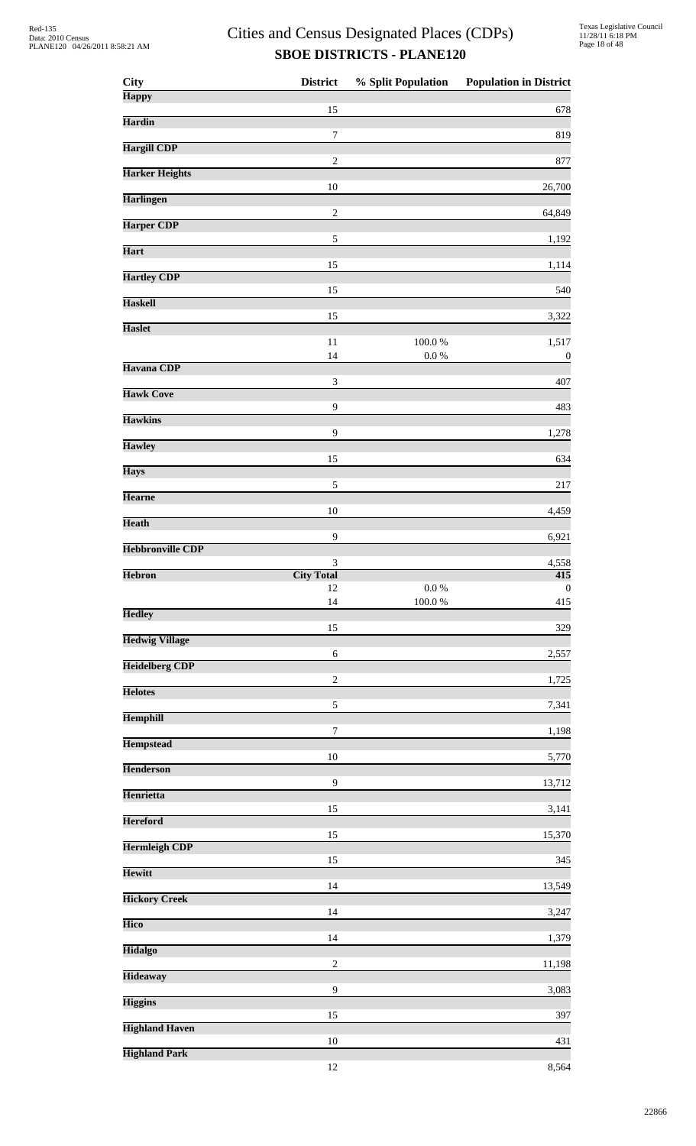| City                    | <b>District</b>        | % Split Population      | <b>Population in District</b> |
|-------------------------|------------------------|-------------------------|-------------------------------|
| <b>Happy</b>            | 15                     |                         | 678                           |
| <b>Hardin</b>           |                        |                         |                               |
| <b>Hargill CDP</b>      | 7                      |                         | 819                           |
| <b>Harker Heights</b>   | $\sqrt{2}$             |                         | 877                           |
| <b>Harlingen</b>        | 10                     |                         | 26,700                        |
|                         | $\sqrt{2}$             |                         | 64,849                        |
| <b>Harper CDP</b>       | $\sqrt{5}$             |                         | 1,192                         |
| <b>Hart</b>             | 15                     |                         | 1,114                         |
| <b>Hartley CDP</b>      | 15                     |                         | 540                           |
| <b>Haskell</b>          | 15                     |                         | 3,322                         |
| <b>Haslet</b>           |                        |                         |                               |
|                         | 11<br>14               | $100.0~\%$<br>$0.0\ \%$ | 1,517<br>$\boldsymbol{0}$     |
| Havana CDP              | $\mathfrak{Z}$         |                         | 407                           |
| <b>Hawk Cove</b>        |                        |                         |                               |
| <b>Hawkins</b>          | 9                      |                         | 483                           |
| <b>Hawley</b>           | 9                      |                         | 1,278                         |
|                         | 15                     |                         | 634                           |
| <b>Hays</b>             | $\sqrt{5}$             |                         | 217                           |
| <b>Hearne</b>           | 10                     |                         | 4,459                         |
| <b>Heath</b>            | 9                      |                         | 6,921                         |
| <b>Hebbronville CDP</b> |                        |                         |                               |
| <b>Hebron</b>           | 3<br><b>City Total</b> |                         | 4,558<br>$\overline{415}$     |
|                         | 12<br>14               | 0.0 %<br>$100.0~\%$     | $\boldsymbol{0}$<br>415       |
| <b>Hedley</b>           |                        |                         |                               |
| <b>Hedwig Village</b>   | 15                     |                         | 329                           |
| <b>Heidelberg CDP</b>   | 6                      |                         | 2,557                         |
| <b>Helotes</b>          | $\sqrt{2}$             |                         | 1,725                         |
|                         | $\sqrt{5}$             |                         | 7,341                         |
| <b>Hemphill</b>         | $\boldsymbol{7}$       |                         | 1,198                         |
| <b>Hempstead</b>        | 10                     |                         | 5,770                         |
| <b>Henderson</b>        | 9                      |                         |                               |
| Henrietta               |                        |                         | 13,712                        |
| <b>Hereford</b>         | 15                     |                         | 3,141                         |
| <b>Hermleigh CDP</b>    | 15                     |                         | 15,370                        |
| <b>Hewitt</b>           | 15                     |                         | 345                           |
|                         | 14                     |                         | 13,549                        |
| <b>Hickory Creek</b>    | 14                     |                         | 3,247                         |
| <b>Hico</b>             | 14                     |                         | 1,379                         |
| <b>Hidalgo</b>          | $\sqrt{2}$             |                         |                               |
| <b>Hideaway</b>         |                        |                         | 11,198                        |
| <b>Higgins</b>          | 9                      |                         | 3,083                         |
| <b>Highland Haven</b>   | 15                     |                         | 397                           |
| <b>Highland Park</b>    | 10                     |                         | 431                           |
|                         | 12                     |                         | 8,564                         |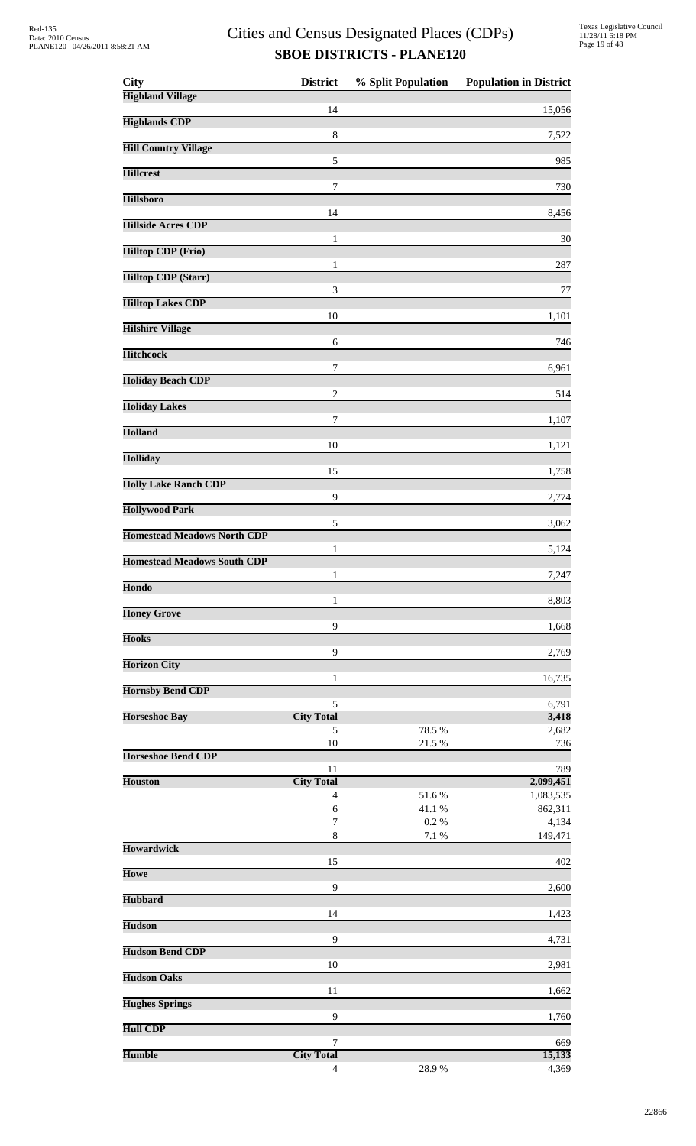| <b>City</b>                        | <b>District</b>         | % Split Population | <b>Population in District</b> |
|------------------------------------|-------------------------|--------------------|-------------------------------|
| <b>Highland Village</b>            | 14                      |                    | 15,056                        |
| <b>Highlands CDP</b>               |                         |                    |                               |
| <b>Hill Country Village</b>        | 8                       |                    | 7,522                         |
|                                    | 5                       |                    | 985                           |
| <b>Hillcrest</b>                   | 7                       |                    | 730                           |
| <b>Hillsboro</b>                   |                         |                    |                               |
| <b>Hillside Acres CDP</b>          | 14                      |                    | 8,456                         |
| <b>Hilltop CDP (Frio)</b>          | 1                       |                    | 30                            |
|                                    | 1                       |                    | 287                           |
| <b>Hilltop CDP (Starr)</b>         | 3                       |                    | 77                            |
| <b>Hilltop Lakes CDP</b>           |                         |                    |                               |
| <b>Hilshire Village</b>            | 10                      |                    | 1,101                         |
|                                    | 6                       |                    | 746                           |
| <b>Hitchcock</b>                   | 7                       |                    | 6,961                         |
| <b>Holiday Beach CDP</b>           | $\overline{c}$          |                    | 514                           |
| <b>Holiday Lakes</b>               |                         |                    |                               |
| <b>Holland</b>                     | $\tau$                  |                    | 1,107                         |
|                                    | 10                      |                    | 1,121                         |
| <b>Holliday</b>                    | 15                      |                    | 1,758                         |
| <b>Holly Lake Ranch CDP</b>        |                         |                    |                               |
| <b>Hollywood Park</b>              | 9                       |                    | 2,774                         |
| <b>Homestead Meadows North CDP</b> | 5                       |                    | 3,062                         |
|                                    | 1                       |                    | 5,124                         |
| <b>Homestead Meadows South CDP</b> | 1                       |                    | 7,247                         |
| Hondo                              |                         |                    |                               |
| <b>Honey Grove</b>                 | 1                       |                    | 8,803                         |
| <b>Hooks</b>                       | $\overline{9}$          |                    | 1,668                         |
|                                    | 9                       |                    | 2,769                         |
| <b>Horizon City</b>                | 1                       |                    | 16,735                        |
| <b>Hornsby Bend CDP</b>            |                         |                    |                               |
| <b>Horseshoe Bay</b>               | 5<br><b>City Total</b>  |                    | 6,791<br>3,418                |
|                                    | 5<br>10                 | 78.5 %<br>21.5 %   | 2,682<br>736                  |
| <b>Horseshoe Bend CDP</b>          |                         |                    |                               |
| <b>Houston</b>                     | 11<br><b>City Total</b> |                    | 789<br>2,099,451              |
|                                    | 4                       | 51.6%              | 1,083,535                     |
|                                    | 6<br>$\boldsymbol{7}$   | 41.1%<br>0.2%      | 862,311<br>4,134              |
|                                    | 8                       | 7.1 %              | 149,471                       |
| <b>Howardwick</b>                  | 15                      |                    | 402                           |
| <b>Howe</b>                        | 9                       |                    |                               |
| <b>Hubbard</b>                     |                         |                    | 2,600                         |
| <b>Hudson</b>                      | 14                      |                    | 1,423                         |
|                                    | 9                       |                    | 4,731                         |
| <b>Hudson Bend CDP</b>             |                         |                    |                               |
|                                    | 10                      |                    |                               |
| <b>Hudson Oaks</b>                 |                         |                    | 2,981                         |
| <b>Hughes Springs</b>              | 11                      |                    | 1,662                         |
|                                    | 9                       |                    | 1,760                         |
| <b>Hull CDP</b><br><b>Humble</b>   | 7<br><b>City Total</b>  |                    | 669<br>15,133                 |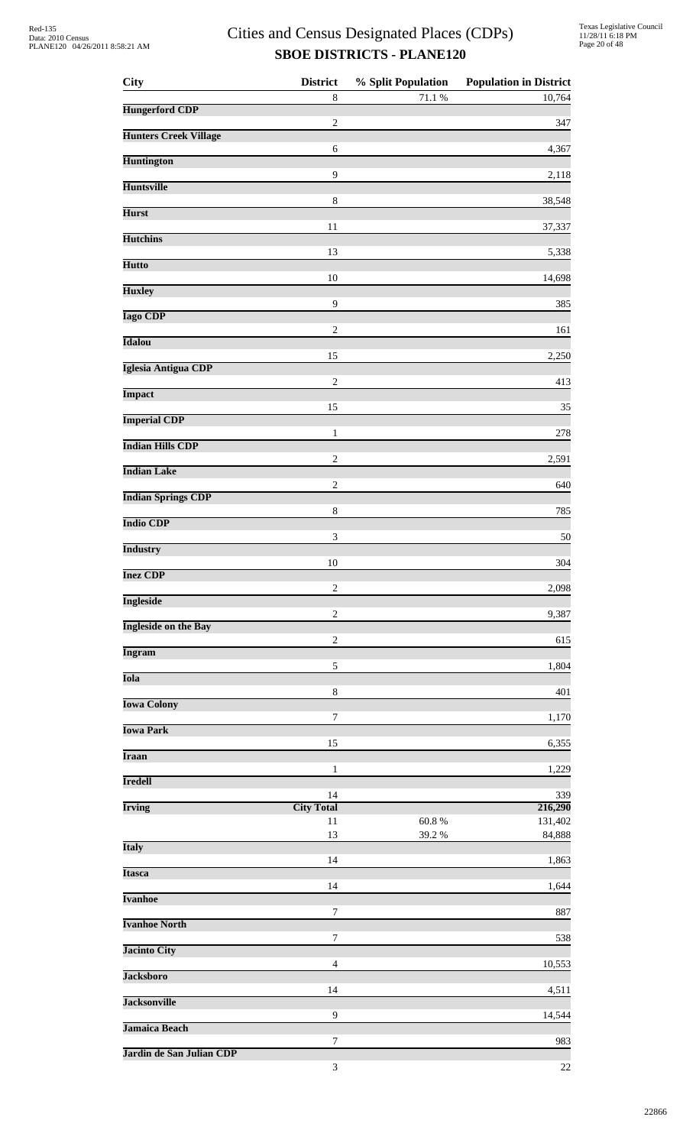| <b>City</b>                  | <b>District</b>             | % Split Population | <b>Population in District</b> |
|------------------------------|-----------------------------|--------------------|-------------------------------|
| <b>Hungerford CDP</b>        | $\,8$                       | $71.1\text{ }\%$   | 10,764                        |
| <b>Hunters Creek Village</b> | $\boldsymbol{2}$            |                    | 347                           |
| <b>Huntington</b>            | 6                           |                    | 4,367                         |
| <b>Huntsville</b>            | 9                           |                    | 2,118                         |
| <b>Hurst</b>                 | $\,$ 8 $\,$                 |                    | 38,548                        |
| <b>Hutchins</b>              | 11                          |                    | 37,337                        |
|                              | 13                          |                    | 5,338                         |
| <b>Hutto</b>                 | 10                          |                    | 14,698                        |
| <b>Huxley</b>                | $\overline{9}$              |                    | 385                           |
| <b>Iago CDP</b>              | $\sqrt{2}$                  |                    | 161                           |
| <b>Idalou</b>                | 15                          |                    | 2,250                         |
| <b>Iglesia Antigua CDP</b>   | $\sqrt{2}$                  |                    | 413                           |
| <b>Impact</b>                | 15                          |                    | 35                            |
| <b>Imperial CDP</b>          | $\mathbf{1}$                |                    | 278                           |
| <b>Indian Hills CDP</b>      | $\sqrt{2}$                  |                    | 2,591                         |
| <b>Indian Lake</b>           |                             |                    |                               |
| <b>Indian Springs CDP</b>    | $\sqrt{2}$                  |                    | 640                           |
| <b>Indio CDP</b>             | $\,8\,$                     |                    | 785                           |
| <b>Industry</b>              | $\ensuremath{\mathfrak{Z}}$ |                    | 50                            |
| <b>Inez CDP</b>              | 10                          |                    | 304                           |
| <b>Ingleside</b>             | $\sqrt{2}$                  |                    | 2,098                         |
| <b>Ingleside on the Bay</b>  | $\boldsymbol{2}$            |                    | 9,387                         |
| <b>Ingram</b>                | $\sqrt{2}$                  |                    | 615                           |
| <b>Iola</b>                  | $\sqrt{5}$                  |                    | 1,804                         |
| <b>Iowa Colony</b>           | $\,8\,$                     |                    | 401                           |
| <b>Iowa Park</b>             | $\tau$                      |                    | 1,170                         |
| <b>Iraan</b>                 | 15                          |                    | 6,355                         |
|                              | 1                           |                    | 1,229                         |
| <b>Iredell</b>               | 14                          |                    | 339                           |
| <b>Irving</b>                | <b>City Total</b><br>$11\,$ | 60.8%              | 216,290<br>131,402            |
| <b>Italy</b>                 | 13                          | 39.2 %             | 84,888                        |
| <b>Itasca</b>                | 14                          |                    | 1,863                         |
| <b>Ivanhoe</b>               | 14                          |                    | 1,644                         |
| <b>Ivanhoe North</b>         | 7                           |                    | 887                           |
|                              | $\tau$                      |                    | 538                           |
| <b>Jacinto City</b>          | $\overline{4}$              |                    | 10,553                        |
| <b>Jacksboro</b>             | 14                          |                    | 4,511                         |
| <b>Jacksonville</b>          | 9                           |                    | 14,544                        |
| <b>Jamaica Beach</b>         | 7                           |                    | 983                           |
| Jardin de San Julian CDP     | $\mathfrak{Z}$              |                    | 22                            |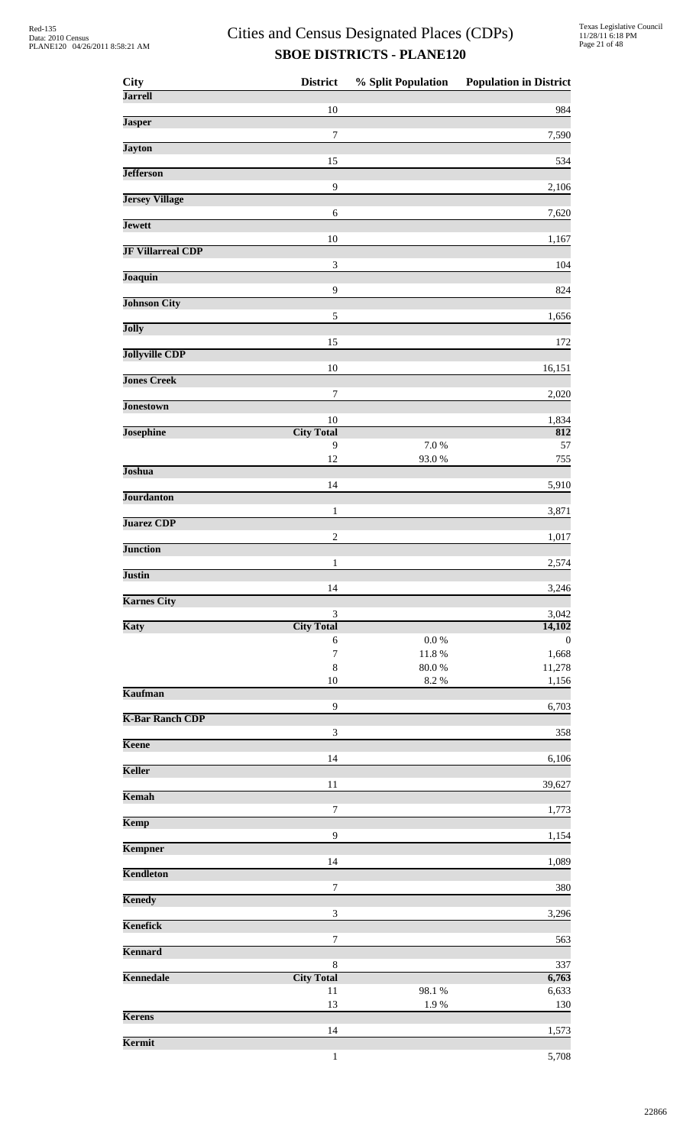| City                     | <b>District</b>              | % Split Population  | <b>Population in District</b> |
|--------------------------|------------------------------|---------------------|-------------------------------|
| <b>Jarrell</b>           | 10                           |                     | 984                           |
| <b>Jasper</b>            |                              |                     |                               |
| <b>Jayton</b>            | $\boldsymbol{7}$             |                     | 7,590                         |
| <b>Jefferson</b>         | 15                           |                     | 534                           |
| <b>Jersey Village</b>    | 9                            |                     | 2,106                         |
| <b>Jewett</b>            | $\sqrt{6}$                   |                     | 7,620                         |
| <b>JF Villarreal CDP</b> | 10                           |                     | 1,167                         |
|                          | 3                            |                     | 104                           |
| Joaquin                  | 9                            |                     | 824                           |
| <b>Johnson City</b>      | 5                            |                     | 1,656                         |
| Jolly                    | 15                           |                     | 172                           |
| <b>Jollyville CDP</b>    | 10                           |                     | 16,151                        |
| <b>Jones Creek</b>       |                              |                     |                               |
| <b>Jonestown</b>         | 7                            |                     | 2,020                         |
| <b>Josephine</b>         | $10\,$<br><b>City Total</b>  |                     | 1,834<br>812                  |
|                          | 9<br>12                      | 7.0 %<br>93.0%      | 57<br>755                     |
| Joshua                   |                              |                     |                               |
| <b>Jourdanton</b>        | 14                           |                     | 5,910                         |
| <b>Juarez CDP</b>        | $\mathbf{1}$                 |                     | 3,871                         |
| <b>Junction</b>          | $\overline{c}$               |                     | 1,017                         |
| <b>Justin</b>            | 1                            |                     | 2,574                         |
|                          | 14                           |                     | 3,246                         |
| <b>Karnes City</b>       | $\ensuremath{\mathfrak{Z}}$  |                     | 3,042                         |
| Katy                     | <b>City Total</b><br>6       | $0.0\ \%$           | 14,102<br>$\boldsymbol{0}$    |
|                          | $\boldsymbol{7}$             | $11.8\ \%$          | 1,668                         |
|                          | $\,8\,$<br>10                | $80.0\;\%$<br>8.2 % | 11,278<br>1,156               |
| <b>Kaufman</b>           |                              |                     |                               |
| <b>K-Bar Ranch CDP</b>   | 9                            |                     | 6,703                         |
| Keene                    | $\ensuremath{\mathfrak{Z}}$  |                     | 358                           |
| Keller                   | 14                           |                     | 6,106                         |
| Kemah                    | 11                           |                     | 39,627                        |
| Kemp                     | $\boldsymbol{7}$             |                     | 1,773                         |
|                          | 9                            |                     | 1,154                         |
| Kempner                  | 14                           |                     | 1,089                         |
| <b>Kendleton</b>         | 7                            |                     | 380                           |
| <b>Kenedy</b>            | $\ensuremath{\mathfrak{Z}}$  |                     | 3,296                         |
| Kenefick                 |                              |                     |                               |
| Kennard                  | 7                            |                     | 563                           |
| Kennedale                | $\,8\,$<br><b>City Total</b> |                     | 337<br>6,763                  |
|                          | 11                           | 98.1%               | 6,633                         |
| <b>Kerens</b>            | 13                           | 1.9%                | 130                           |
| Kermit                   | 14                           |                     | 1,573                         |
|                          | $\mathbf{1}$                 |                     | 5,708                         |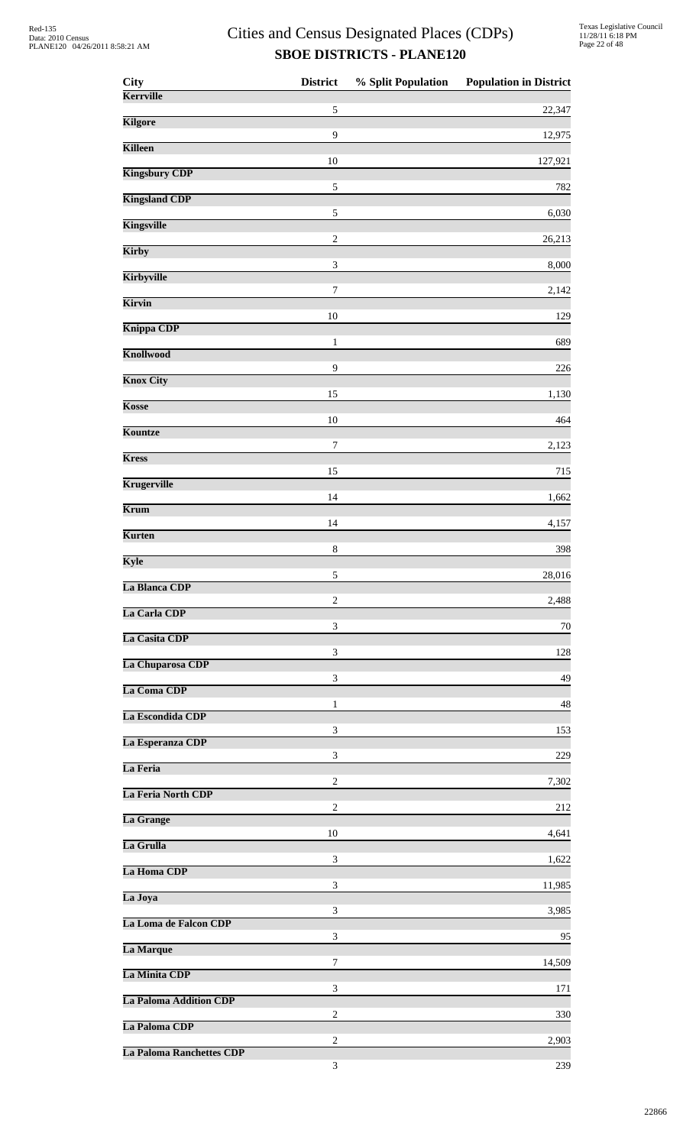| <b>City</b>                     | <b>District</b>             | % Split Population | <b>Population in District</b> |
|---------------------------------|-----------------------------|--------------------|-------------------------------|
| Kerrville                       | $\sqrt{5}$                  |                    | 22,347                        |
| <b>Kilgore</b>                  | 9                           |                    | 12,975                        |
| <b>Killeen</b>                  |                             |                    |                               |
| <b>Kingsbury CDP</b>            | 10                          |                    | 127,921                       |
| <b>Kingsland CDP</b>            | $\sqrt{5}$                  |                    | 782                           |
| <b>Kingsville</b>               | $\sqrt{5}$                  |                    | 6,030                         |
| Kirby                           | $\overline{c}$              |                    | 26,213                        |
| Kirbyville                      | $\ensuremath{\mathfrak{Z}}$ |                    | 8,000                         |
| Kirvin                          | $\boldsymbol{7}$            |                    | 2,142                         |
| <b>Knippa CDP</b>               | 10                          |                    | 129                           |
| <b>Knollwood</b>                | $\mathbf{1}$                |                    | 689                           |
|                                 | 9                           |                    | 226                           |
| <b>Knox City</b>                | 15                          |                    | 1,130                         |
| Kosse                           | 10                          |                    | 464                           |
| Kountze                         | 7                           |                    | 2,123                         |
| <b>Kress</b>                    | 15                          |                    | 715                           |
| <b>Krugerville</b>              | 14                          |                    | 1,662                         |
| Krum                            | 14                          |                    | 4,157                         |
| <b>Kurten</b>                   | $\,8\,$                     |                    | 398                           |
| Kyle                            |                             |                    |                               |
| La Blanca CDP                   | $\sqrt{5}$                  |                    | 28,016                        |
| La Carla CDP                    | $\overline{2}$              |                    | 2,488                         |
| La Casita CDP                   | 3                           |                    | 70                            |
| La Chuparosa CDP                | 3                           |                    | 128                           |
| La Coma CDP                     | 3                           |                    | 49                            |
| La Escondida CDP                | 1                           |                    | 48                            |
| La Esperanza CDP                | 3                           |                    | 153                           |
| La Feria                        | 3                           |                    | 229                           |
| La Feria North CDP              | $\overline{c}$              |                    | 7,302                         |
|                                 | $\overline{c}$              |                    | 212                           |
| La Grange                       | 10                          |                    | 4,641                         |
| La Grulla                       | 3                           |                    | 1,622                         |
| La Homa CDP                     | 3                           |                    | 11,985                        |
| La Joya                         | 3                           |                    | 3,985                         |
| La Loma de Falcon CDP           | 3                           |                    | 95                            |
| La Marque                       | 7                           |                    | 14,509                        |
| La Minita CDP                   | 3                           |                    | 171                           |
| <b>La Paloma Addition CDP</b>   | $\overline{2}$              |                    |                               |
| La Paloma CDP                   |                             |                    | 330                           |
| <b>La Paloma Ranchettes CDP</b> | $\overline{c}$              |                    | 2,903                         |
|                                 | 3                           |                    | 239                           |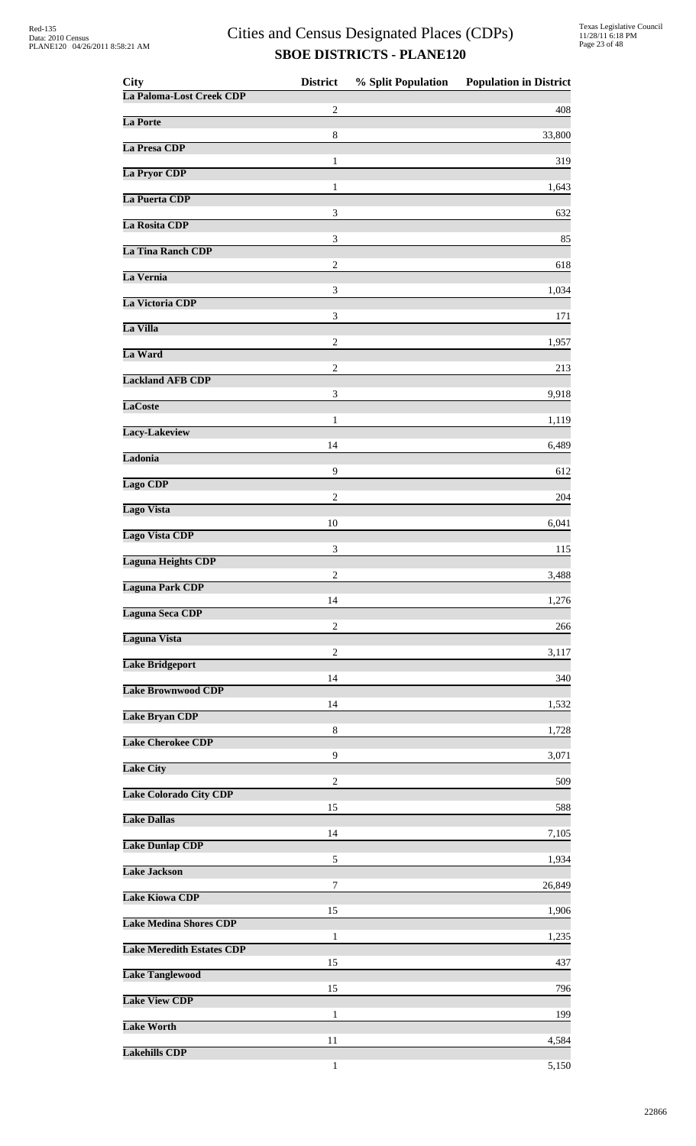| City                             | <b>District</b>             | % Split Population | <b>Population in District</b> |
|----------------------------------|-----------------------------|--------------------|-------------------------------|
| La Paloma-Lost Creek CDP         | $\overline{c}$              |                    | 408                           |
| La Porte                         | 8                           |                    | 33,800                        |
| La Presa CDP                     | $\mathbf{1}$                |                    | 319                           |
| La Pryor CDP                     | 1                           |                    |                               |
| La Puerta CDP                    |                             |                    | 1,643                         |
| La Rosita CDP                    | $\mathfrak{Z}$              |                    | 632                           |
| La Tina Ranch CDP                | 3                           |                    | 85                            |
| La Vernia                        | $\overline{c}$              |                    | 618                           |
| La Victoria CDP                  | 3                           |                    | 1,034                         |
| La Villa                         | 3                           |                    | 171                           |
| La Ward                          | $\overline{2}$              |                    | 1,957                         |
| <b>Lackland AFB CDP</b>          | $\overline{c}$              |                    | 213                           |
| <b>LaCoste</b>                   | 3                           |                    | 9,918                         |
| Lacy-Lakeview                    | $\mathbf{1}$                |                    | 1,119                         |
| Ladonia                          | 14                          |                    | 6,489                         |
| Lago CDP                         | 9                           |                    | 612                           |
| Lago Vista                       | $\overline{c}$              |                    | 204                           |
| <b>Lago Vista CDP</b>            | 10                          |                    | 6,041                         |
| <b>Laguna Heights CDP</b>        | $\ensuremath{\mathfrak{Z}}$ |                    | 115                           |
|                                  | 2                           |                    | 3,488                         |
| <b>Laguna Park CDP</b>           | 14                          |                    | 1,276                         |
| <b>Laguna Seca CDP</b>           | $\overline{c}$              |                    | 266                           |
| Laguna Vista                     | $\overline{2}$              |                    | 3,117                         |
| <b>Lake Bridgeport</b>           | 14                          |                    | 340                           |
| <b>Lake Brownwood CDP</b>        | 14                          |                    | 1,532                         |
| <b>Lake Bryan CDP</b>            | 8                           |                    | 1,728                         |
| <b>Lake Cherokee CDP</b>         | 9                           |                    | 3,071                         |
| <b>Lake City</b>                 | $\overline{c}$              |                    | 509                           |
| <b>Lake Colorado City CDP</b>    | 15                          |                    | 588                           |
| <b>Lake Dallas</b>               | 14                          |                    | 7,105                         |
| <b>Lake Dunlap CDP</b>           | 5                           |                    | 1,934                         |
| <b>Lake Jackson</b>              | 7                           |                    | 26,849                        |
| <b>Lake Kiowa CDP</b>            |                             |                    |                               |
| <b>Lake Medina Shores CDP</b>    | 15                          |                    | 1,906                         |
| <b>Lake Meredith Estates CDP</b> | 1                           |                    | 1,235                         |
| <b>Lake Tanglewood</b>           | 15                          |                    | 437                           |
| <b>Lake View CDP</b>             | 15                          |                    | 796                           |
| <b>Lake Worth</b>                | $\mathbf{1}$                |                    | 199                           |
| <b>Lakehills CDP</b>             | 11                          |                    | 4,584                         |
|                                  | 1                           |                    | 5,150                         |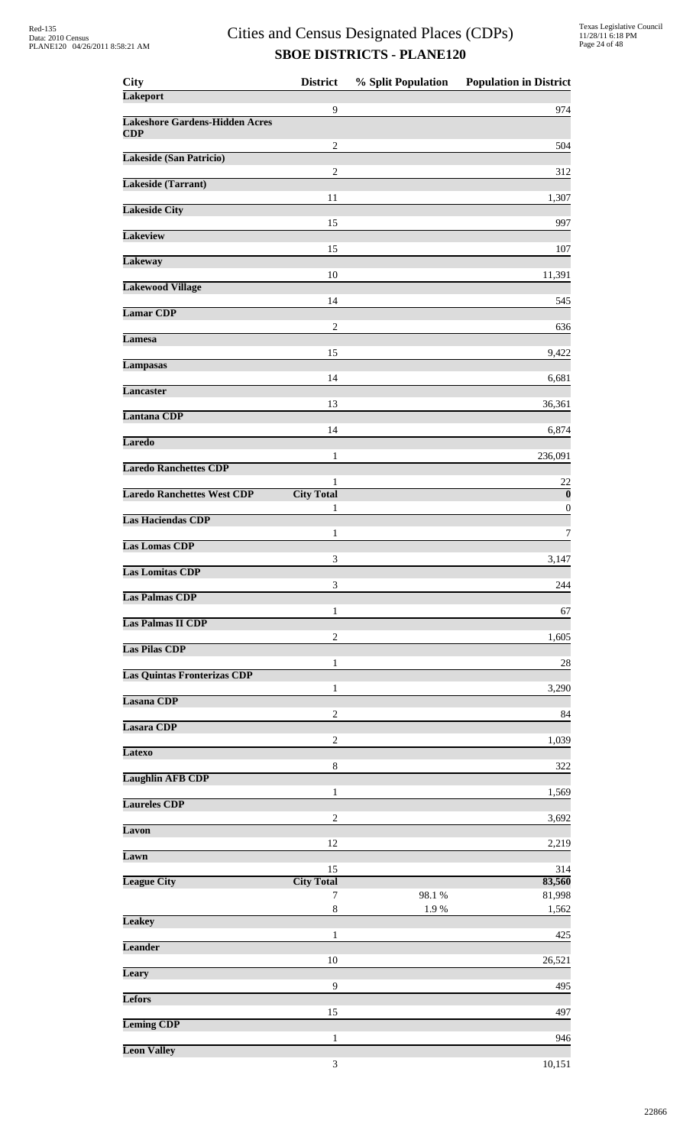| <b>City</b>                                  | <b>District</b>             | % Split Population | <b>Population in District</b> |
|----------------------------------------------|-----------------------------|--------------------|-------------------------------|
| <b>Lakeport</b>                              | $\overline{9}$              |                    | 974                           |
| <b>Lakeshore Gardens-Hidden Acres</b><br>CDP |                             |                    |                               |
| <b>Lakeside (San Patricio)</b>               | $\overline{c}$              |                    | 504                           |
| Lakeside (Tarrant)                           | $\overline{2}$              |                    | 312                           |
|                                              | 11                          |                    | 1,307                         |
| <b>Lakeside City</b>                         | 15                          |                    | 997                           |
| <b>Lakeview</b>                              | 15                          |                    | 107                           |
| <b>Lakeway</b>                               |                             |                    |                               |
| <b>Lakewood Village</b>                      | 10                          |                    | 11,391                        |
| <b>Lamar CDP</b>                             | 14                          |                    | 545                           |
| <b>Lamesa</b>                                | $\overline{c}$              |                    | 636                           |
| <b>Lampasas</b>                              | 15                          |                    | 9,422                         |
|                                              | 14                          |                    | 6,681                         |
| <b>Lancaster</b>                             | 13                          |                    | 36,361                        |
| <b>Lantana CDP</b>                           | 14                          |                    | 6,874                         |
| <b>Laredo</b>                                |                             |                    |                               |
| <b>Laredo Ranchettes CDP</b>                 | 1                           |                    | 236,091                       |
| <b>Laredo Ranchettes West CDP</b>            | 1<br><b>City Total</b>      |                    | 22<br>$\boldsymbol{0}$        |
| <b>Las Haciendas CDP</b>                     | 1                           |                    | 0                             |
| <b>Las Lomas CDP</b>                         | 1                           |                    | 7                             |
| <b>Las Lomitas CDP</b>                       | 3                           |                    | 3,147                         |
| <b>Las Palmas CDP</b>                        | 3                           |                    | 244                           |
|                                              | 1                           |                    | 67                            |
| <b>Las Palmas II CDP</b>                     | $\overline{2}$              |                    | 1,605                         |
| <b>Las Pilas CDP</b>                         | 1                           |                    | 28                            |
| <b>Las Quintas Fronterizas CDP</b>           | 1                           |                    | 3,290                         |
| Lasana CDP                                   |                             |                    |                               |
| Lasara CDP                                   | $\boldsymbol{2}$            |                    | 84                            |
| <b>Latexo</b>                                | $\overline{c}$              |                    | 1,039                         |
| <b>Laughlin AFB CDP</b>                      | $\,8\,$                     |                    | 322                           |
|                                              | 1                           |                    | 1,569                         |
| <b>Laureles CDP</b>                          | $\overline{2}$              |                    | 3,692                         |
| Lavon                                        | 12                          |                    | 2,219                         |
| Lawn                                         | 15                          |                    | 314                           |
| <b>League City</b>                           | <b>City Total</b>           |                    | 83,560                        |
|                                              | 7<br>8                      | 98.1 %<br>1.9%     | 81,998<br>1,562               |
| <b>Leakey</b>                                | 1                           |                    | 425                           |
| <b>Leander</b>                               |                             |                    |                               |
| Leary                                        | 10                          |                    | 26,521                        |
| Lefors                                       | 9                           |                    | 495                           |
| <b>Leming CDP</b>                            | 15                          |                    | 497                           |
| <b>Leon Valley</b>                           | 1                           |                    | 946                           |
|                                              | $\ensuremath{\mathfrak{Z}}$ |                    | 10,151                        |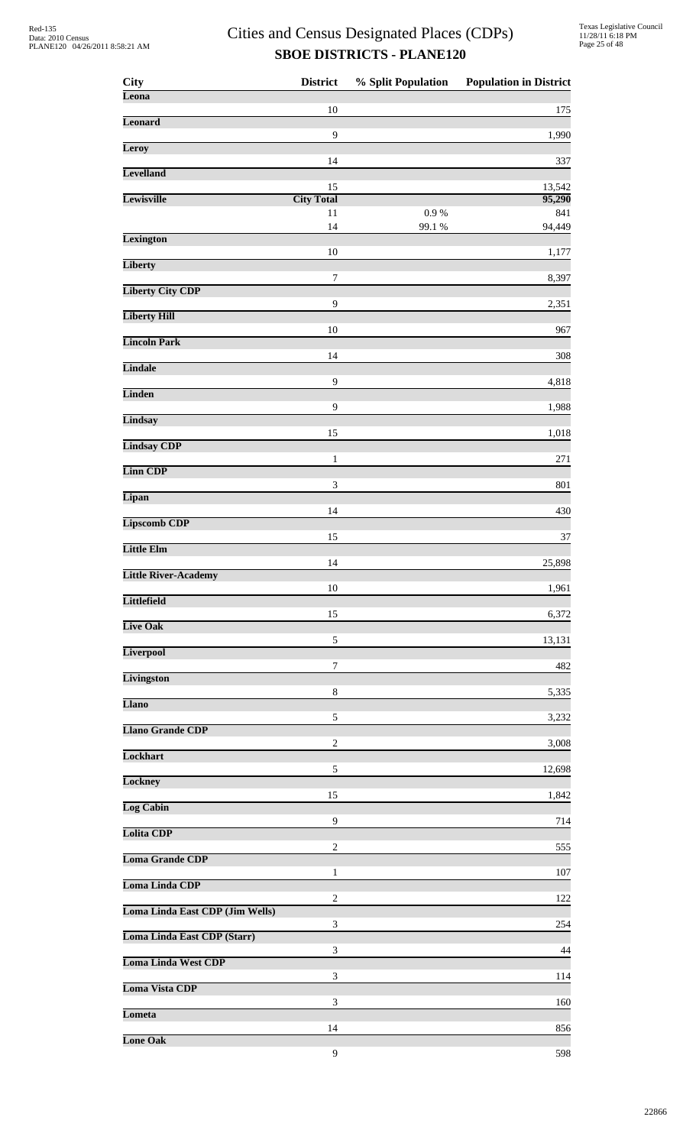| <b>City</b>                     | <b>District</b>             | % Split Population | <b>Population in District</b> |
|---------------------------------|-----------------------------|--------------------|-------------------------------|
| Leona                           | 10                          |                    | 175                           |
| <b>Leonard</b>                  | $\mathbf{9}$                |                    | 1,990                         |
| Leroy                           |                             |                    |                               |
| <b>Levelland</b>                | 14                          |                    | 337                           |
| Lewisville                      | 15<br><b>City Total</b>     |                    | 13,542<br>95,290              |
|                                 | 11<br>14                    | 0.9 %              | 841                           |
| <b>Lexington</b>                |                             | 99.1 %             | 94,449                        |
| <b>Liberty</b>                  | 10                          |                    | 1,177                         |
| <b>Liberty City CDP</b>         | 7                           |                    | 8,397                         |
| <b>Liberty Hill</b>             | $\mathbf{9}$                |                    | 2,351                         |
|                                 | 10                          |                    | 967                           |
| <b>Lincoln Park</b>             | 14                          |                    | 308                           |
| <b>Lindale</b>                  | $\mathbf{9}$                |                    | 4,818                         |
| <b>Linden</b>                   | $\mathbf{9}$                |                    |                               |
| Lindsay                         |                             |                    | 1,988                         |
| <b>Lindsay CDP</b>              | 15                          |                    | 1,018                         |
| <b>Linn CDP</b>                 | $\mathbf{1}$                |                    | 271                           |
| Lipan                           | $\ensuremath{\mathfrak{Z}}$ |                    | 801                           |
|                                 | 14                          |                    | 430                           |
| <b>Lipscomb CDP</b>             | 15                          |                    | 37                            |
| Little Elm                      | 14                          |                    | 25,898                        |
| <b>Little River-Academy</b>     |                             |                    |                               |
| <b>Littlefield</b>              | 10                          |                    | 1,961                         |
| Live Oak                        | 15                          |                    | 6,372                         |
| <b>Liverpool</b>                | 5                           |                    | 13,131                        |
|                                 | 7                           |                    | 482                           |
| <b>Livingston</b>               | $\,8\,$                     |                    | 5,335                         |
| Llano                           | 5                           |                    | 3,232                         |
| <b>Llano Grande CDP</b>         | $\overline{c}$              |                    | 3,008                         |
| Lockhart                        |                             |                    |                               |
| Lockney                         | 5                           |                    | 12,698                        |
| <b>Log Cabin</b>                | 15                          |                    | 1,842                         |
| <b>Lolita CDP</b>               | 9                           |                    | 714                           |
| <b>Loma Grande CDP</b>          | $\overline{c}$              |                    | 555                           |
|                                 | 1                           |                    | 107                           |
| <b>Loma Linda CDP</b>           | $\overline{c}$              |                    | 122                           |
| Loma Linda East CDP (Jim Wells) | 3                           |                    | 254                           |
| Loma Linda East CDP (Starr)     |                             |                    |                               |
| <b>Loma Linda West CDP</b>      | 3                           |                    | 44                            |
| Loma Vista CDP                  | 3                           |                    | 114                           |
| Lometa                          | 3                           |                    | 160                           |
| <b>Lone Oak</b>                 | 14                          |                    | 856                           |
|                                 | 9                           |                    | 598                           |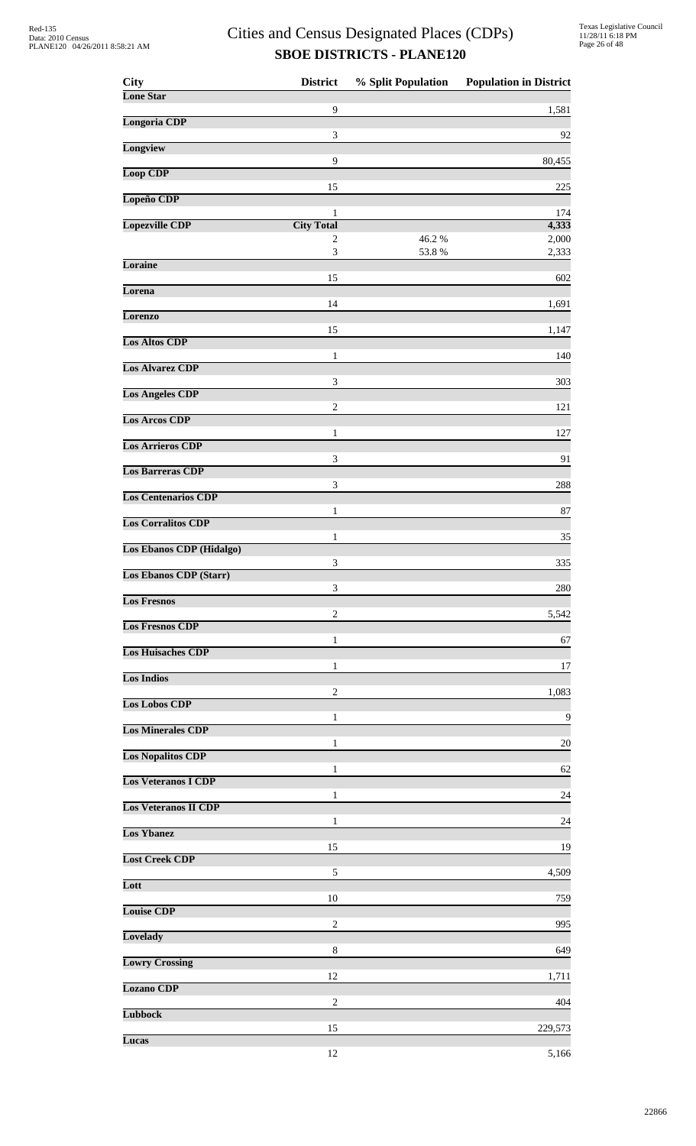| 9<br>1,581<br><b>Longoria CDP</b><br>3<br>Longview<br>9<br><b>Loop CDP</b><br>15<br>Lopeño CDP<br>1<br>174<br><b>Lopezville CDP</b><br><b>City Total</b><br>46.2%<br>$\overline{c}$<br>$\mathfrak{Z}$<br>53.8%<br>Loraine<br>15<br>Lorena<br>14<br>Lorenzo<br>15<br><b>Los Altos CDP</b><br>1<br><b>Los Alvarez CDP</b><br>3<br>303<br><b>Los Angeles CDP</b><br>$\overline{c}$<br><b>Los Arcos CDP</b><br>$\mathbf{1}$<br><b>Los Arrieros CDP</b><br>3<br><b>Los Barreras CDP</b><br>3<br>288<br><b>Los Centenarios CDP</b><br>1<br><b>Los Corralitos CDP</b><br>1<br><b>Los Ebanos CDP</b> (Hidalgo)<br>3<br><b>Los Ebanos CDP (Starr)</b><br>3<br><b>Los Fresnos</b><br>5,542<br>$\overline{c}$<br><b>Los Fresnos CDP</b><br>1<br><b>Los Huisaches CDP</b><br>1<br><b>Los Indios</b><br>$\overline{c}$<br><b>Los Lobos CDP</b><br>1<br><b>Los Minerales CDP</b><br>$\mathbf{1}$<br><b>Los Nopalitos CDP</b><br>1<br><b>Los Veteranos I CDP</b><br>$\mathbf{1}$<br><b>Los Veteranos II CDP</b><br>1<br><b>Los Ybanez</b><br>15<br><b>Lost Creek CDP</b><br>$\sqrt{5}$<br>Lott<br>10<br><b>Louise CDP</b><br>$\overline{c}$<br>Lovelady<br>8<br><b>Lowry Crossing</b><br>12<br><b>Lozano CDP</b><br>$\overline{c}$<br><b>Lubbock</b><br>15<br>Lucas<br>12 | <b>City</b>      | <b>District</b> | % Split Population | <b>Population in District</b> |
|------------------------------------------------------------------------------------------------------------------------------------------------------------------------------------------------------------------------------------------------------------------------------------------------------------------------------------------------------------------------------------------------------------------------------------------------------------------------------------------------------------------------------------------------------------------------------------------------------------------------------------------------------------------------------------------------------------------------------------------------------------------------------------------------------------------------------------------------------------------------------------------------------------------------------------------------------------------------------------------------------------------------------------------------------------------------------------------------------------------------------------------------------------------------------------------------------------------------------------------------------------|------------------|-----------------|--------------------|-------------------------------|
|                                                                                                                                                                                                                                                                                                                                                                                                                                                                                                                                                                                                                                                                                                                                                                                                                                                                                                                                                                                                                                                                                                                                                                                                                                                            | <b>Lone Star</b> |                 |                    |                               |
|                                                                                                                                                                                                                                                                                                                                                                                                                                                                                                                                                                                                                                                                                                                                                                                                                                                                                                                                                                                                                                                                                                                                                                                                                                                            |                  |                 |                    |                               |
|                                                                                                                                                                                                                                                                                                                                                                                                                                                                                                                                                                                                                                                                                                                                                                                                                                                                                                                                                                                                                                                                                                                                                                                                                                                            |                  |                 |                    | 92                            |
|                                                                                                                                                                                                                                                                                                                                                                                                                                                                                                                                                                                                                                                                                                                                                                                                                                                                                                                                                                                                                                                                                                                                                                                                                                                            |                  |                 |                    | 80,455                        |
|                                                                                                                                                                                                                                                                                                                                                                                                                                                                                                                                                                                                                                                                                                                                                                                                                                                                                                                                                                                                                                                                                                                                                                                                                                                            |                  |                 |                    | 225                           |
|                                                                                                                                                                                                                                                                                                                                                                                                                                                                                                                                                                                                                                                                                                                                                                                                                                                                                                                                                                                                                                                                                                                                                                                                                                                            |                  |                 |                    |                               |
|                                                                                                                                                                                                                                                                                                                                                                                                                                                                                                                                                                                                                                                                                                                                                                                                                                                                                                                                                                                                                                                                                                                                                                                                                                                            |                  |                 |                    | 4,333                         |
|                                                                                                                                                                                                                                                                                                                                                                                                                                                                                                                                                                                                                                                                                                                                                                                                                                                                                                                                                                                                                                                                                                                                                                                                                                                            |                  |                 |                    | 2,000<br>2,333                |
|                                                                                                                                                                                                                                                                                                                                                                                                                                                                                                                                                                                                                                                                                                                                                                                                                                                                                                                                                                                                                                                                                                                                                                                                                                                            |                  |                 |                    |                               |
|                                                                                                                                                                                                                                                                                                                                                                                                                                                                                                                                                                                                                                                                                                                                                                                                                                                                                                                                                                                                                                                                                                                                                                                                                                                            |                  |                 |                    | 602                           |
|                                                                                                                                                                                                                                                                                                                                                                                                                                                                                                                                                                                                                                                                                                                                                                                                                                                                                                                                                                                                                                                                                                                                                                                                                                                            |                  |                 |                    | 1,691                         |
|                                                                                                                                                                                                                                                                                                                                                                                                                                                                                                                                                                                                                                                                                                                                                                                                                                                                                                                                                                                                                                                                                                                                                                                                                                                            |                  |                 |                    | 1,147                         |
|                                                                                                                                                                                                                                                                                                                                                                                                                                                                                                                                                                                                                                                                                                                                                                                                                                                                                                                                                                                                                                                                                                                                                                                                                                                            |                  |                 |                    | 140                           |
|                                                                                                                                                                                                                                                                                                                                                                                                                                                                                                                                                                                                                                                                                                                                                                                                                                                                                                                                                                                                                                                                                                                                                                                                                                                            |                  |                 |                    |                               |
|                                                                                                                                                                                                                                                                                                                                                                                                                                                                                                                                                                                                                                                                                                                                                                                                                                                                                                                                                                                                                                                                                                                                                                                                                                                            |                  |                 |                    |                               |
|                                                                                                                                                                                                                                                                                                                                                                                                                                                                                                                                                                                                                                                                                                                                                                                                                                                                                                                                                                                                                                                                                                                                                                                                                                                            |                  |                 |                    | 121                           |
|                                                                                                                                                                                                                                                                                                                                                                                                                                                                                                                                                                                                                                                                                                                                                                                                                                                                                                                                                                                                                                                                                                                                                                                                                                                            |                  |                 |                    | 127                           |
|                                                                                                                                                                                                                                                                                                                                                                                                                                                                                                                                                                                                                                                                                                                                                                                                                                                                                                                                                                                                                                                                                                                                                                                                                                                            |                  |                 |                    | 91                            |
|                                                                                                                                                                                                                                                                                                                                                                                                                                                                                                                                                                                                                                                                                                                                                                                                                                                                                                                                                                                                                                                                                                                                                                                                                                                            |                  |                 |                    |                               |
|                                                                                                                                                                                                                                                                                                                                                                                                                                                                                                                                                                                                                                                                                                                                                                                                                                                                                                                                                                                                                                                                                                                                                                                                                                                            |                  |                 |                    |                               |
|                                                                                                                                                                                                                                                                                                                                                                                                                                                                                                                                                                                                                                                                                                                                                                                                                                                                                                                                                                                                                                                                                                                                                                                                                                                            |                  |                 |                    | 87                            |
|                                                                                                                                                                                                                                                                                                                                                                                                                                                                                                                                                                                                                                                                                                                                                                                                                                                                                                                                                                                                                                                                                                                                                                                                                                                            |                  |                 |                    | 35                            |
|                                                                                                                                                                                                                                                                                                                                                                                                                                                                                                                                                                                                                                                                                                                                                                                                                                                                                                                                                                                                                                                                                                                                                                                                                                                            |                  |                 |                    | 335                           |
|                                                                                                                                                                                                                                                                                                                                                                                                                                                                                                                                                                                                                                                                                                                                                                                                                                                                                                                                                                                                                                                                                                                                                                                                                                                            |                  |                 |                    | 280                           |
|                                                                                                                                                                                                                                                                                                                                                                                                                                                                                                                                                                                                                                                                                                                                                                                                                                                                                                                                                                                                                                                                                                                                                                                                                                                            |                  |                 |                    |                               |
|                                                                                                                                                                                                                                                                                                                                                                                                                                                                                                                                                                                                                                                                                                                                                                                                                                                                                                                                                                                                                                                                                                                                                                                                                                                            |                  |                 |                    |                               |
|                                                                                                                                                                                                                                                                                                                                                                                                                                                                                                                                                                                                                                                                                                                                                                                                                                                                                                                                                                                                                                                                                                                                                                                                                                                            |                  |                 |                    | 67                            |
|                                                                                                                                                                                                                                                                                                                                                                                                                                                                                                                                                                                                                                                                                                                                                                                                                                                                                                                                                                                                                                                                                                                                                                                                                                                            |                  |                 |                    | 17                            |
|                                                                                                                                                                                                                                                                                                                                                                                                                                                                                                                                                                                                                                                                                                                                                                                                                                                                                                                                                                                                                                                                                                                                                                                                                                                            |                  |                 |                    | 1,083                         |
|                                                                                                                                                                                                                                                                                                                                                                                                                                                                                                                                                                                                                                                                                                                                                                                                                                                                                                                                                                                                                                                                                                                                                                                                                                                            |                  |                 |                    | 9                             |
|                                                                                                                                                                                                                                                                                                                                                                                                                                                                                                                                                                                                                                                                                                                                                                                                                                                                                                                                                                                                                                                                                                                                                                                                                                                            |                  |                 |                    |                               |
|                                                                                                                                                                                                                                                                                                                                                                                                                                                                                                                                                                                                                                                                                                                                                                                                                                                                                                                                                                                                                                                                                                                                                                                                                                                            |                  |                 |                    | 20                            |
|                                                                                                                                                                                                                                                                                                                                                                                                                                                                                                                                                                                                                                                                                                                                                                                                                                                                                                                                                                                                                                                                                                                                                                                                                                                            |                  |                 |                    | 62                            |
|                                                                                                                                                                                                                                                                                                                                                                                                                                                                                                                                                                                                                                                                                                                                                                                                                                                                                                                                                                                                                                                                                                                                                                                                                                                            |                  |                 |                    | 24                            |
|                                                                                                                                                                                                                                                                                                                                                                                                                                                                                                                                                                                                                                                                                                                                                                                                                                                                                                                                                                                                                                                                                                                                                                                                                                                            |                  |                 |                    | 24                            |
|                                                                                                                                                                                                                                                                                                                                                                                                                                                                                                                                                                                                                                                                                                                                                                                                                                                                                                                                                                                                                                                                                                                                                                                                                                                            |                  |                 |                    |                               |
|                                                                                                                                                                                                                                                                                                                                                                                                                                                                                                                                                                                                                                                                                                                                                                                                                                                                                                                                                                                                                                                                                                                                                                                                                                                            |                  |                 |                    | 19                            |
|                                                                                                                                                                                                                                                                                                                                                                                                                                                                                                                                                                                                                                                                                                                                                                                                                                                                                                                                                                                                                                                                                                                                                                                                                                                            |                  |                 |                    | 4,509                         |
|                                                                                                                                                                                                                                                                                                                                                                                                                                                                                                                                                                                                                                                                                                                                                                                                                                                                                                                                                                                                                                                                                                                                                                                                                                                            |                  |                 |                    | 759                           |
|                                                                                                                                                                                                                                                                                                                                                                                                                                                                                                                                                                                                                                                                                                                                                                                                                                                                                                                                                                                                                                                                                                                                                                                                                                                            |                  |                 |                    | 995                           |
|                                                                                                                                                                                                                                                                                                                                                                                                                                                                                                                                                                                                                                                                                                                                                                                                                                                                                                                                                                                                                                                                                                                                                                                                                                                            |                  |                 |                    | 649                           |
|                                                                                                                                                                                                                                                                                                                                                                                                                                                                                                                                                                                                                                                                                                                                                                                                                                                                                                                                                                                                                                                                                                                                                                                                                                                            |                  |                 |                    |                               |
|                                                                                                                                                                                                                                                                                                                                                                                                                                                                                                                                                                                                                                                                                                                                                                                                                                                                                                                                                                                                                                                                                                                                                                                                                                                            |                  |                 |                    | 1,711                         |
|                                                                                                                                                                                                                                                                                                                                                                                                                                                                                                                                                                                                                                                                                                                                                                                                                                                                                                                                                                                                                                                                                                                                                                                                                                                            |                  |                 |                    | 404                           |
|                                                                                                                                                                                                                                                                                                                                                                                                                                                                                                                                                                                                                                                                                                                                                                                                                                                                                                                                                                                                                                                                                                                                                                                                                                                            |                  |                 |                    | 229,573                       |
|                                                                                                                                                                                                                                                                                                                                                                                                                                                                                                                                                                                                                                                                                                                                                                                                                                                                                                                                                                                                                                                                                                                                                                                                                                                            |                  |                 |                    | 5,166                         |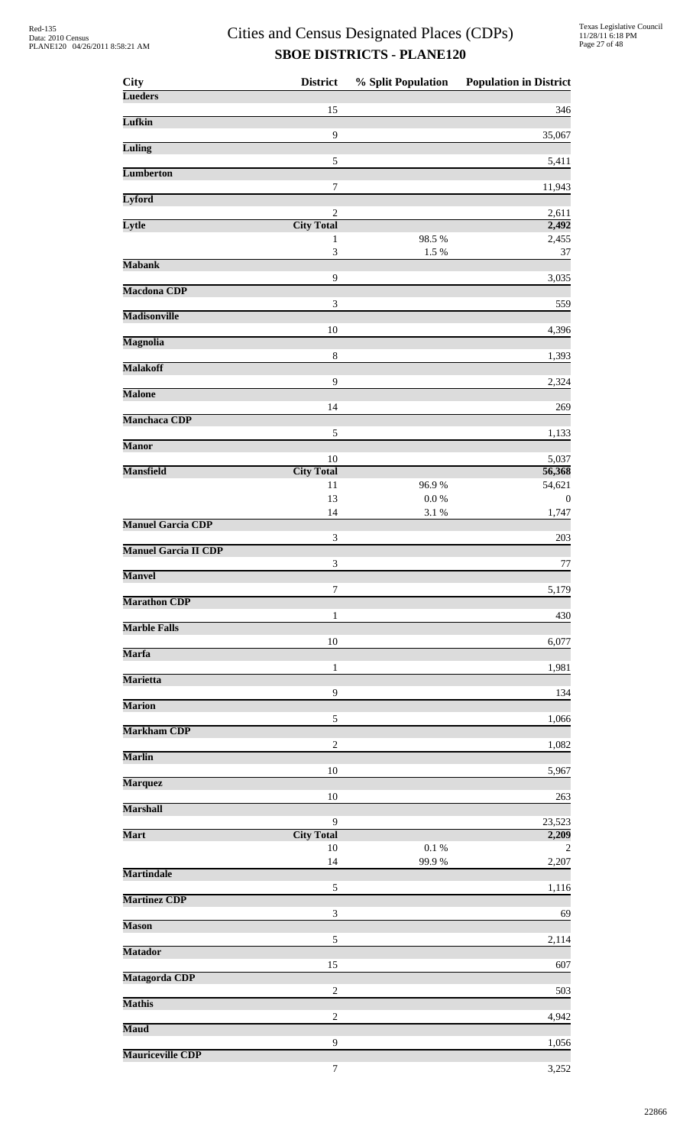| <b>City</b>                 | <b>District</b>                | % Split Population | <b>Population in District</b> |
|-----------------------------|--------------------------------|--------------------|-------------------------------|
| <b>Lueders</b>              | 15                             |                    | 346                           |
| Lufkin                      |                                |                    |                               |
| <b>Luling</b>               | $\overline{9}$                 |                    | 35,067                        |
| <b>Lumberton</b>            | $\sqrt{5}$                     |                    | 5,411                         |
|                             | 7                              |                    | 11,943                        |
| Lyford                      | $\sqrt{2}$                     |                    | 2,611                         |
| Lytle                       | <b>City Total</b>              |                    | 2,492                         |
|                             | $\mathbf{1}$<br>$\mathfrak{Z}$ | 98.5 %<br>1.5 %    | 2,455<br>37                   |
| <b>Mabank</b>               | 9                              |                    | 3,035                         |
| <b>Macdona CDP</b>          |                                |                    |                               |
| <b>Madisonville</b>         | 3                              |                    | 559                           |
| <b>Magnolia</b>             | 10                             |                    | 4,396                         |
|                             | $\,8\,$                        |                    | 1,393                         |
| <b>Malakoff</b>             | 9                              |                    | 2,324                         |
| <b>Malone</b>               |                                |                    |                               |
| <b>Manchaca CDP</b>         | 14                             |                    | 269                           |
| <b>Manor</b>                | 5                              |                    | 1,133                         |
|                             | $10\,$                         |                    | 5,037                         |
| <b>Mansfield</b>            | <b>City Total</b><br>11        | 96.9%              | 56,368<br>54,621              |
|                             | 13                             | $0.0\ \%$          | $\boldsymbol{0}$              |
| <b>Manuel Garcia CDP</b>    | 14                             | $3.1~\%$           | 1,747                         |
| <b>Manuel Garcia II CDP</b> | $\ensuremath{\mathfrak{Z}}$    |                    | 203                           |
|                             | $\mathfrak{Z}$                 |                    | $77$                          |
| <b>Manvel</b>               | 7                              |                    | 5,179                         |
| <b>Marathon CDP</b>         | 1                              |                    | 430                           |
| <b>Marble Falls</b>         |                                |                    |                               |
| <b>Marfa</b>                | 10                             |                    | 6,077                         |
| <b>Marietta</b>             | $\mathbf{1}$                   |                    | 1,981                         |
|                             | 9                              |                    | 134                           |
| <b>Marion</b>               | 5                              |                    | 1,066                         |
| <b>Markham CDP</b>          |                                |                    |                               |
| <b>Marlin</b>               | $\sqrt{2}$                     |                    | 1,082                         |
| <b>Marquez</b>              | 10                             |                    | 5,967                         |
|                             | 10                             |                    | 263                           |
| <b>Marshall</b>             | 9                              |                    | 23,523                        |
| <b>Mart</b>                 | <b>City Total</b><br>10        | $0.1~\%$           | 2,209<br>2                    |
|                             | 14                             | 99.9%              | 2,207                         |
| <b>Martindale</b>           | 5                              |                    | 1,116                         |
| <b>Martinez CDP</b>         |                                |                    |                               |
| <b>Mason</b>                | 3                              |                    | 69                            |
| <b>Matador</b>              | $\sqrt{5}$                     |                    | 2,114                         |
|                             | 15                             |                    | 607                           |
| Matagorda CDP               | $\overline{c}$                 |                    | 503                           |
| <b>Mathis</b>               | $\overline{2}$                 |                    | 4,942                         |
| <b>Maud</b>                 |                                |                    |                               |
| <b>Mauriceville CDP</b>     | 9                              |                    | 1,056                         |
|                             | 7                              |                    | 3,252                         |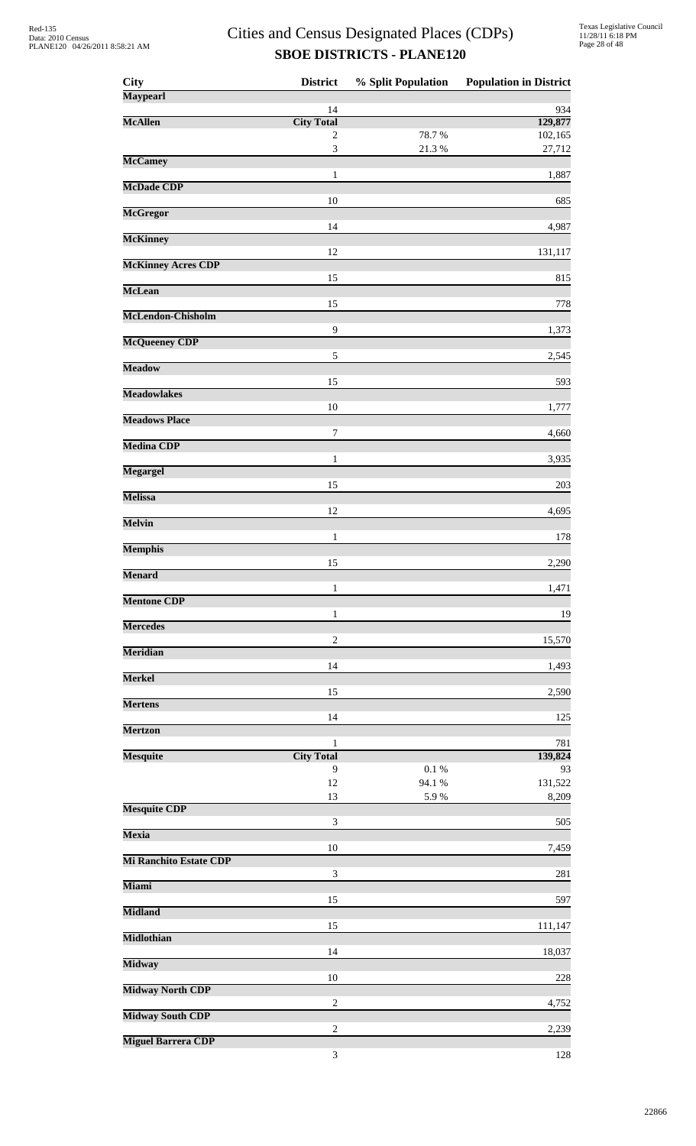| <b>City</b>                   | <b>District</b>                   | % Split Population | <b>Population in District</b> |
|-------------------------------|-----------------------------------|--------------------|-------------------------------|
| <b>Maypearl</b>               | 14                                |                    | 934                           |
| <b>McAllen</b>                | <b>City Total</b>                 |                    | 129,877                       |
|                               | 2<br>$\mathfrak{Z}$               | 78.7%<br>21.3%     | 102,165<br>27,712             |
| <b>McCamey</b>                |                                   |                    |                               |
| <b>McDade CDP</b>             | $\mathbf{1}$                      |                    | 1,887                         |
| <b>McGregor</b>               | 10                                |                    | 685                           |
|                               | 14                                |                    | 4,987                         |
| <b>McKinney</b>               | 12                                |                    | 131,117                       |
| <b>McKinney Acres CDP</b>     |                                   |                    |                               |
| <b>McLean</b>                 | 15                                |                    | 815                           |
| McLendon-Chisholm             | 15                                |                    | 778                           |
|                               | 9                                 |                    | 1,373                         |
| <b>McQueeney CDP</b>          | 5                                 |                    | 2,545                         |
| <b>Meadow</b>                 |                                   |                    |                               |
| <b>Meadowlakes</b>            | 15                                |                    | 593                           |
| <b>Meadows Place</b>          | 10                                |                    | 1,777                         |
|                               | 7                                 |                    | 4,660                         |
| <b>Medina CDP</b>             | $\mathbf{1}$                      |                    | 3,935                         |
| <b>Megargel</b>               | 15                                |                    | 203                           |
| <b>Melissa</b>                |                                   |                    |                               |
| <b>Melvin</b>                 | 12                                |                    | 4,695                         |
|                               | 1                                 |                    | 178                           |
| <b>Memphis</b>                | 15                                |                    | 2,290                         |
| <b>Menard</b>                 | 1                                 |                    | 1,471                         |
| <b>Mentone CDP</b>            |                                   |                    |                               |
| <b>Mercedes</b>               | $\mathbf{1}$                      |                    | 19                            |
| <b>Meridian</b>               | $\overline{c}$                    |                    | 15,570                        |
|                               | 14                                |                    | 1,493                         |
| <b>Merkel</b>                 | 15                                |                    | 2,590                         |
| <b>Mertens</b>                |                                   |                    |                               |
| <b>Mertzon</b>                | 14                                |                    | 125                           |
| <b>Mesquite</b>               | $\mathbf{1}$<br><b>City Total</b> |                    | 781<br>139,824                |
|                               | 9                                 | 0.1%               | 93                            |
|                               | 12<br>13                          | 94.1 %<br>5.9%     | 131,522<br>8,209              |
| <b>Mesquite CDP</b>           | $\mathfrak 3$                     |                    | 505                           |
| <b>Mexia</b>                  |                                   |                    |                               |
| <b>Mi Ranchito Estate CDP</b> | 10                                |                    | 7,459                         |
|                               | $\ensuremath{\mathfrak{Z}}$       |                    | 281                           |
| <b>Miami</b>                  | 15                                |                    | 597                           |
| <b>Midland</b>                | 15                                |                    | 111,147                       |
| <b>Midlothian</b>             |                                   |                    |                               |
| <b>Midway</b>                 | 14                                |                    | 18,037                        |
| <b>Midway North CDP</b>       | 10                                |                    | 228                           |
|                               | $\overline{2}$                    |                    | 4,752                         |
| <b>Midway South CDP</b>       | $\overline{c}$                    |                    | 2,239                         |
| <b>Miguel Barrera CDP</b>     |                                   |                    |                               |
|                               | $\ensuremath{\mathfrak{Z}}$       |                    | 128                           |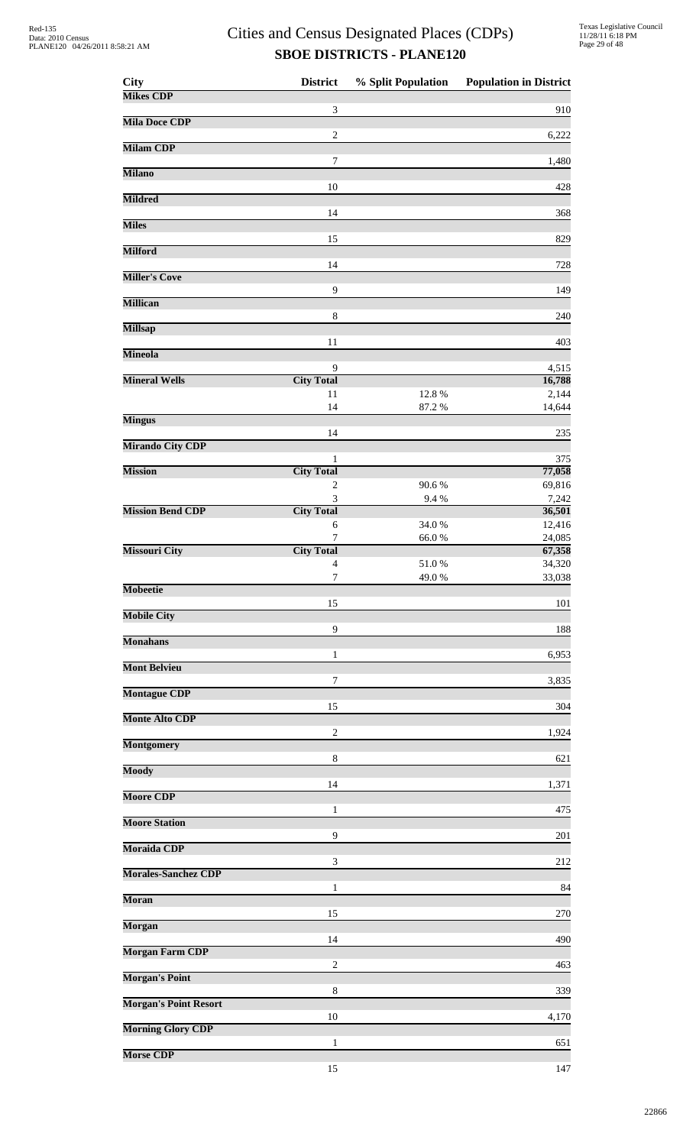| <b>City</b>                  | <b>District</b>                    | % Split Population | <b>Population in District</b> |
|------------------------------|------------------------------------|--------------------|-------------------------------|
| <b>Mikes CDP</b>             | 3                                  |                    | 910                           |
| <b>Mila Doce CDP</b>         | $\overline{c}$                     |                    | 6,222                         |
| <b>Milam CDP</b>             |                                    |                    |                               |
| <b>Milano</b>                | $\boldsymbol{7}$                   |                    | 1,480                         |
| <b>Mildred</b>               | 10                                 |                    | 428                           |
|                              | 14                                 |                    | 368                           |
| <b>Miles</b>                 | 15                                 |                    | 829                           |
| <b>Milford</b>               | 14                                 |                    | 728                           |
| <b>Miller's Cove</b>         |                                    |                    |                               |
| <b>Millican</b>              | 9                                  |                    | 149                           |
| <b>Millsap</b>               | $\,8\,$                            |                    | 240                           |
| <b>Mineola</b>               | 11                                 |                    | 403                           |
|                              | 9                                  |                    | 4,515                         |
| <b>Mineral Wells</b>         | <b>City Total</b><br>11            | 12.8%              | 16,788<br>2,144               |
| <b>Mingus</b>                | 14                                 | 87.2 %             | 14,644                        |
|                              | 14                                 |                    | 235                           |
| <b>Mirando City CDP</b>      | 1                                  |                    | 375                           |
| <b>Mission</b>               | <b>City Total</b>                  |                    | 77,058                        |
|                              | $\overline{c}$<br>$\mathfrak{Z}$   | 90.6%<br>9.4%      | 69,816<br>7,242               |
| <b>Mission Bend CDP</b>      | <b>City Total</b>                  |                    | 36,501                        |
|                              | 6<br>$\tau$                        | 34.0%<br>66.0%     | 12,416<br>24,085              |
| <b>Missouri City</b>         | <b>City Total</b>                  |                    | 67,358                        |
|                              | $\overline{4}$<br>$\boldsymbol{7}$ | 51.0%<br>49.0%     | 34,320<br>33,038              |
| <b>Mobeetie</b>              |                                    |                    |                               |
| <b>Mobile City</b>           | 15                                 |                    | 101                           |
| <b>Monahans</b>              | 9                                  |                    | 188                           |
| <b>Mont Belvieu</b>          | 1                                  |                    | 6,953                         |
|                              | 7                                  |                    | 3,835                         |
| <b>Montague CDP</b>          | 15                                 |                    | 304                           |
| <b>Monte Alto CDP</b>        | $\overline{c}$                     |                    | 1,924                         |
| <b>Montgomery</b>            |                                    |                    |                               |
| <b>Moody</b>                 | 8                                  |                    | 621                           |
| <b>Moore CDP</b>             | 14                                 |                    | 1,371                         |
| <b>Moore Station</b>         | 1                                  |                    | 475                           |
|                              | 9                                  |                    | 201                           |
| <b>Moraida CDP</b>           | 3                                  |                    | 212                           |
| <b>Morales-Sanchez CDP</b>   | 1                                  |                    | 84                            |
| <b>Moran</b>                 |                                    |                    |                               |
| <b>Morgan</b>                | 15                                 |                    | 270                           |
| <b>Morgan Farm CDP</b>       | 14                                 |                    | 490                           |
|                              | $\overline{c}$                     |                    | 463                           |
| <b>Morgan's Point</b>        | 8                                  |                    | 339                           |
| <b>Morgan's Point Resort</b> | 10                                 |                    | 4,170                         |
| <b>Morning Glory CDP</b>     |                                    |                    |                               |
| <b>Morse CDP</b>             | 1                                  |                    | 651                           |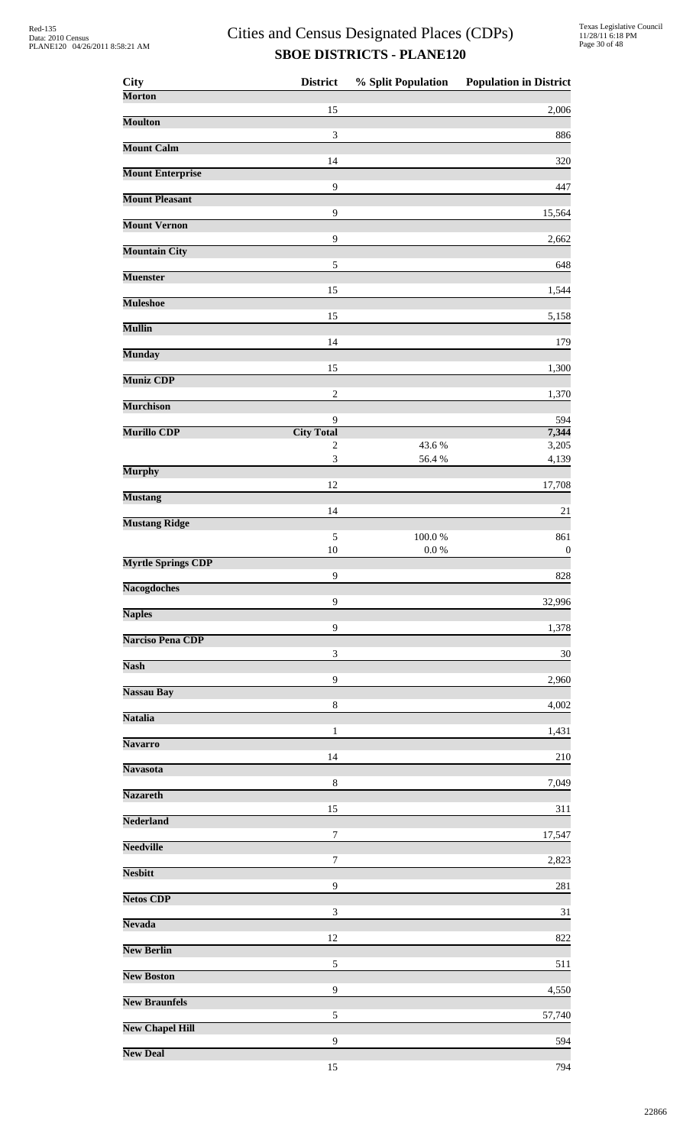| <b>City</b>               | <b>District</b>                     | % Split Population | <b>Population in District</b> |
|---------------------------|-------------------------------------|--------------------|-------------------------------|
| <b>Morton</b>             | 15                                  |                    | 2,006                         |
| <b>Moulton</b>            |                                     |                    |                               |
| <b>Mount Calm</b>         | $\sqrt{3}$                          |                    | 886                           |
|                           | 14                                  |                    | 320                           |
| <b>Mount Enterprise</b>   | 9                                   |                    | 447                           |
| <b>Mount Pleasant</b>     |                                     |                    |                               |
| <b>Mount Vernon</b>       | 9                                   |                    | 15,564                        |
|                           | $\mathbf{9}$                        |                    | 2,662                         |
| <b>Mountain City</b>      | $\sqrt{5}$                          |                    | 648                           |
| <b>Muenster</b>           |                                     |                    |                               |
| <b>Muleshoe</b>           | 15                                  |                    | 1,544                         |
| <b>Mullin</b>             | 15                                  |                    | 5,158                         |
|                           | 14                                  |                    | 179                           |
| <b>Munday</b>             | 15                                  |                    | 1,300                         |
| <b>Muniz CDP</b>          |                                     |                    |                               |
| <b>Murchison</b>          | $\sqrt{2}$                          |                    | 1,370                         |
|                           | 9                                   |                    | 594                           |
| <b>Murillo CDP</b>        | <b>City Total</b><br>$\overline{c}$ | 43.6%              | 7,344<br>3,205                |
|                           | 3                                   | 56.4 %             | 4,139                         |
| <b>Murphy</b>             | 12                                  |                    | 17,708                        |
| <b>Mustang</b>            |                                     |                    |                               |
| <b>Mustang Ridge</b>      | 14                                  |                    | 21                            |
|                           | 5                                   | $100.0~\%$         | 861                           |
| <b>Myrtle Springs CDP</b> | 10                                  | $0.0\ \%$          | $\boldsymbol{0}$              |
| <b>Nacogdoches</b>        | 9                                   |                    | 828                           |
|                           | 9                                   |                    | 32,996                        |
| <b>Naples</b>             | 9                                   |                    | 1,378                         |
| <b>Narciso Pena CDP</b>   |                                     |                    |                               |
| <b>Nash</b>               | $\ensuremath{\mathfrak{Z}}$         |                    | 30                            |
| <b>Nassau Bay</b>         | 9                                   |                    | 2,960                         |
|                           | 8                                   |                    | 4,002                         |
| <b>Natalia</b>            | $\mathbf{1}$                        |                    | 1,431                         |
| <b>Navarro</b>            |                                     |                    |                               |
| <b>Navasota</b>           | 14                                  |                    | 210                           |
|                           | $\,$ 8 $\,$                         |                    | 7,049                         |
| <b>Nazareth</b>           | 15                                  |                    | 311                           |
| <b>Nederland</b>          |                                     |                    |                               |
| <b>Needville</b>          | 7                                   |                    | 17,547                        |
| <b>Nesbitt</b>            | 7                                   |                    | 2,823                         |
|                           | 9                                   |                    | 281                           |
| <b>Netos CDP</b>          | $\ensuremath{\mathfrak{Z}}$         |                    | 31                            |
| <b>Nevada</b>             |                                     |                    |                               |
| <b>New Berlin</b>         | 12                                  |                    | 822                           |
|                           | 5                                   |                    | 511                           |
| <b>New Boston</b>         | 9                                   |                    | 4,550                         |
| <b>New Braunfels</b>      |                                     |                    |                               |
| <b>New Chapel Hill</b>    | 5                                   |                    | 57,740                        |
| <b>New Deal</b>           | 9                                   |                    | 594                           |
|                           | 15                                  |                    | 794                           |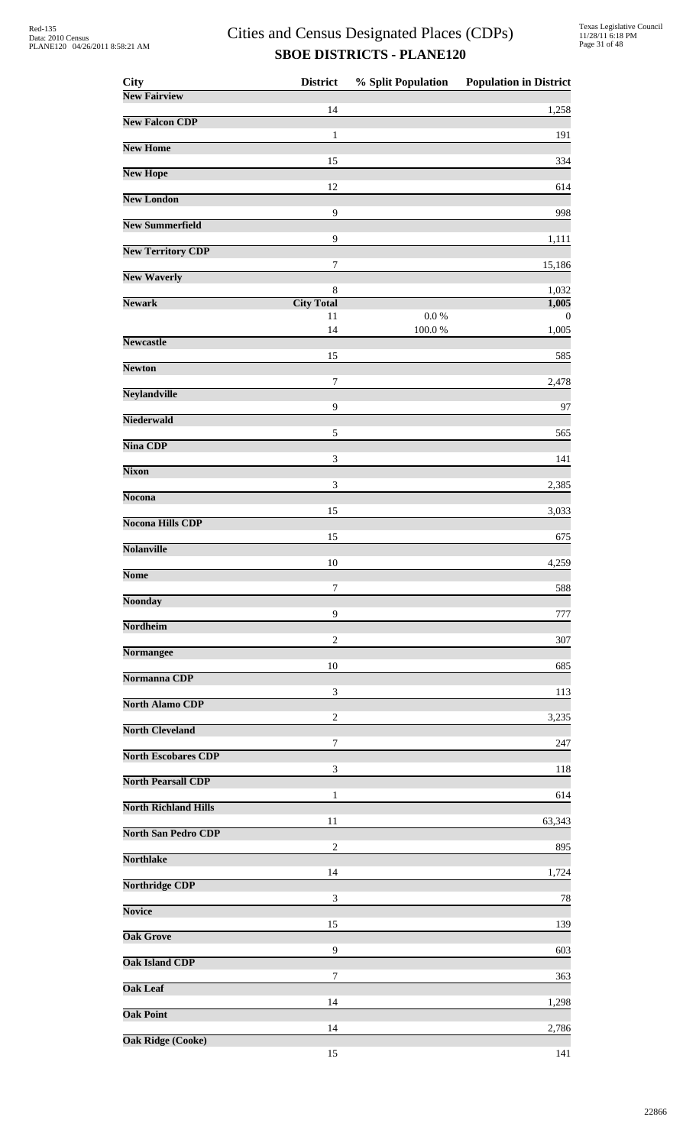| City                        | <b>District</b>         | % Split Population | <b>Population in District</b> |
|-----------------------------|-------------------------|--------------------|-------------------------------|
| <b>New Fairview</b>         | 14                      |                    | 1,258                         |
| <b>New Falcon CDP</b>       | 1                       |                    | 191                           |
| <b>New Home</b>             | 15                      |                    | 334                           |
| <b>New Hope</b>             |                         |                    |                               |
| <b>New London</b>           | 12                      |                    | 614                           |
| <b>New Summerfield</b>      | 9                       |                    | 998                           |
| <b>New Territory CDP</b>    | 9                       |                    | 1,111                         |
| <b>New Waverly</b>          | 7                       |                    | 15,186                        |
| <b>Newark</b>               | 8                       |                    | 1,032                         |
|                             | <b>City Total</b><br>11 | 0.0 %              | 1,005<br>$\theta$             |
| <b>Newcastle</b>            | 14                      | 100.0%             | 1,005                         |
| <b>Newton</b>               | 15                      |                    | 585                           |
| <b>Neylandville</b>         | 7                       |                    | 2,478                         |
|                             | 9                       |                    | 97                            |
| <b>Niederwald</b>           | 5                       |                    | 565                           |
| <b>Nina CDP</b>             | 3                       |                    | 141                           |
| <b>Nixon</b>                | $\mathfrak{Z}$          |                    | 2,385                         |
| <b>Nocona</b>               |                         |                    |                               |
| <b>Nocona Hills CDP</b>     | 15                      |                    | 3,033                         |
| <b>Nolanville</b>           | 15                      |                    | 675                           |
| <b>Nome</b>                 | 10                      |                    | 4,259                         |
| <b>Noonday</b>              | 7                       |                    | 588                           |
|                             | 9                       |                    | 777                           |
| Nordheim                    | $\overline{c}$          |                    | 307                           |
| <b>Normangee</b>            | 10                      |                    | 685                           |
| Normanna CDP                | 3                       |                    | 113                           |
| <b>North Alamo CDP</b>      |                         |                    |                               |
| <b>North Cleveland</b>      | $\overline{c}$          |                    | 3,235                         |
| <b>North Escobares CDP</b>  | 7                       |                    | 247                           |
| <b>North Pearsall CDP</b>   | 3                       |                    | 118                           |
| <b>North Richland Hills</b> | 1                       |                    | 614                           |
| <b>North San Pedro CDP</b>  | 11                      |                    | 63,343                        |
|                             | $\boldsymbol{2}$        |                    | 895                           |
| <b>Northlake</b>            | 14                      |                    | 1,724                         |
| <b>Northridge CDP</b>       | 3                       |                    | 78                            |
| <b>Novice</b>               | 15                      |                    | 139                           |
| <b>Oak Grove</b>            |                         |                    |                               |
| <b>Oak Island CDP</b>       | 9                       |                    | 603                           |
| <b>Oak Leaf</b>             | 7                       |                    | 363                           |
| <b>Oak Point</b>            | 14                      |                    | 1,298                         |
| <b>Oak Ridge (Cooke)</b>    | 14                      |                    | 2,786                         |
|                             | 15                      |                    | 141                           |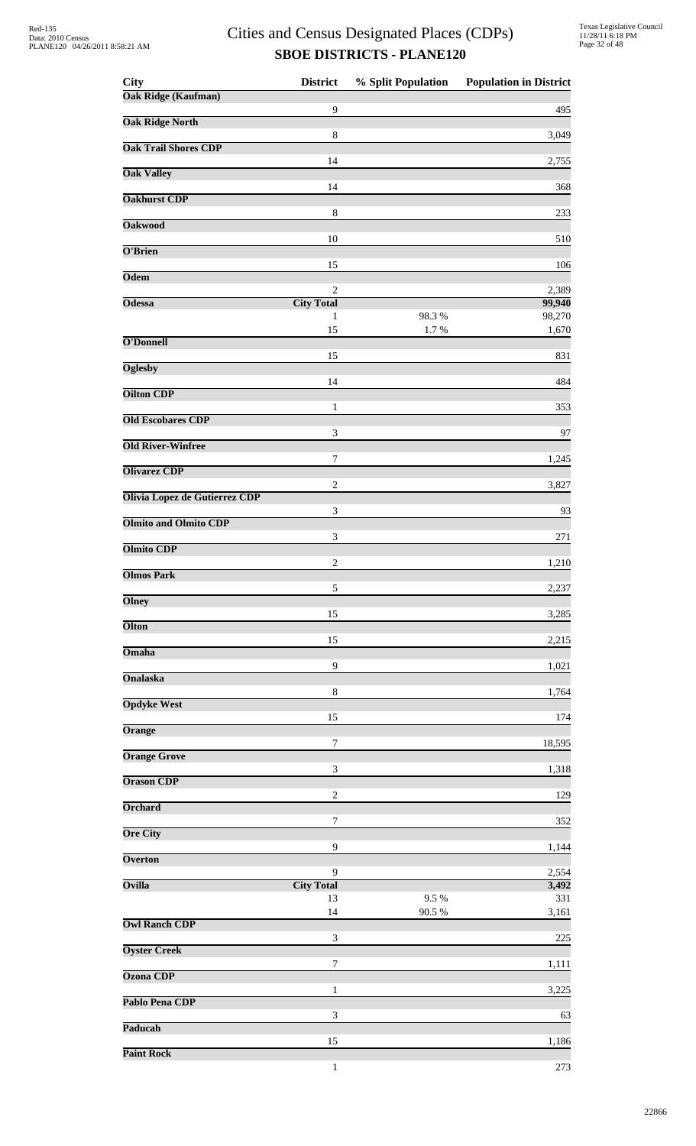| <b>City</b>                          | <b>District</b>                     | % Split Population | <b>Population in District</b> |
|--------------------------------------|-------------------------------------|--------------------|-------------------------------|
| <b>Oak Ridge (Kaufman)</b>           | 9                                   |                    | 495                           |
| <b>Oak Ridge North</b>               |                                     |                    |                               |
| <b>Oak Trail Shores CDP</b>          | $\,$ 8 $\,$                         |                    | 3,049                         |
|                                      | 14                                  |                    | 2,755                         |
| <b>Oak Valley</b>                    |                                     |                    |                               |
| <b>Oakhurst CDP</b>                  | 14                                  |                    | 368                           |
| <b>Oakwood</b>                       | $\,8\,$                             |                    | 233                           |
|                                      | 10                                  |                    | 510                           |
| O'Brien                              | 15                                  |                    | 106                           |
| <b>Odem</b>                          |                                     |                    |                               |
| <b>Odessa</b>                        | $\overline{2}$<br><b>City Total</b> |                    | 2,389<br>99,940               |
|                                      | 1                                   | 98.3%              | 98,270                        |
| O'Donnell                            | 15                                  | 1.7%               | 1,670                         |
|                                      | 15                                  |                    | 831                           |
| <b>Oglesby</b>                       | 14                                  |                    | 484                           |
| <b>Oilton CDP</b>                    |                                     |                    |                               |
| <b>Old Escobares CDP</b>             | $\mathbf{1}$                        |                    | 353                           |
|                                      | 3                                   |                    | 97                            |
| <b>Old River-Winfree</b>             | 7                                   |                    | 1,245                         |
| <b>Olivarez CDP</b>                  |                                     |                    |                               |
| <b>Olivia Lopez de Gutierrez CDP</b> | $\overline{c}$                      |                    | 3,827                         |
|                                      | 3                                   |                    | 93                            |
| <b>Olmito and Olmito CDP</b>         | $\ensuremath{\mathfrak{Z}}$         |                    | 271                           |
| <b>Olmito CDP</b>                    |                                     |                    |                               |
| <b>Olmos Park</b>                    | $\sqrt{2}$                          |                    | 1,210                         |
|                                      | 5                                   |                    | 2,237                         |
| <b>Olney</b>                         | 15                                  |                    | 3,285                         |
| <b>Olton</b>                         |                                     |                    |                               |
| Omaha                                | 15                                  |                    | 2,215                         |
| <b>Onalaska</b>                      | 9                                   |                    | 1,021                         |
|                                      | $\,8\,$                             |                    | 1,764                         |
| <b>Opdyke West</b>                   | 15                                  |                    | 174                           |
| Orange                               |                                     |                    |                               |
| <b>Orange Grove</b>                  | $\boldsymbol{7}$                    |                    | 18,595                        |
|                                      | $\ensuremath{\mathfrak{Z}}$         |                    | 1,318                         |
| <b>Orason CDP</b>                    | $\overline{c}$                      |                    | 129                           |
| <b>Orchard</b>                       |                                     |                    |                               |
| <b>Ore City</b>                      | 7                                   |                    | 352                           |
|                                      | 9                                   |                    | 1,144                         |
| <b>Overton</b>                       | 9                                   |                    | 2,554                         |
| Ovilla                               | <b>City Total</b>                   |                    | 3,492                         |
|                                      | 13<br>14                            | 9.5%<br>90.5 %     | 331<br>3,161                  |
| <b>Owl Ranch CDP</b>                 |                                     |                    |                               |
| <b>Oyster Creek</b>                  | 3                                   |                    | $225\,$                       |
|                                      | 7                                   |                    | 1,111                         |
| <b>Ozona CDP</b>                     | 1                                   |                    | 3,225                         |
| Pablo Pena CDP                       |                                     |                    |                               |
| Paducah                              | 3                                   |                    | 63                            |
|                                      | 15                                  |                    | 1,186                         |
| <b>Paint Rock</b>                    |                                     |                    |                               |

1 273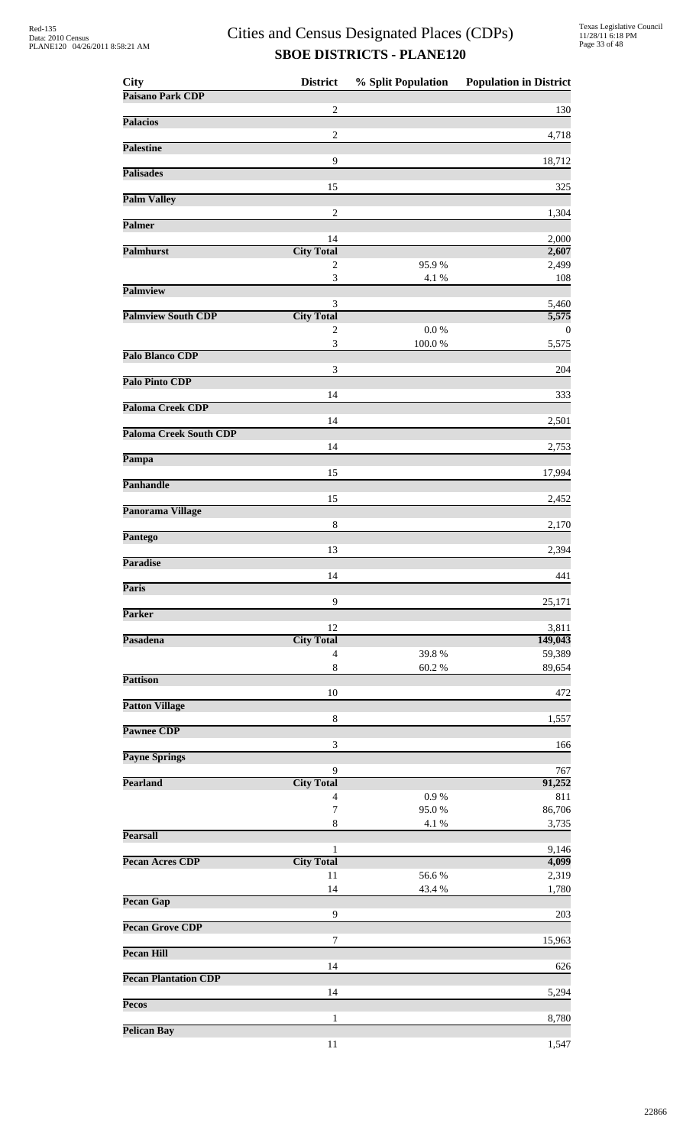| <b>City</b>                   | <b>District</b>                  | % Split Population | <b>Population in District</b> |
|-------------------------------|----------------------------------|--------------------|-------------------------------|
| Paisano Park CDP              | 2                                |                    | 130                           |
| <b>Palacios</b>               |                                  |                    |                               |
|                               | $\overline{2}$                   |                    | 4,718                         |
| <b>Palestine</b>              | 9                                |                    |                               |
| <b>Palisades</b>              |                                  |                    | 18,712                        |
|                               | 15                               |                    | 325                           |
| <b>Palm Valley</b>            |                                  |                    |                               |
| <b>Palmer</b>                 | $\sqrt{2}$                       |                    | 1,304                         |
|                               | 14                               |                    | 2,000                         |
| <b>Palmhurst</b>              | <b>City Total</b>                |                    | 2,607                         |
|                               | 2<br>$\ensuremath{\mathfrak{Z}}$ | 95.9%<br>4.1 %     | 2,499<br>108                  |
| Palmview                      |                                  |                    |                               |
| <b>Palmview South CDP</b>     | 3<br><b>City Total</b>           |                    | 5,460                         |
|                               | 2                                | 0.0 %              | 5,575<br>$\theta$             |
|                               | $\ensuremath{\mathfrak{Z}}$      | 100.0%             | 5,575                         |
| Palo Blanco CDP               |                                  |                    |                               |
| Palo Pinto CDP                | 3                                |                    | 204                           |
|                               | 14                               |                    | 333                           |
| <b>Paloma Creek CDP</b>       |                                  |                    |                               |
| <b>Paloma Creek South CDP</b> | 14                               |                    | 2,501                         |
|                               | 14                               |                    | 2,753                         |
| Pampa                         |                                  |                    |                               |
| <b>Panhandle</b>              | 15                               |                    | 17,994                        |
|                               | 15                               |                    | 2,452                         |
| Panorama Village              |                                  |                    |                               |
| <b>Pantego</b>                | $\,8\,$                          |                    | 2,170                         |
|                               | 13                               |                    | 2,394                         |
| <b>Paradise</b>               |                                  |                    |                               |
| <b>Paris</b>                  | 14                               |                    | 441                           |
|                               | 9                                |                    | 25,171                        |
| <b>Parker</b>                 |                                  |                    |                               |
| Pasadena                      | 12<br><b>City Total</b>          |                    | 3,811<br>149,043              |
|                               | $\overline{4}$                   | 39.8%              | 59,389                        |
|                               | $\,8\,$                          | 60.2%              | 89,654                        |
| <b>Pattison</b>               | 10                               |                    | 472                           |
| <b>Patton Village</b>         |                                  |                    |                               |
|                               | 8                                |                    | 1,557                         |
| <b>Pawnee CDP</b>             | 3                                |                    | 166                           |
| <b>Payne Springs</b>          |                                  |                    |                               |
|                               | 9                                |                    | 767                           |
| <b>Pearland</b>               | <b>City Total</b><br>4           | 0.9 %              | 91,252<br>811                 |
|                               | $\overline{7}$                   | 95.0%              | 86,706                        |
|                               | $\,$ 8 $\,$                      | 4.1 %              | 3,735                         |
| <b>Pearsall</b>               | 1                                |                    | 9,146                         |
| <b>Pecan Acres CDP</b>        | <b>City Total</b>                |                    | 4,099                         |
|                               | 11                               | 56.6%              | 2,319                         |
|                               | 14                               | 43.4 %             | 1,780                         |
| <b>Pecan Gap</b>              | 9                                |                    | 203                           |
| <b>Pecan Grove CDP</b>        |                                  |                    |                               |
| <b>Pecan Hill</b>             | 7                                |                    | 15,963                        |
|                               | 14                               |                    | 626                           |
| <b>Pecan Plantation CDP</b>   |                                  |                    |                               |
| Pecos                         | 14                               |                    | 5,294                         |
|                               | $\mathbf{1}$                     |                    | 8,780                         |
| <b>Pelican Bay</b>            |                                  |                    |                               |
|                               | 11                               |                    | 1,547                         |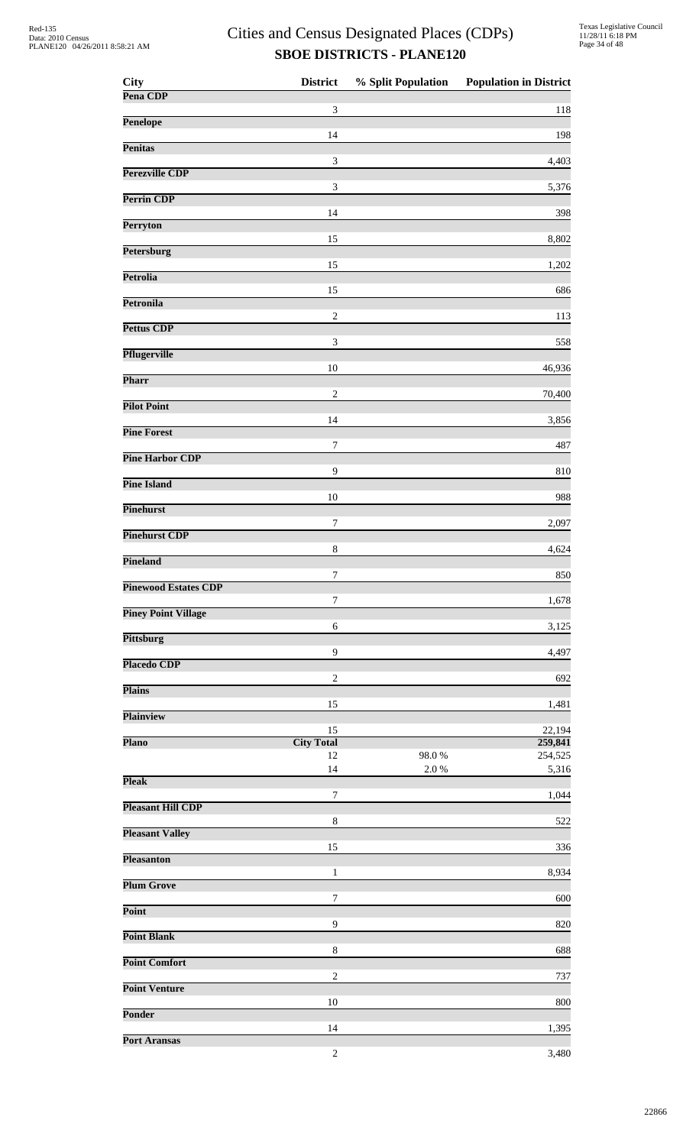| <b>City</b>                 | <b>District</b>             | % Split Population | <b>Population in District</b> |
|-----------------------------|-----------------------------|--------------------|-------------------------------|
| Pena CDP                    | 3                           |                    | 118                           |
| Penelope                    |                             |                    |                               |
| <b>Penitas</b>              | 14                          |                    | 198                           |
|                             | $\mathfrak{Z}$              |                    | 4,403                         |
| Perezville CDP              | $\ensuremath{\mathfrak{Z}}$ |                    | 5,376                         |
| Perrin CDP                  | 14                          |                    |                               |
| Perryton                    |                             |                    | 398                           |
| <b>Petersburg</b>           | 15                          |                    | 8,802                         |
| <b>Petrolia</b>             | 15                          |                    | 1,202                         |
|                             | 15                          |                    | 686                           |
| Petronila                   | $\overline{c}$              |                    | 113                           |
| <b>Pettus CDP</b>           |                             |                    |                               |
| <b>Pflugerville</b>         | 3                           |                    | 558                           |
| Pharr                       | $10\,$                      |                    | 46,936                        |
|                             | $\sqrt{2}$                  |                    | 70,400                        |
| <b>Pilot Point</b>          | 14                          |                    | 3,856                         |
| <b>Pine Forest</b>          | 7                           |                    | 487                           |
| <b>Pine Harbor CDP</b>      |                             |                    |                               |
| <b>Pine Island</b>          | 9                           |                    | 810                           |
| Pinehurst                   | 10                          |                    | 988                           |
|                             | $\boldsymbol{7}$            |                    | 2,097                         |
| <b>Pinehurst CDP</b>        | $\,8\,$                     |                    | 4,624                         |
| Pineland                    | 7                           |                    | 850                           |
| <b>Pinewood Estates CDP</b> |                             |                    |                               |
| <b>Piney Point Village</b>  | 7                           |                    | 1,678                         |
| <b>Pittsburg</b>            | 6                           |                    | 3,125                         |
|                             | $\mathbf{9}$                |                    | 4,497                         |
| <b>Placedo CDP</b>          | $\overline{c}$              |                    | 692                           |
| <b>Plains</b>               |                             |                    |                               |
| <b>Plainview</b>            | 15                          |                    | 1,481                         |
| <b>Plano</b>                | 15<br><b>City Total</b>     |                    | 22,194<br>259,841             |
|                             | 12                          | 98.0%              | 254,525                       |
| <b>Pleak</b>                | 14                          | $2.0\ \%$          | 5,316                         |
|                             | $\boldsymbol{7}$            |                    | 1,044                         |
| <b>Pleasant Hill CDP</b>    | $\,8\,$                     |                    | 522                           |
| <b>Pleasant Valley</b>      | 15                          |                    | 336                           |
| <b>Pleasanton</b>           | 1                           |                    |                               |
| <b>Plum Grove</b>           |                             |                    | 8,934                         |
| Point                       | 7                           |                    | 600                           |
| <b>Point Blank</b>          | 9                           |                    | 820                           |
|                             | $\,8\,$                     |                    | 688                           |
| <b>Point Comfort</b>        | $\overline{2}$              |                    | 737                           |
| <b>Point Venture</b>        | 10                          |                    |                               |
| <b>Ponder</b>               |                             |                    | 800                           |
| <b>Port Aransas</b>         | 14                          |                    | 1,395                         |
|                             | $\sqrt{2}$                  |                    | 3,480                         |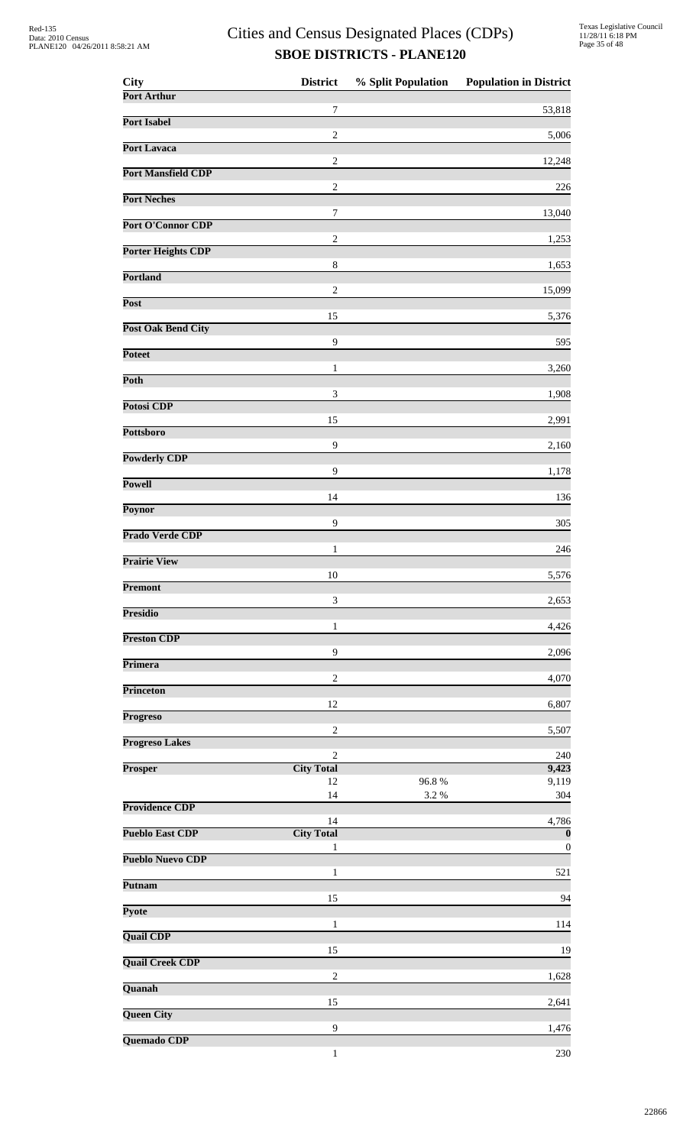| City                      | <b>District</b>                   | % Split Population | <b>Population in District</b>               |
|---------------------------|-----------------------------------|--------------------|---------------------------------------------|
| Port Arthur               | 7                                 |                    | 53,818                                      |
| <b>Port Isabel</b>        |                                   |                    |                                             |
| <b>Port Lavaca</b>        | $\sqrt{2}$                        |                    | 5,006                                       |
| <b>Port Mansfield CDP</b> | $\sqrt{2}$                        |                    | 12,248                                      |
|                           | $\sqrt{2}$                        |                    | 226                                         |
| <b>Port Neches</b>        | 7                                 |                    | 13,040                                      |
| Port O'Connor CDP         | $\overline{c}$                    |                    | 1,253                                       |
| <b>Porter Heights CDP</b> |                                   |                    |                                             |
| <b>Portland</b>           | $\,$ 8 $\,$                       |                    | 1,653                                       |
| <b>Post</b>               | $\sqrt{2}$                        |                    | 15,099                                      |
| <b>Post Oak Bend City</b> | 15                                |                    | 5,376                                       |
|                           | 9                                 |                    | 595                                         |
| <b>Poteet</b>             | 1                                 |                    | 3,260                                       |
| Poth                      | $\mathfrak 3$                     |                    | 1,908                                       |
| Potosi CDP                |                                   |                    |                                             |
| Pottsboro                 | 15                                |                    | 2,991                                       |
| <b>Powderly CDP</b>       | 9                                 |                    | 2,160                                       |
|                           | 9                                 |                    | 1,178                                       |
| <b>Powell</b>             | 14                                |                    | 136                                         |
| Poynor                    | 9                                 |                    | 305                                         |
| Prado Verde CDP           |                                   |                    |                                             |
| <b>Prairie View</b>       | $\mathbf{1}$                      |                    | 246                                         |
| Premont                   | 10                                |                    | 5,576                                       |
|                           | 3                                 |                    | 2,653                                       |
| <b>Presidio</b>           | 1                                 |                    | 4,426                                       |
| <b>Preston CDP</b>        | $\mathbf{9}$                      |                    | 2,096                                       |
| Primera                   |                                   |                    |                                             |
| <b>Princeton</b>          | $\overline{c}$                    |                    | 4,070                                       |
| <b>Progreso</b>           | 12                                |                    | 6,807                                       |
| <b>Progreso Lakes</b>     | $\overline{2}$                    |                    | 5,507                                       |
|                           | $\overline{2}$                    |                    | 240                                         |
| Prosper                   | <b>City Total</b><br>12           | 96.8%              | 9,423<br>9,119                              |
| <b>Providence CDP</b>     | 14                                | 3.2%               | 304                                         |
|                           | 14                                |                    | 4,786                                       |
| <b>Pueblo East CDP</b>    | <b>City Total</b><br>$\mathbf{1}$ |                    | $\overline{\mathbf{0}}$<br>$\boldsymbol{0}$ |
| <b>Pueblo Nuevo CDP</b>   | 1                                 |                    | 521                                         |
| Putnam                    |                                   |                    |                                             |
| Pyote                     | 15                                |                    | 94                                          |
| <b>Quail CDP</b>          | 1                                 |                    | 114                                         |
|                           | 15                                |                    | 19                                          |
| <b>Quail Creek CDP</b>    | $\overline{2}$                    |                    | 1,628                                       |
| Quanah                    | 15                                |                    | 2,641                                       |
| <b>Queen City</b>         |                                   |                    |                                             |
| Quemado CDP               | 9                                 |                    | 1,476                                       |
|                           | $\mathbf{1}$                      |                    | 230                                         |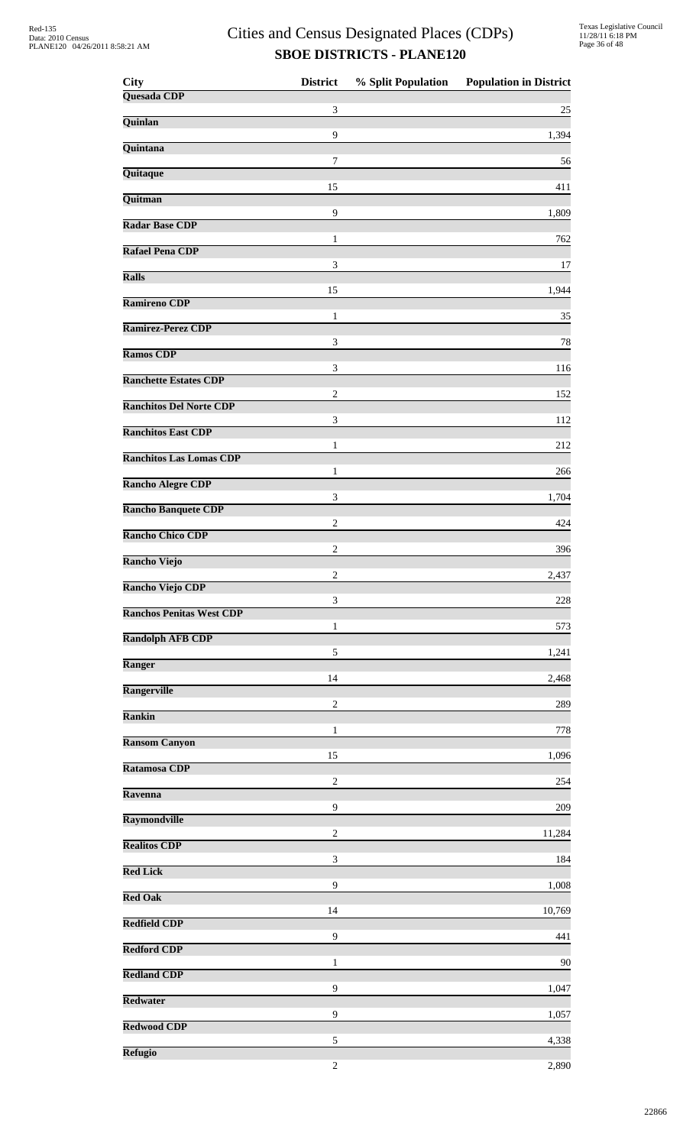| <b>City</b>                     | <b>District</b> | % Split Population | <b>Population in District</b> |
|---------------------------------|-----------------|--------------------|-------------------------------|
| Quesada CDP                     | 3               |                    | 25                            |
| Quinlan                         |                 |                    |                               |
| Quintana                        | 9               |                    | 1,394                         |
| Quitaque                        | 7               |                    | 56                            |
| Quitman                         | 15              |                    | 411                           |
| <b>Radar Base CDP</b>           | 9               |                    | 1,809                         |
| <b>Rafael Pena CDP</b>          | 1               |                    | 762                           |
| <b>Ralls</b>                    | 3               |                    | 17                            |
| <b>Ramireno CDP</b>             | 15              |                    | 1,944                         |
| Ramirez-Perez CDP               | 1               |                    | 35                            |
| <b>Ramos CDP</b>                | 3               |                    | 78                            |
| <b>Ranchette Estates CDP</b>    | 3               |                    | 116                           |
| <b>Ranchitos Del Norte CDP</b>  | $\overline{c}$  |                    | 152                           |
| <b>Ranchitos East CDP</b>       | 3               |                    | 112                           |
| <b>Ranchitos Las Lomas CDP</b>  | 1               |                    | 212                           |
| <b>Rancho Alegre CDP</b>        | 1               |                    | 266                           |
|                                 | 3               |                    | 1,704                         |
| <b>Rancho Banquete CDP</b>      | $\overline{c}$  |                    | 424                           |
| <b>Rancho Chico CDP</b>         | $\overline{c}$  |                    | 396                           |
| <b>Rancho Viejo</b>             | $\overline{c}$  |                    | 2,437                         |
| <b>Rancho Viejo CDP</b>         | 3               |                    | 228                           |
| <b>Ranchos Penitas West CDP</b> | 1               |                    | 573                           |
| <b>Randolph AFB CDP</b>         | 5               |                    | 1,241                         |
| Ranger                          | 14              |                    | 2,468                         |
| <b>Rangerville</b>              | $\overline{c}$  |                    | 289                           |
| <b>Rankin</b>                   | 1               |                    | 778                           |
| <b>Ransom Canyon</b>            | 15              |                    | 1,096                         |
| Ratamosa CDP                    |                 |                    |                               |
| Ravenna                         | $\overline{c}$  |                    | 254                           |
| Raymondville                    | 9               |                    | 209                           |
| <b>Realitos CDP</b>             | $\overline{c}$  |                    | 11,284                        |
| <b>Red Lick</b>                 | 3               |                    | 184                           |
| <b>Red Oak</b>                  | $\overline{9}$  |                    | 1,008                         |
| <b>Redfield CDP</b>             | 14              |                    | 10,769                        |
| <b>Redford CDP</b>              | 9               |                    | 441                           |
| <b>Redland CDP</b>              | 1               |                    | 90                            |
| <b>Redwater</b>                 | 9               |                    | 1,047                         |
| <b>Redwood CDP</b>              | 9               |                    | 1,057                         |
| <b>Refugio</b>                  | 5               |                    | 4,338                         |
|                                 | $\overline{c}$  |                    | 2,890                         |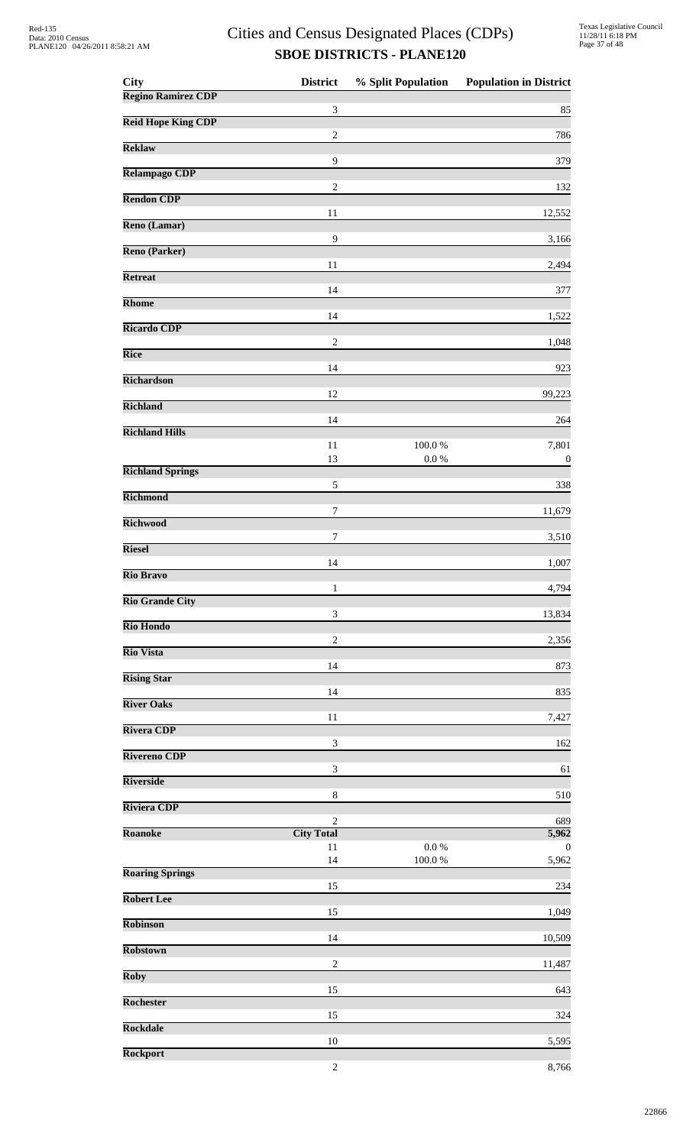| <b>City</b>               | <b>District</b>             | % Split Population      | <b>Population in District</b> |
|---------------------------|-----------------------------|-------------------------|-------------------------------|
| <b>Regino Ramirez CDP</b> | $\mathfrak{Z}$              |                         | 85                            |
| <b>Reid Hope King CDP</b> | $\boldsymbol{2}$            |                         | 786                           |
| <b>Reklaw</b>             | $\overline{9}$              |                         |                               |
| <b>Relampago CDP</b>      |                             |                         | 379                           |
| <b>Rendon CDP</b>         | $\overline{c}$              |                         | 132                           |
| Reno (Lamar)              | 11                          |                         | 12,552                        |
| Reno (Parker)             | $\overline{9}$              |                         | 3,166                         |
| <b>Retreat</b>            | 11                          |                         | 2,494                         |
|                           | 14                          |                         | 377                           |
| Rhome                     | 14                          |                         | 1,522                         |
| <b>Ricardo CDP</b>        | $\boldsymbol{2}$            |                         | 1,048                         |
| <b>Rice</b>               | 14                          |                         | 923                           |
| <b>Richardson</b>         |                             |                         |                               |
| <b>Richland</b>           | 12                          |                         | 99,223                        |
| <b>Richland Hills</b>     | 14                          |                         | 264                           |
|                           | 11<br>13                    | $100.0~\%$<br>$0.0\ \%$ | 7,801<br>$\boldsymbol{0}$     |
| <b>Richland Springs</b>   |                             |                         |                               |
| <b>Richmond</b>           | $\sqrt{5}$                  |                         | 338                           |
| <b>Richwood</b>           | $\boldsymbol{7}$            |                         | 11,679                        |
| <b>Riesel</b>             | 7                           |                         | 3,510                         |
| <b>Rio Bravo</b>          | 14                          |                         | 1,007                         |
|                           | 1                           |                         | 4,794                         |
| <b>Rio Grande City</b>    | $\sqrt{3}$                  |                         | 13,834                        |
| <b>Rio Hondo</b>          | $\overline{c}$              |                         | 2,356                         |
| <b>Rio Vista</b>          | 14                          |                         | 873                           |
| <b>Rising Star</b>        |                             |                         |                               |
| <b>River Oaks</b>         | 14                          |                         | 835                           |
| <b>Rivera CDP</b>         | 11                          |                         | 7,427                         |
| <b>Rivereno CDP</b>       | 3                           |                         | 162                           |
| <b>Riverside</b>          | $\ensuremath{\mathfrak{Z}}$ |                         | 61                            |
| <b>Riviera CDP</b>        | $\,8\,$                     |                         | 510                           |
|                           | $\overline{c}$              |                         | 689                           |
| <b>Roanoke</b>            | <b>City Total</b><br>11     | $0.0\ \%$               | 5,962<br>$\mathbf{0}$         |
| <b>Roaring Springs</b>    | 14                          | 100.0%                  | 5,962                         |
| <b>Robert Lee</b>         | 15                          |                         | 234                           |
|                           | 15                          |                         | 1,049                         |
| Robinson                  | 14                          |                         | 10,509                        |
| <b>Robstown</b>           | $\overline{c}$              |                         | 11,487                        |
| <b>Roby</b>               | 15                          |                         | 643                           |
| <b>Rochester</b>          |                             |                         |                               |
| <b>Rockdale</b>           | 15                          |                         | 324                           |
| <b>Rockport</b>           | 10                          |                         | 5,595                         |
|                           | $\sqrt{2}$                  |                         | 8,766                         |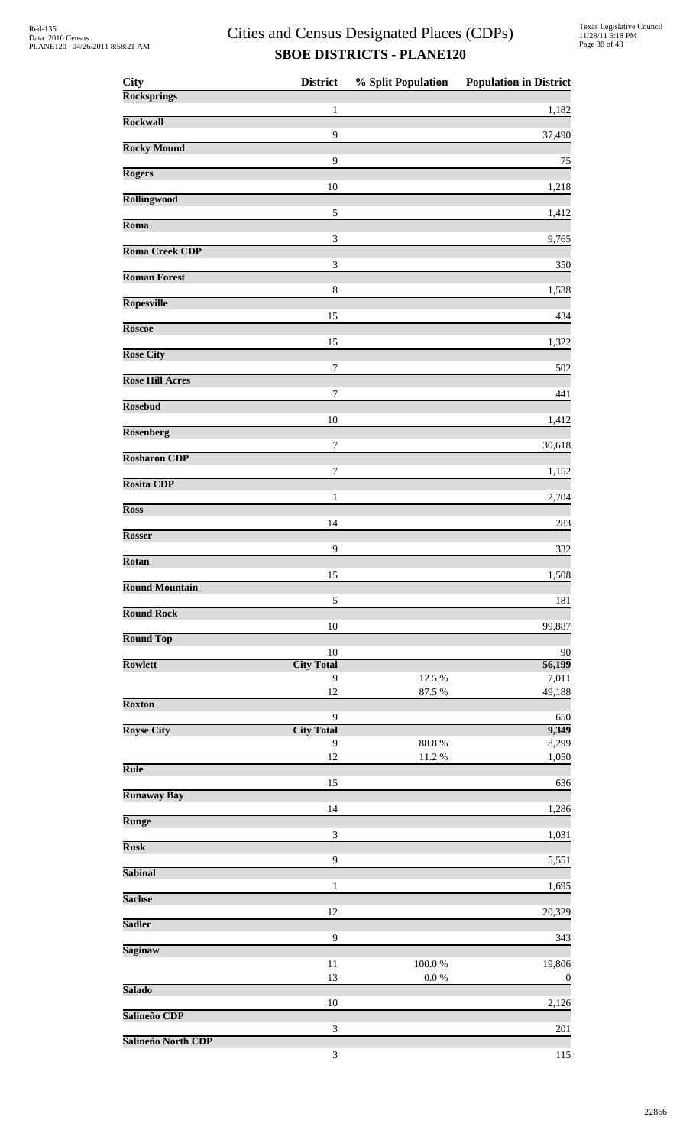| <b>City</b>            | <b>District</b>             | % Split Population      | <b>Population in District</b> |
|------------------------|-----------------------------|-------------------------|-------------------------------|
| <b>Rocksprings</b>     | $\mathbf{1}$                |                         | 1,182                         |
| <b>Rockwall</b>        |                             |                         |                               |
| <b>Rocky Mound</b>     | 9                           |                         | 37,490                        |
| <b>Rogers</b>          | 9                           |                         | 75                            |
|                        | 10                          |                         | 1,218                         |
| <b>Rollingwood</b>     | $\sqrt{5}$                  |                         | 1,412                         |
| Roma                   |                             |                         |                               |
| <b>Roma Creek CDP</b>  | $\sqrt{3}$                  |                         | 9,765                         |
| <b>Roman Forest</b>    | $\mathfrak 3$               |                         | 350                           |
| <b>Ropesville</b>      | $\,8\,$                     |                         | 1,538                         |
|                        | 15                          |                         | 434                           |
| <b>Roscoe</b>          | 15                          |                         | 1,322                         |
| <b>Rose City</b>       |                             |                         |                               |
| <b>Rose Hill Acres</b> | $\boldsymbol{7}$            |                         | 502                           |
| <b>Rosebud</b>         | 7                           |                         | 441                           |
|                        | 10                          |                         | 1,412                         |
| <b>Rosenberg</b>       | 7                           |                         | 30,618                        |
| <b>Rosharon CDP</b>    | 7                           |                         | 1,152                         |
| <b>Rosita CDP</b>      |                             |                         |                               |
| <b>Ross</b>            | $\mathbf{1}$                |                         | 2,704                         |
| <b>Rosser</b>          | 14                          |                         | 283                           |
|                        | 9                           |                         | 332                           |
| Rotan                  | 15                          |                         | 1,508                         |
| <b>Round Mountain</b>  |                             |                         |                               |
| <b>Round Rock</b>      | 5                           |                         | 181                           |
| <b>Round Top</b>       | 10                          |                         | 99,887                        |
|                        | 10                          |                         | 90                            |
| Rowlett                | <b>City Total</b><br>9      | 12.5 %                  | 56,199<br>7,011               |
| <b>Roxton</b>          | 12                          | 87.5 %                  | 49,188                        |
|                        | 9                           |                         | 650                           |
| <b>Royse City</b>      | <b>City Total</b><br>9      | $88.8\ \%$              | 9,349<br>8,299                |
|                        | 12                          | $11.2\ \%$              | 1,050                         |
| <b>Rule</b>            | 15                          |                         | 636                           |
| <b>Runaway Bay</b>     | 14                          |                         | 1,286                         |
| <b>Runge</b>           |                             |                         |                               |
| <b>Rusk</b>            | $\mathfrak{Z}$              |                         | 1,031                         |
| <b>Sabinal</b>         | 9                           |                         | 5,551                         |
|                        | $\mathbf{1}$                |                         | 1,695                         |
| <b>Sachse</b>          | 12                          |                         | 20,329                        |
| <b>Sadler</b>          | 9                           |                         |                               |
| <b>Saginaw</b>         |                             |                         | 343                           |
|                        | 11<br>13                    | $100.0~\%$<br>$0.0\ \%$ | 19,806<br>$\boldsymbol{0}$    |
| <b>Salado</b>          |                             |                         |                               |
| Salineño CDP           | 10                          |                         | 2,126                         |
| Salineño North CDP     | $\ensuremath{\mathfrak{Z}}$ |                         | 201                           |
|                        | $\ensuremath{\mathfrak{Z}}$ |                         | 115                           |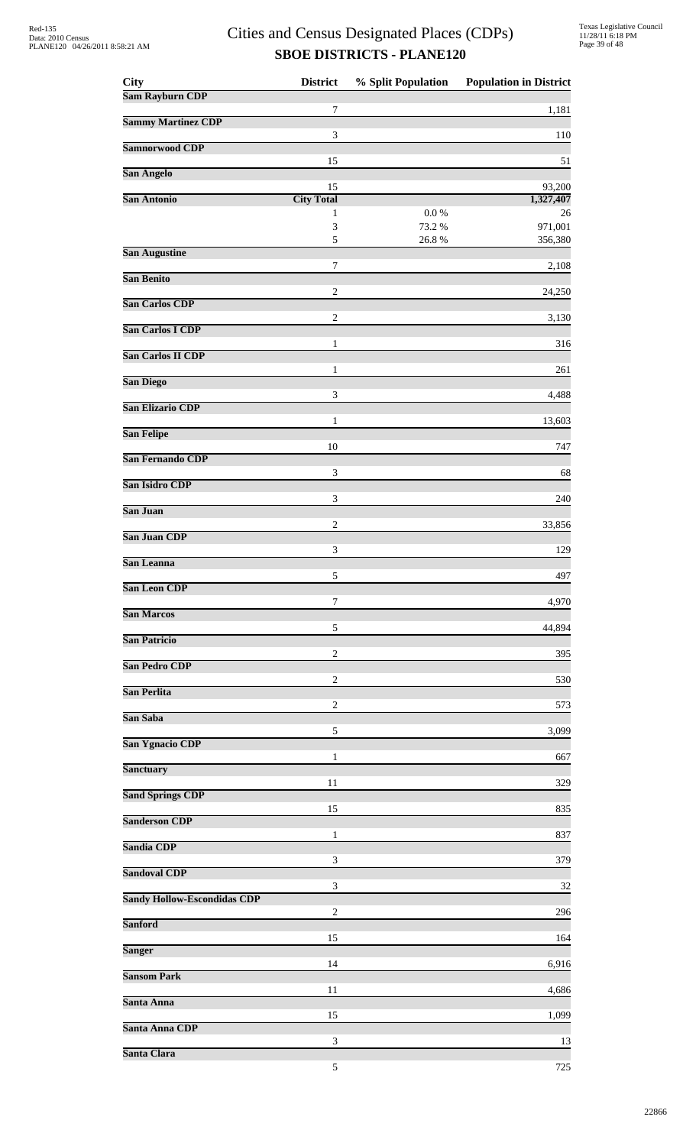| <b>City</b>                        | <b>District</b>         | % Split Population | <b>Population in District</b> |
|------------------------------------|-------------------------|--------------------|-------------------------------|
| <b>Sam Rayburn CDP</b>             | 7                       |                    | 1,181                         |
| <b>Sammy Martinez CDP</b>          |                         |                    |                               |
| Samnorwood CDP                     | 3                       |                    | 110                           |
| San Angelo                         | 15                      |                    | 51                            |
| San Antonio                        | 15<br><b>City Total</b> |                    | 93,200<br>1,327,407           |
|                                    | 1                       | 0.0 %              | 26                            |
|                                    | 3<br>5                  | 73.2 %<br>26.8%    | 971,001<br>356,380            |
| <b>San Augustine</b>               |                         |                    |                               |
| <b>San Benito</b>                  | $\tau$                  |                    | 2,108                         |
| <b>San Carlos CDP</b>              | $\overline{c}$          |                    | 24,250                        |
| <b>San Carlos I CDP</b>            | $\overline{c}$          |                    | 3,130                         |
|                                    | 1                       |                    | 316                           |
| San Carlos II CDP                  | 1                       |                    | 261                           |
| <b>San Diego</b>                   | 3                       |                    | 4,488                         |
| <b>San Elizario CDP</b>            | 1                       |                    |                               |
| <b>San Felipe</b>                  |                         |                    | 13,603                        |
| San Fernando CDP                   | 10                      |                    | 747                           |
| San Isidro CDP                     | 3                       |                    | 68                            |
| San Juan                           | 3                       |                    | 240                           |
|                                    | 2                       |                    | 33,856                        |
| San Juan CDP                       | 3                       |                    | 129                           |
| San Leanna                         | 5                       |                    | 497                           |
| San Leon CDP                       |                         |                    |                               |
| <b>San Marcos</b>                  | 7                       |                    | 4,970                         |
| San Patricio                       | 5                       |                    | 44,894                        |
| <b>San Pedro CDP</b>               | $\overline{2}$          |                    | 395                           |
|                                    | $\overline{c}$          |                    | 530                           |
| San Perlita                        | 2                       |                    | 573                           |
| San Saba                           | 5                       |                    | 3,099                         |
| <b>San Ygnacio CDP</b>             | 1                       |                    | 667                           |
| <b>Sanctuary</b>                   |                         |                    |                               |
| <b>Sand Springs CDP</b>            | 11                      |                    | 329                           |
| <b>Sanderson CDP</b>               | 15                      |                    | 835                           |
| Sandia CDP                         | $\mathbf{1}$            |                    | 837                           |
|                                    | 3                       |                    | 379                           |
| <b>Sandoval CDP</b>                | 3                       |                    | 32                            |
| <b>Sandy Hollow-Escondidas CDP</b> | $\overline{2}$          |                    | 296                           |
| <b>Sanford</b>                     |                         |                    |                               |
| <b>Sanger</b>                      | 15                      |                    | 164                           |
| <b>Sansom Park</b>                 | 14                      |                    | 6,916                         |
| Santa Anna                         | 11                      |                    | 4,686                         |
|                                    | 15                      |                    | 1,099                         |
| Santa Anna CDP                     | 3                       |                    | 13                            |
| Santa Clara                        | 5                       |                    | 725                           |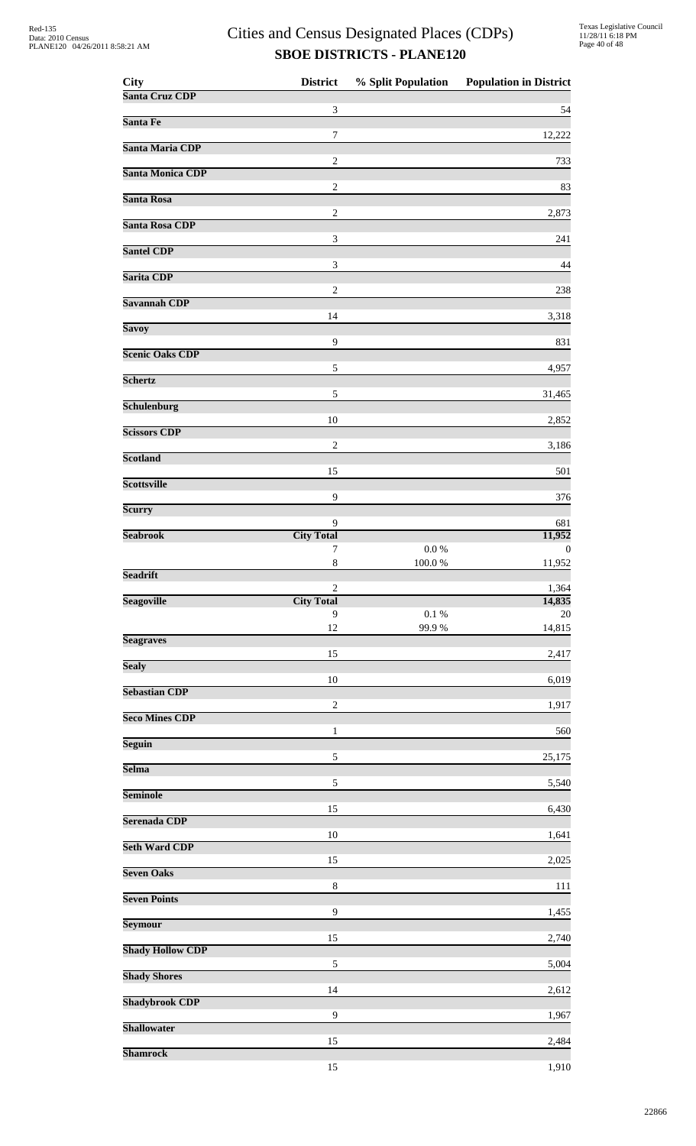| <b>City</b>             | <b>District</b>             | % Split Population | <b>Population in District</b> |
|-------------------------|-----------------------------|--------------------|-------------------------------|
| Santa Cruz CDP          | 3                           |                    | 54                            |
| Santa Fe                |                             |                    |                               |
| Santa Maria CDP         | 7                           |                    | 12,222                        |
| <b>Santa Monica CDP</b> | $\overline{c}$              |                    | 733                           |
| Santa Rosa              | $\sqrt{2}$                  |                    | 83                            |
| Santa Rosa CDP          | $\overline{c}$              |                    | 2,873                         |
|                         | 3                           |                    | 241                           |
| <b>Santel CDP</b>       | $\ensuremath{\mathfrak{Z}}$ |                    | 44                            |
| Sarita CDP              | $\overline{2}$              |                    | 238                           |
| Savannah CDP            | 14                          |                    | 3,318                         |
| <b>Savoy</b>            |                             |                    |                               |
| <b>Scenic Oaks CDP</b>  | 9                           |                    | 831                           |
| <b>Schertz</b>          | 5                           |                    | 4,957                         |
| <b>Schulenburg</b>      | 5                           |                    | 31,465                        |
| <b>Scissors CDP</b>     | 10                          |                    | 2,852                         |
|                         | $\overline{2}$              |                    | 3,186                         |
| <b>Scotland</b>         | 15                          |                    | 501                           |
| <b>Scottsville</b>      | 9                           |                    | 376                           |
| Scurry                  |                             |                    |                               |
| <b>Seabrook</b>         | 9<br><b>City Total</b>      |                    | 681<br>11,952                 |
|                         | 7<br>$\,$ 8 $\,$            | 0.0 %<br>100.0%    | $\bf{0}$<br>11,952            |
| <b>Seadrift</b>         |                             |                    |                               |
| <b>Seagoville</b>       | 2<br><b>City Total</b>      |                    | 1,364<br>14,835               |
|                         | 9<br>12                     | $0.1\ \%$<br>99.9% | 20<br>14,815                  |
| <b>Seagraves</b>        | 15                          |                    | 2,417                         |
| <b>Sealy</b>            |                             |                    |                               |
| <b>Sebastian CDP</b>    | 10                          |                    | 6,019                         |
| <b>Seco Mines CDP</b>   | $\sqrt{2}$                  |                    | 1,917                         |
| <b>Seguin</b>           | 1                           |                    | 560                           |
| <b>Selma</b>            | 5                           |                    | 25,175                        |
|                         | $\sqrt{5}$                  |                    | 5,540                         |
| <b>Seminole</b>         | 15                          |                    | 6,430                         |
| Serenada CDP            | 10                          |                    | 1,641                         |
| <b>Seth Ward CDP</b>    | 15                          |                    | 2,025                         |
| <b>Seven Oaks</b>       |                             |                    |                               |
| <b>Seven Points</b>     | $\,8\,$                     |                    | 111                           |
| Seymour                 | 9                           |                    | 1,455                         |
| <b>Shady Hollow CDP</b> | 15                          |                    | 2,740                         |
|                         | $\sqrt{5}$                  |                    | 5,004                         |
| <b>Shady Shores</b>     | 14                          |                    | 2,612                         |
| <b>Shadybrook CDP</b>   | $\mathbf{9}$                |                    | 1,967                         |
| <b>Shallowater</b>      | 15                          |                    | 2,484                         |
| <b>Shamrock</b>         |                             |                    |                               |
|                         | 15                          |                    | 1,910                         |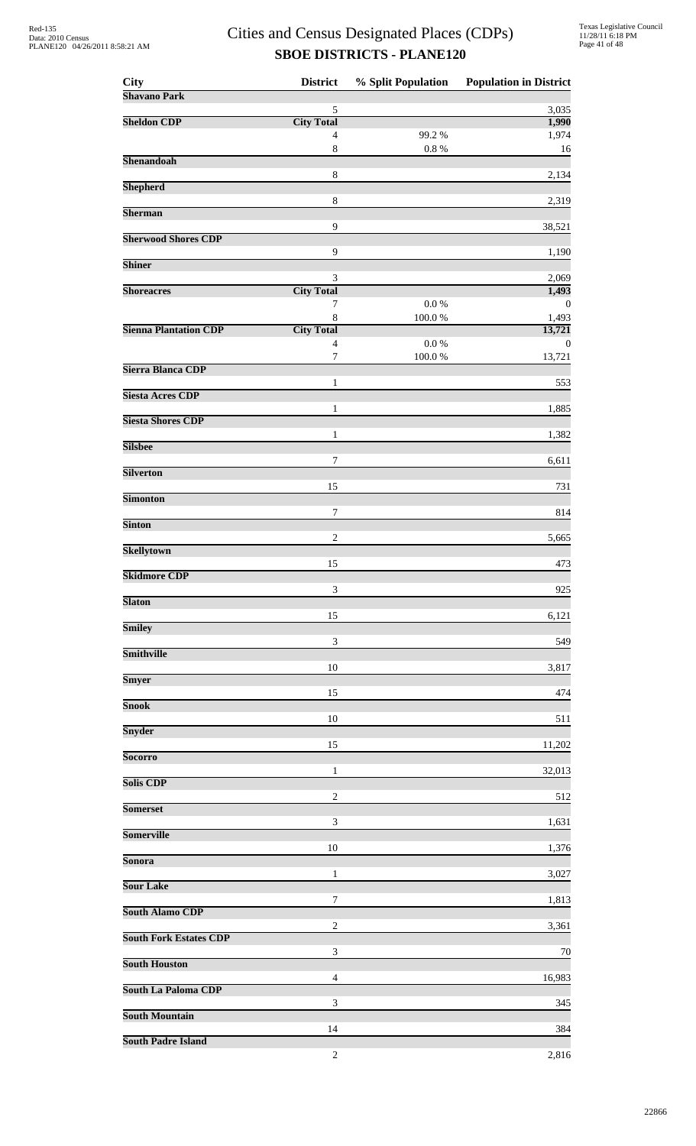| <b>City</b>                   | <b>District</b>                     | % Split Population | <b>Population in District</b> |
|-------------------------------|-------------------------------------|--------------------|-------------------------------|
| <b>Shavano Park</b>           | 5                                   |                    | 3,035                         |
| <b>Sheldon CDP</b>            | <b>City Total</b>                   |                    | 1,990                         |
|                               | $\overline{4}$                      | 99.2%              | 1,974                         |
| <b>Shenandoah</b>             | $8\,$                               | $0.8~\%$           | 16                            |
|                               | $\,8\,$                             |                    | 2,134                         |
| <b>Shepherd</b>               | $\,8\,$                             |                    | 2,319                         |
| <b>Sherman</b>                |                                     |                    |                               |
| <b>Sherwood Shores CDP</b>    | 9                                   |                    | 38,521                        |
| <b>Shiner</b>                 | $\mathbf{9}$                        |                    | 1,190                         |
| <b>Shoreacres</b>             | 3<br><b>City Total</b>              |                    | 2,069<br>1,493                |
|                               | 7                                   | $0.0\ \%$          | $\bf{0}$                      |
|                               | $\,8\,$                             | 100.0%             | 1,493                         |
| <b>Sienna Plantation CDP</b>  | <b>City Total</b><br>$\overline{4}$ | $0.0\ \%$          | 13,721<br>$\boldsymbol{0}$    |
|                               | $\boldsymbol{7}$                    | 100.0%             | 13,721                        |
| Sierra Blanca CDP             | 1                                   |                    | 553                           |
| <b>Siesta Acres CDP</b>       | $\mathbf{1}$                        |                    | 1,885                         |
| <b>Siesta Shores CDP</b>      |                                     |                    |                               |
| <b>Silsbee</b>                | 1                                   |                    | 1,382                         |
|                               | 7                                   |                    | 6,611                         |
| <b>Silverton</b>              | 15                                  |                    | 731                           |
| <b>Simonton</b>               |                                     |                    |                               |
| <b>Sinton</b>                 | 7                                   |                    | 814                           |
|                               | $\overline{c}$                      |                    | 5,665                         |
| <b>Skellytown</b>             | 15                                  |                    | 473                           |
| <b>Skidmore CDP</b>           |                                     |                    |                               |
| <b>Slaton</b>                 | 3                                   |                    | 925                           |
|                               | 15                                  |                    | 6,121                         |
| <b>Smiley</b>                 | 3                                   |                    | 549                           |
| Smithville                    |                                     |                    |                               |
| Smyer                         | 10                                  |                    | 3,817                         |
|                               | 15                                  |                    | 474                           |
| <b>Snook</b>                  | 10                                  |                    | 511                           |
| Snyder                        |                                     |                    |                               |
| <b>Socorro</b>                | 15                                  |                    | 11,202                        |
| <b>Solis CDP</b>              | 1                                   |                    | 32,013                        |
|                               | $\overline{c}$                      |                    | 512                           |
| <b>Somerset</b>               | 3                                   |                    | 1,631                         |
| <b>Somerville</b>             |                                     |                    |                               |
| Sonora                        | 10                                  |                    | 1,376                         |
|                               | 1                                   |                    | 3,027                         |
| <b>Sour Lake</b>              | 7                                   |                    | 1,813                         |
| <b>South Alamo CDP</b>        |                                     |                    |                               |
| <b>South Fork Estates CDP</b> | $\overline{c}$                      |                    | 3,361                         |
| <b>South Houston</b>          | 3                                   |                    | 70                            |
|                               | 4                                   |                    | 16,983                        |
| <b>South La Paloma CDP</b>    | 3                                   |                    | 345                           |
| <b>South Mountain</b>         |                                     |                    |                               |
| <b>South Padre Island</b>     | 14                                  |                    | 384                           |
|                               | $\sqrt{2}$                          |                    | 2,816                         |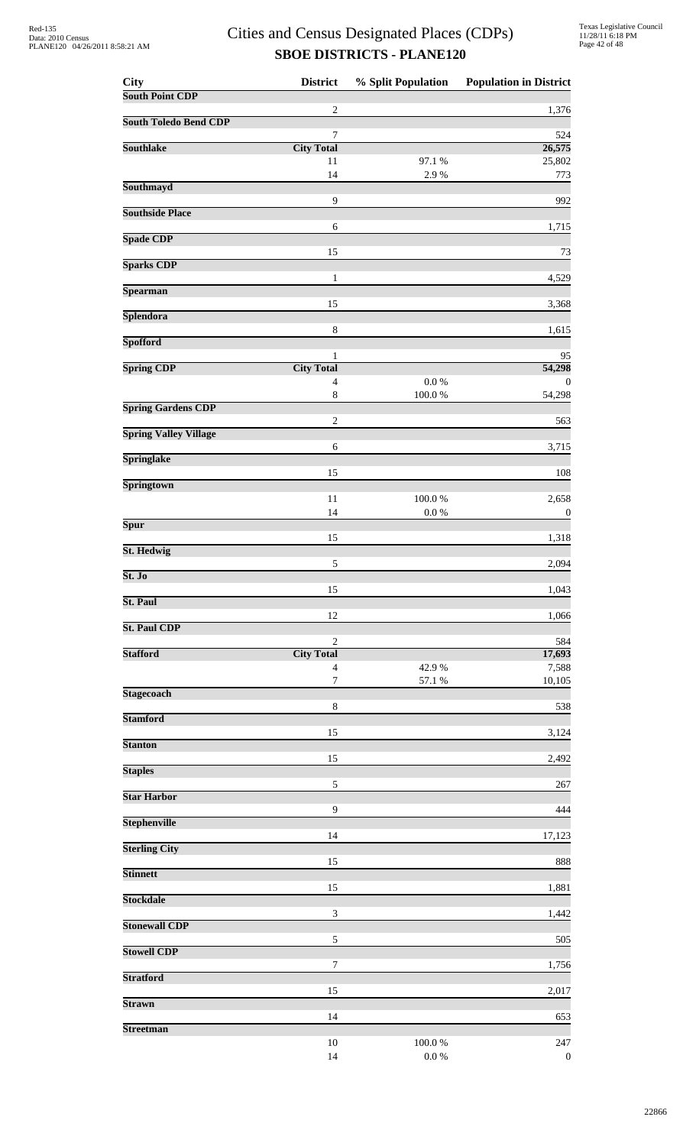| City                         | <b>District</b>                   | % Split Population      | <b>Population in District</b> |
|------------------------------|-----------------------------------|-------------------------|-------------------------------|
| <b>South Point CDP</b>       |                                   |                         |                               |
| <b>South Toledo Bend CDP</b> | $\overline{2}$                    |                         | 1,376                         |
|                              | $\boldsymbol{7}$                  |                         | 524                           |
| <b>Southlake</b>             | <b>City Total</b><br>11           | 97.1 %                  | 26,575                        |
|                              | 14                                | 2.9%                    | 25,802<br>773                 |
| Southmayd                    |                                   |                         |                               |
| <b>Southside Place</b>       | 9                                 |                         | 992                           |
|                              | 6                                 |                         | 1,715                         |
| <b>Spade CDP</b>             |                                   |                         |                               |
| <b>Sparks CDP</b>            | 15                                |                         | 73                            |
|                              | $\mathbf{1}$                      |                         | 4,529                         |
| <b>Spearman</b>              |                                   |                         |                               |
| Splendora                    | 15                                |                         | 3,368                         |
|                              | $\,8\,$                           |                         | 1,615                         |
| <b>Spofford</b>              | 1                                 |                         | 95                            |
| <b>Spring CDP</b>            | <b>City Total</b>                 |                         | 54,298                        |
|                              | $\overline{4}$                    | $0.0\ \%$               | $\theta$                      |
| <b>Spring Gardens CDP</b>    | $\,$ $\,$                         | $100.0~\%$              | 54,298                        |
|                              | $\sqrt{2}$                        |                         | 563                           |
| <b>Spring Valley Village</b> |                                   |                         |                               |
| <b>Springlake</b>            | 6                                 |                         | 3,715                         |
|                              | 15                                |                         | 108                           |
| <b>Springtown</b>            |                                   |                         |                               |
|                              | 11<br>14                          | $100.0~\%$<br>$0.0\ \%$ | 2,658<br>$\boldsymbol{0}$     |
| <b>Spur</b>                  |                                   |                         |                               |
| St. Hedwig                   | 15                                |                         | 1,318                         |
|                              | $\sqrt{5}$                        |                         | 2,094                         |
| St. Jo                       |                                   |                         |                               |
| St. Paul                     | 15                                |                         | 1,043                         |
|                              | 12                                |                         | 1,066                         |
| <b>St. Paul CDP</b>          |                                   |                         |                               |
| <b>Stafford</b>              | $\mathbf{2}$<br><b>City Total</b> |                         | 584<br>17,693                 |
|                              | $\overline{4}$                    | 42.9%                   | 7,588                         |
| <b>Stagecoach</b>            | $\boldsymbol{7}$                  | 57.1 %                  | 10,105                        |
|                              | $\,8\,$                           |                         | 538                           |
| <b>Stamford</b>              |                                   |                         |                               |
| <b>Stanton</b>               | 15                                |                         | 3,124                         |
|                              | 15                                |                         | 2,492                         |
| <b>Staples</b>               |                                   |                         |                               |
| <b>Star Harbor</b>           | 5                                 |                         | 267                           |
|                              | $\mathbf{9}$                      |                         | 444                           |
| <b>Stephenville</b>          |                                   |                         |                               |
| <b>Sterling City</b>         | 14                                |                         | 17,123                        |
|                              | 15                                |                         | 888                           |
| <b>Stinnett</b>              | 15                                |                         | 1,881                         |
| <b>Stockdale</b>             |                                   |                         |                               |
|                              | 3                                 |                         | 1,442                         |
| <b>Stonewall CDP</b>         | 5                                 |                         | 505                           |
| <b>Stowell CDP</b>           |                                   |                         |                               |
|                              | 7                                 |                         | 1,756                         |
| <b>Stratford</b>             | 15                                |                         | 2,017                         |
| <b>Strawn</b>                |                                   |                         |                               |
| <b>Streetman</b>             | 14                                |                         | 653                           |
|                              | 10                                | 100.0%                  | 247                           |
|                              | 14                                | $0.0\ \%$               | $\boldsymbol{0}$              |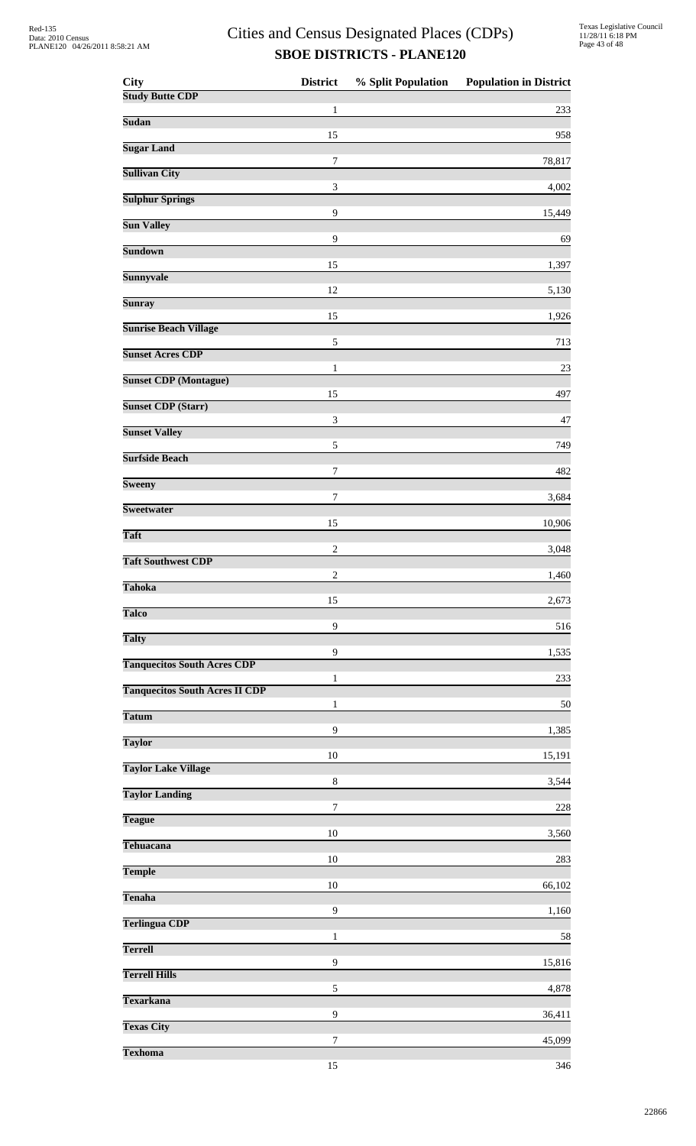| <b>City</b>                           | <b>District</b>             | % Split Population | <b>Population in District</b> |
|---------------------------------------|-----------------------------|--------------------|-------------------------------|
| <b>Study Butte CDP</b>                | 1                           |                    | 233                           |
| Sudan                                 | 15                          |                    |                               |
| <b>Sugar Land</b>                     | $\boldsymbol{7}$            |                    | 958<br>78,817                 |
| <b>Sullivan City</b>                  |                             |                    |                               |
| <b>Sulphur Springs</b>                | $\ensuremath{\mathfrak{Z}}$ |                    | 4,002                         |
| <b>Sun Valley</b>                     | 9                           |                    | 15,449                        |
| <b>Sundown</b>                        | 9                           |                    | 69                            |
| <b>Sunnyvale</b>                      | 15                          |                    | 1,397                         |
|                                       | 12                          |                    | 5,130                         |
| <b>Sunray</b>                         | 15                          |                    | 1,926                         |
| <b>Sunrise Beach Village</b>          | 5                           |                    | 713                           |
| <b>Sunset Acres CDP</b>               | $\mathbf{1}$                |                    | 23                            |
| <b>Sunset CDP</b> (Montague)          |                             |                    |                               |
| <b>Sunset CDP (Starr)</b>             | 15                          |                    | 497                           |
| <b>Sunset Valley</b>                  | 3                           |                    | 47                            |
| <b>Surfside Beach</b>                 | 5                           |                    | 749                           |
| <b>Sweeny</b>                         | 7                           |                    | 482                           |
|                                       | $\tau$                      |                    | 3,684                         |
| Sweetwater                            | 15                          |                    | 10,906                        |
| <b>Taft</b>                           | $\sqrt{2}$                  |                    | 3,048                         |
| <b>Taft Southwest CDP</b>             | $\sqrt{2}$                  |                    | 1,460                         |
| <b>Tahoka</b>                         |                             |                    |                               |
| <b>Talco</b>                          | 15                          |                    | 2,673                         |
| <b>Talty</b>                          | 9                           |                    | 516                           |
| <b>Tanquecitos South Acres CDP</b>    | 9                           |                    | 1,535                         |
| <b>Tanquecitos South Acres II CDP</b> | 1                           |                    | 233                           |
|                                       | $\mathbf{1}$                |                    | 50                            |
| <b>Tatum</b>                          | 9                           |                    | 1,385                         |
| <b>Taylor</b>                         | $10\,$                      |                    | 15,191                        |
| <b>Taylor Lake Village</b>            | $\,8\,$                     |                    | 3,544                         |
| <b>Taylor Landing</b>                 |                             |                    |                               |
| <b>Teague</b>                         | 7                           |                    | 228                           |
| Tehuacana                             | 10                          |                    | 3,560                         |
| <b>Temple</b>                         | $10\,$                      |                    | 283                           |
| <b>Tenaha</b>                         | 10                          |                    | 66,102                        |
|                                       | 9                           |                    | 1,160                         |
| <b>Terlingua CDP</b>                  | $\mathbf{1}$                |                    | 58                            |
| <b>Terrell</b>                        | 9                           |                    | 15,816                        |
| <b>Terrell Hills</b>                  | 5                           |                    | 4,878                         |
| <b>Texarkana</b>                      |                             |                    |                               |
| <b>Texas City</b>                     | 9                           |                    | 36,411                        |
| <b>Texhoma</b>                        | 7                           |                    | 45,099                        |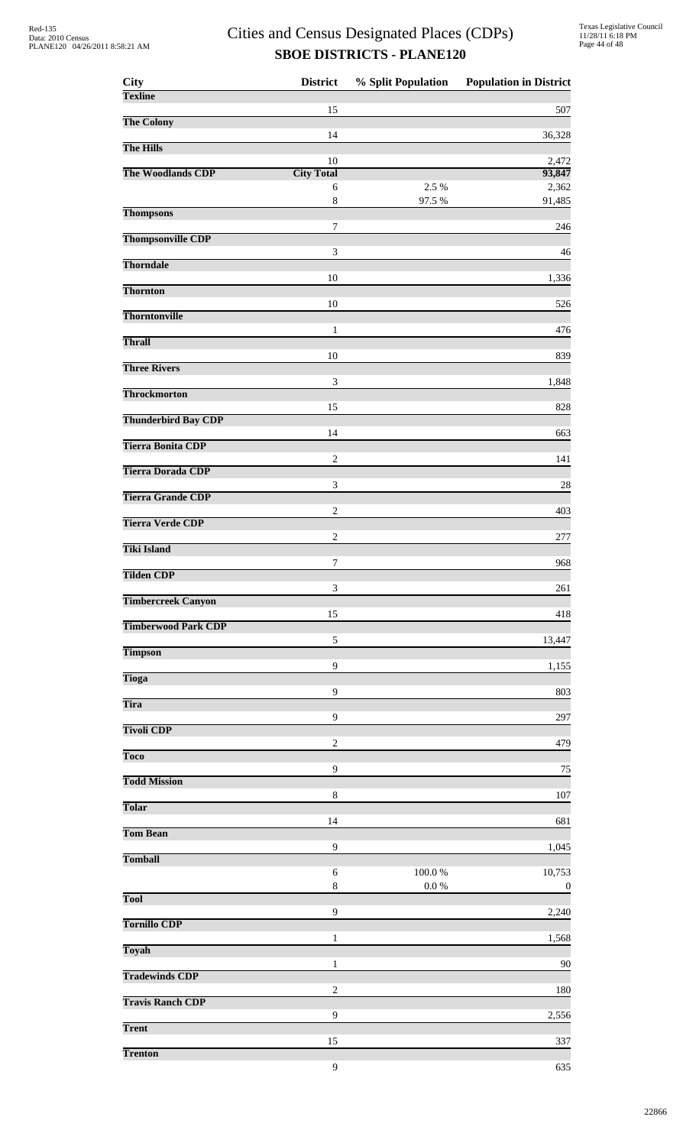| City                       | <b>District</b>             | % Split Population | <b>Population in District</b> |
|----------------------------|-----------------------------|--------------------|-------------------------------|
| <b>Texline</b>             | 15                          |                    | 507                           |
| <b>The Colony</b>          |                             |                    |                               |
| <b>The Hills</b>           | 14                          |                    | 36,328                        |
| The Woodlands CDP          | 10<br><b>City Total</b>     |                    | 2,472<br>93,847               |
|                            | 6                           | 2.5 %              | 2,362                         |
| <b>Thompsons</b>           | $\,8\,$                     | 97.5 %             | 91,485                        |
| <b>Thompsonville CDP</b>   | 7                           |                    | 246                           |
|                            | 3                           |                    | 46                            |
| <b>Thorndale</b>           | 10                          |                    | 1,336                         |
| <b>Thornton</b>            | 10                          |                    | 526                           |
| <b>Thorntonville</b>       |                             |                    |                               |
| <b>Thrall</b>              | $\mathbf{1}$                |                    | 476                           |
| <b>Three Rivers</b>        | 10                          |                    | 839                           |
|                            | 3                           |                    | 1,848                         |
| <b>Throckmorton</b>        | 15                          |                    | 828                           |
| <b>Thunderbird Bay CDP</b> | 14                          |                    | 663                           |
| <b>Tierra Bonita CDP</b>   |                             |                    |                               |
| <b>Tierra Dorada CDP</b>   | $\overline{c}$              |                    | 141                           |
| <b>Tierra Grande CDP</b>   | $\ensuremath{\mathfrak{Z}}$ |                    | 28                            |
| <b>Tierra Verde CDP</b>    | $\overline{c}$              |                    | 403                           |
|                            | $\sqrt{2}$                  |                    | 277                           |
| <b>Tiki Island</b>         | 7                           |                    | 968                           |
| <b>Tilden CDP</b>          |                             |                    |                               |
| <b>Timbercreek Canyon</b>  | 3                           |                    | 261                           |
| <b>Timberwood Park CDP</b> | 15                          |                    | 418                           |
| <b>Timpson</b>             | $\sqrt{5}$                  |                    | 13,447                        |
|                            | $\mathbf{9}$                |                    | 1,155                         |
| <b>Tioga</b>               | 9                           |                    | 803                           |
| <b>Tira</b>                | 9                           |                    | 297                           |
| <b>Tivoli CDP</b>          | $\mathbf{2}$                |                    |                               |
| <b>Toco</b>                |                             |                    | 479                           |
| <b>Todd Mission</b>        | 9                           |                    | 75                            |
| Tolar                      | 8                           |                    | 107                           |
|                            | 14                          |                    | 681                           |
| <b>Tom Bean</b>            | $\mathbf{9}$                |                    | 1,045                         |
| <b>Tomball</b>             | 6                           | 100.0%             | 10,753                        |
|                            | $\,$ 8 $\,$                 | $0.0\ \%$          | $\boldsymbol{0}$              |
| <b>Tool</b>                | 9                           |                    | 2,240                         |
| <b>Tornillo CDP</b>        | 1                           |                    | 1,568                         |
| Toyah                      |                             |                    |                               |
| <b>Tradewinds CDP</b>      | 1                           |                    | 90                            |
| <b>Travis Ranch CDP</b>    | $\overline{2}$              |                    | 180                           |
| <b>Trent</b>               | 9                           |                    | 2,556                         |
|                            | 15                          |                    | 337                           |
| <b>Trenton</b>             | 9                           |                    | 635                           |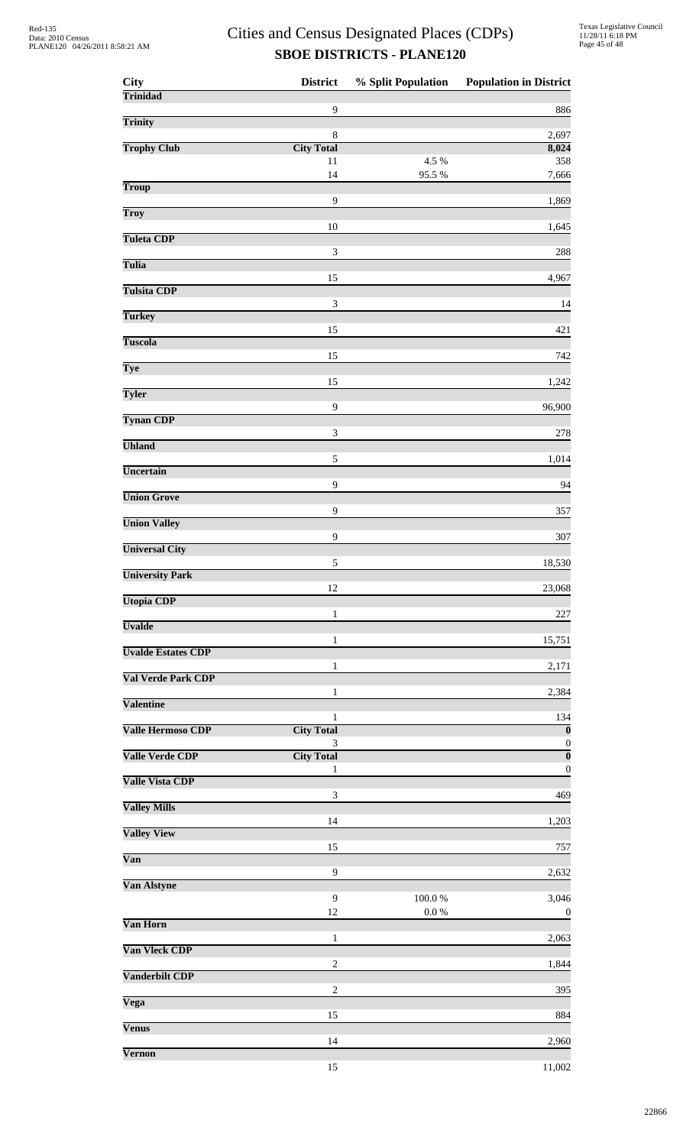| City                      | <b>District</b>                  | % Split Population | <b>Population in District</b>               |
|---------------------------|----------------------------------|--------------------|---------------------------------------------|
| <b>Trinidad</b>           | $\mathbf{9}$                     |                    | 886                                         |
| Trinity                   |                                  |                    |                                             |
| <b>Trophy Club</b>        | $\,$ 8 $\,$<br><b>City Total</b> |                    | 2,697<br>8,024                              |
|                           | 11                               | 4.5 %              | 358                                         |
| <b>Troup</b>              | 14                               | 95.5%              | 7,666                                       |
| Troy                      | 9                                |                    | 1,869                                       |
| <b>Tuleta CDP</b>         | $10\,$                           |                    | 1,645                                       |
|                           | $\mathfrak{Z}$                   |                    | 288                                         |
| <b>Tulia</b>              | 15                               |                    | 4,967                                       |
| <b>Tulsita CDP</b>        | $\ensuremath{\mathfrak{Z}}$      |                    | 14                                          |
| <b>Turkey</b>             |                                  |                    |                                             |
| <b>Tuscola</b>            | 15                               |                    | 421                                         |
| Tye                       | 15                               |                    | 742                                         |
| <b>Tyler</b>              | 15                               |                    | 1,242                                       |
|                           | $\mathbf{9}$                     |                    | 96,900                                      |
| <b>Tynan CDP</b>          | 3                                |                    | 278                                         |
| <b>Uhland</b>             | 5                                |                    | 1,014                                       |
| Uncertain                 |                                  |                    |                                             |
| <b>Union Grove</b>        | $\mathbf{9}$                     |                    | 94                                          |
| <b>Union Valley</b>       | 9                                |                    | 357                                         |
|                           | 9                                |                    | 307                                         |
| <b>Universal City</b>     | $\sqrt{5}$                       |                    | 18,530                                      |
| <b>University Park</b>    | 12                               |                    | 23,068                                      |
| <b>Utopia CDP</b>         | $\mathbf{1}$                     |                    | 227                                         |
| <b>Uvalde</b>             |                                  |                    |                                             |
| <b>Uvalde Estates CDP</b> | 1                                |                    | 15,751                                      |
| Val Verde Park CDP        | $\mathbf{1}$                     |                    | 2,171                                       |
| <b>Valentine</b>          | 1                                |                    | 2,384                                       |
|                           | 1                                |                    | 134                                         |
| <b>Valle Hermoso CDP</b>  | <b>City Total</b><br>3           |                    | $\mathbf{0}$<br>$\boldsymbol{0}$            |
| <b>Valle Verde CDP</b>    | <b>City Total</b><br>1           |                    | $\overline{\mathbf{0}}$<br>$\boldsymbol{0}$ |
| <b>Valle Vista CDP</b>    |                                  |                    |                                             |
| <b>Valley Mills</b>       | $\ensuremath{\mathfrak{Z}}$      |                    | 469                                         |
| <b>Valley View</b>        | 14                               |                    | 1,203                                       |
| Van                       | 15                               |                    | 757                                         |
|                           | $\mathbf{9}$                     |                    | 2,632                                       |
| Van Alstyne               | 9                                | $100.0~\%$         | 3,046                                       |
| Van Horn                  | 12                               | $0.0\ \%$          | $\boldsymbol{0}$                            |
|                           | $\mathbf{1}$                     |                    | 2,063                                       |
| Van Vleck CDP             | $\boldsymbol{2}$                 |                    | 1,844                                       |
| <b>Vanderbilt CDP</b>     | $\overline{c}$                   |                    | 395                                         |
| Vega                      |                                  |                    |                                             |
| <b>Venus</b>              | 15                               |                    | 884                                         |
| Vernon                    | 14                               |                    | 2,960                                       |
|                           | 15                               |                    | 11,002                                      |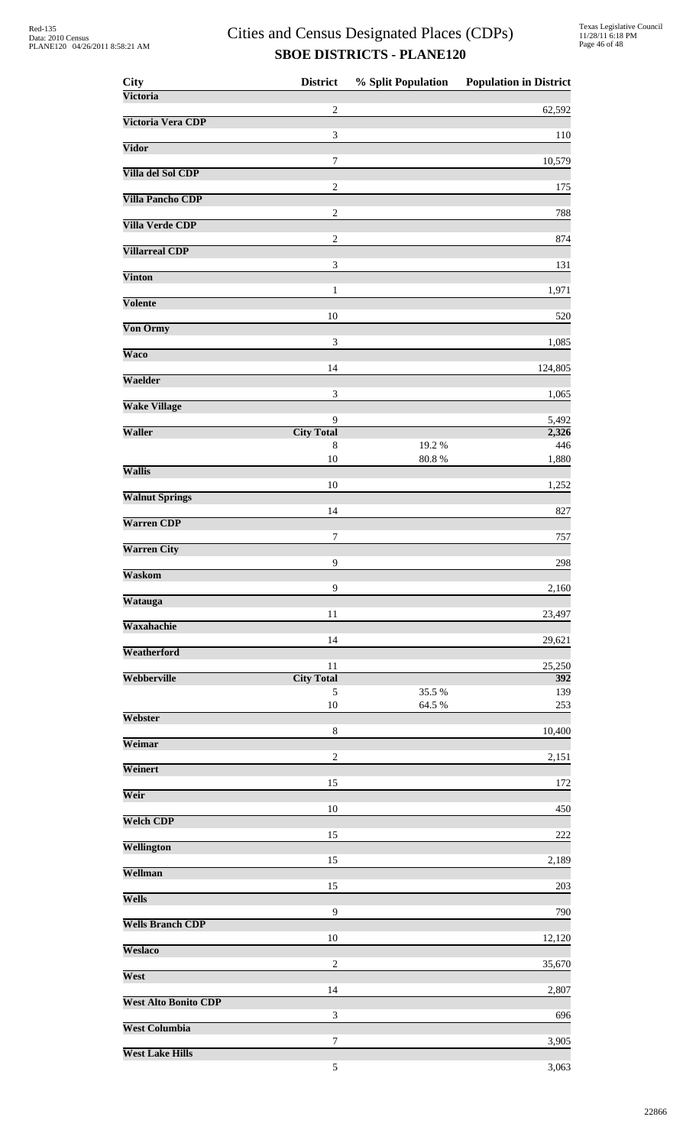| City                        | <b>District</b>             | % Split Population | <b>Population in District</b> |
|-----------------------------|-----------------------------|--------------------|-------------------------------|
| Victoria                    | $\overline{c}$              |                    | 62,592                        |
| Victoria Vera CDP           | 3                           |                    |                               |
| Vidor                       |                             |                    | 110                           |
| Villa del Sol CDP           | $\boldsymbol{7}$            |                    | 10,579                        |
| <b>Villa Pancho CDP</b>     | $\sqrt{2}$                  |                    | 175                           |
| <b>Villa Verde CDP</b>      | $\sqrt{2}$                  |                    | 788                           |
| <b>Villarreal CDP</b>       | $\sqrt{2}$                  |                    | 874                           |
| <b>Vinton</b>               | $\ensuremath{\mathfrak{Z}}$ |                    | 131                           |
|                             | $\mathbf{1}$                |                    | 1,971                         |
| Volente                     | 10                          |                    | 520                           |
| Von Ormy                    | 3                           |                    | 1,085                         |
| <b>Waco</b>                 | 14                          |                    | 124,805                       |
| Waelder                     | 3                           |                    | 1,065                         |
| <b>Wake Village</b>         |                             |                    |                               |
| Waller                      | 9<br><b>City Total</b>      |                    | 5,492<br>2,326                |
|                             | 8                           | 19.2%              | 446                           |
| <b>Wallis</b>               | 10                          | 80.8%              | 1,880                         |
| <b>Walnut Springs</b>       | 10                          |                    | 1,252                         |
| <b>Warren CDP</b>           | 14                          |                    | 827                           |
|                             | 7                           |                    | 757                           |
| <b>Warren City</b>          | 9                           |                    | 298                           |
| Waskom                      | 9                           |                    | 2,160                         |
| Watauga                     |                             |                    |                               |
| Waxahachie                  | 11                          |                    | 23,497                        |
| Weatherford                 | 14                          |                    | 29,621                        |
| Webberville                 | 11<br><b>City Total</b>     |                    | 25,250<br>392                 |
|                             | 5                           | 35.5 %             | 139                           |
| Webster                     | $10\,$                      | 64.5 %             | 253                           |
| Weimar                      | 8                           |                    | 10,400                        |
|                             | $\overline{2}$              |                    | 2,151                         |
| Weinert                     | 15                          |                    | 172                           |
| Weir                        | 10                          |                    | 450                           |
| <b>Welch CDP</b>            | 15                          |                    | 222                           |
| Wellington                  | 15                          |                    | 2,189                         |
| Wellman                     |                             |                    |                               |
| Wells                       | 15                          |                    | 203                           |
| <b>Wells Branch CDP</b>     | 9                           |                    | 790                           |
| <b>Weslaco</b>              | $10\,$                      |                    | 12,120                        |
| West                        | $\overline{c}$              |                    | 35,670                        |
|                             | 14                          |                    | 2,807                         |
| <b>West Alto Bonito CDP</b> | 3                           |                    | 696                           |
| <b>West Columbia</b>        | $\boldsymbol{7}$            |                    | 3,905                         |
| <b>West Lake Hills</b>      |                             |                    |                               |
|                             | $\sqrt{5}$                  |                    | 3,063                         |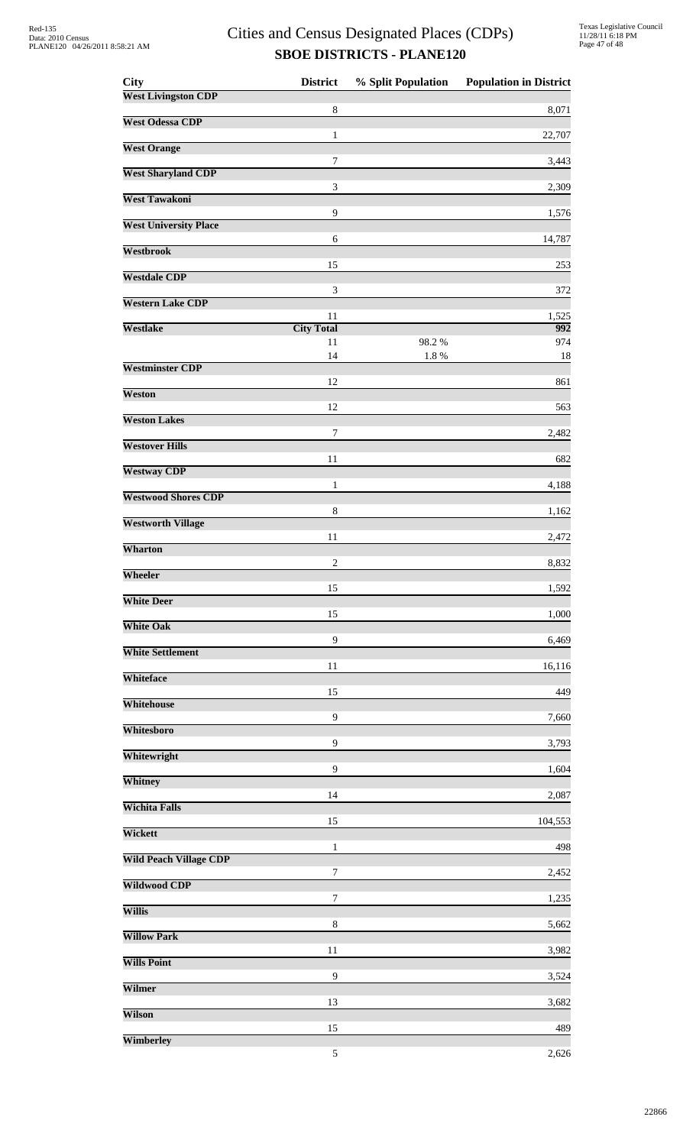| <b>City</b>                   | <b>District</b>   | % Split Population | <b>Population in District</b> |
|-------------------------------|-------------------|--------------------|-------------------------------|
| <b>West Livingston CDP</b>    | 8                 |                    | 8,071                         |
| <b>West Odessa CDP</b>        |                   |                    |                               |
| <b>West Orange</b>            | 1                 |                    | 22,707                        |
|                               | 7                 |                    | 3,443                         |
| <b>West Sharyland CDP</b>     | 3                 |                    | 2,309                         |
| <b>West Tawakoni</b>          | $\overline{9}$    |                    | 1,576                         |
| <b>West University Place</b>  |                   |                    |                               |
| <b>Westbrook</b>              | 6                 |                    | 14,787                        |
| <b>Westdale CDP</b>           | 15                |                    | 253                           |
|                               | 3                 |                    | 372                           |
| <b>Western Lake CDP</b>       | 11                |                    | 1,525                         |
| <b>Westlake</b>               | <b>City Total</b> |                    | 992                           |
|                               | 11<br>14          | 98.2%<br>1.8%      | 974<br>18                     |
| <b>Westminster CDP</b>        |                   |                    |                               |
| Weston                        | 12                |                    | 861                           |
| <b>Weston Lakes</b>           | 12                |                    | 563                           |
|                               | $\tau$            |                    | 2,482                         |
| <b>Westover Hills</b>         | 11                |                    | 682                           |
| <b>Westway CDP</b>            |                   |                    |                               |
| <b>Westwood Shores CDP</b>    | 1                 |                    | 4,188                         |
| <b>Westworth Village</b>      | 8                 |                    | 1,162                         |
|                               | 11                |                    | 2,472                         |
| Wharton                       | $\sqrt{2}$        |                    | 8,832                         |
| Wheeler                       |                   |                    |                               |
| <b>White Deer</b>             | 15                |                    | 1,592                         |
| <b>White Oak</b>              | 15                |                    | 1,000                         |
|                               | $\boldsymbol{9}$  |                    | 6,469                         |
| <b>White Settlement</b>       | 11                |                    | 16,116                        |
| Whiteface                     | 15                |                    | 449                           |
| Whitehouse                    |                   |                    |                               |
| Whitesboro                    | $\boldsymbol{9}$  |                    | 7,660                         |
| Whitewright                   | $\boldsymbol{9}$  |                    | 3,793                         |
|                               | 9                 |                    | 1,604                         |
| Whitney                       | 14                |                    | 2,087                         |
| <b>Wichita Falls</b>          | 15                |                    | 104,553                       |
| Wickett                       |                   |                    |                               |
| <b>Wild Peach Village CDP</b> | 1                 |                    | 498                           |
| <b>Wildwood CDP</b>           | 7                 |                    | 2,452                         |
| <b>Willis</b>                 | $\tau$            |                    | 1,235                         |
|                               | 8                 |                    | 5,662                         |
| <b>Willow Park</b>            | 11                |                    | 3,982                         |
| <b>Wills Point</b>            |                   |                    |                               |
| Wilmer                        | 9                 |                    | 3,524                         |
| Wilson                        | 13                |                    | 3,682                         |
|                               | 15                |                    | 489                           |
| Wimberley                     | 5                 |                    | 2,626                         |